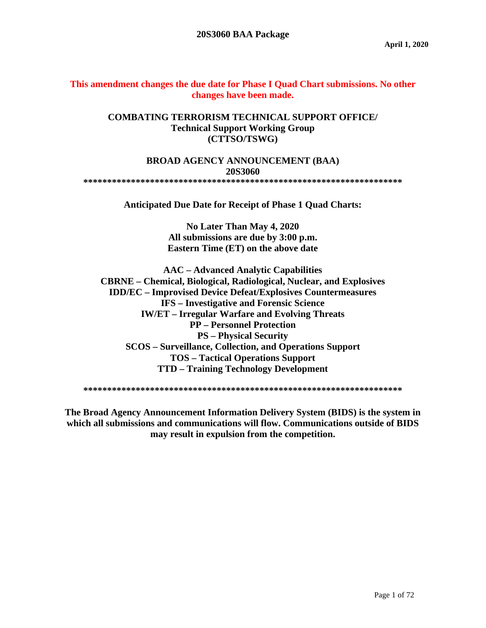### **This amendment changes the due date for Phase I Quad Chart submissions. No other changes have been made.**

### **COMBATING TERRORISM TECHNICAL SUPPORT OFFICE/ Technical Support Working Group (CTTSO/TSWG)**

#### **BROAD AGENCY ANNOUNCEMENT (BAA) 20S3060 \*\*\*\*\*\*\*\*\*\*\*\*\*\*\*\*\*\*\*\*\*\*\*\*\*\*\*\*\*\*\*\*\*\*\*\*\*\*\*\*\*\*\*\*\*\*\*\*\*\*\*\*\*\*\*\*\*\*\*\*\*\*\*\*\*\*\***

**Anticipated Due Date for Receipt of Phase 1 Quad Charts:**

**No Later Than May 4, 2020 All submissions are due by 3:00 p.m. Eastern Time (ET) on the above date**

**AAC – Advanced Analytic Capabilities CBRNE – Chemical, Biological, Radiological, Nuclear, and Explosives IDD/EC – Improvised Device Defeat/Explosives Countermeasures IFS – Investigative and Forensic Science IW/ET – Irregular Warfare and Evolving Threats PP – Personnel Protection PS – Physical Security SCOS – Surveillance, Collection, and Operations Support TOS – Tactical Operations Support TTD – Training Technology Development**

**\*\*\*\*\*\*\*\*\*\*\*\*\*\*\*\*\*\*\*\*\*\*\*\*\*\*\*\*\*\*\*\*\*\*\*\*\*\*\*\*\*\*\*\*\*\*\*\*\*\*\*\*\*\*\*\*\*\*\*\*\*\*\*\*\*\*\***

**The Broad Agency Announcement Information Delivery System (BIDS) is the system in which all submissions and communications will flow. Communications outside of BIDS may result in expulsion from the competition.**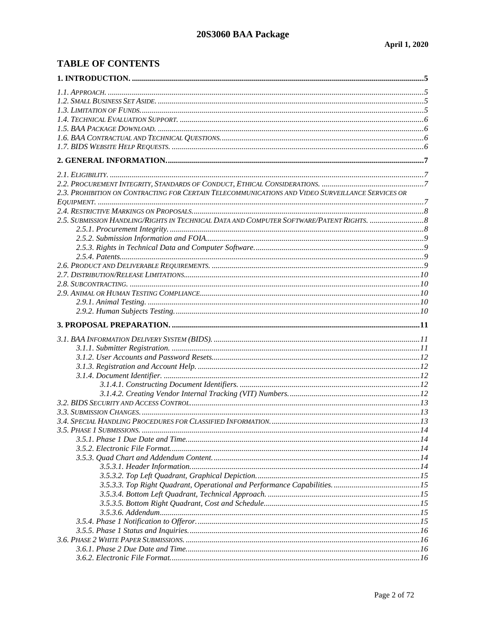# **TABLE OF CONTENTS**

| 2.3. PROHIBITION ON CONTRACTING FOR CERTAIN TELECOMMUNICATIONS AND VIDEO SURVEILLANCE SERVICES OR |  |
|---------------------------------------------------------------------------------------------------|--|
|                                                                                                   |  |
|                                                                                                   |  |
|                                                                                                   |  |
|                                                                                                   |  |
|                                                                                                   |  |
|                                                                                                   |  |
|                                                                                                   |  |
|                                                                                                   |  |
|                                                                                                   |  |
|                                                                                                   |  |
|                                                                                                   |  |
|                                                                                                   |  |
|                                                                                                   |  |
|                                                                                                   |  |
|                                                                                                   |  |
|                                                                                                   |  |
|                                                                                                   |  |
|                                                                                                   |  |
|                                                                                                   |  |
|                                                                                                   |  |
|                                                                                                   |  |
|                                                                                                   |  |
|                                                                                                   |  |
|                                                                                                   |  |
|                                                                                                   |  |
|                                                                                                   |  |
|                                                                                                   |  |
|                                                                                                   |  |
|                                                                                                   |  |
|                                                                                                   |  |
|                                                                                                   |  |
|                                                                                                   |  |
|                                                                                                   |  |
|                                                                                                   |  |
|                                                                                                   |  |
|                                                                                                   |  |
|                                                                                                   |  |
|                                                                                                   |  |
|                                                                                                   |  |
|                                                                                                   |  |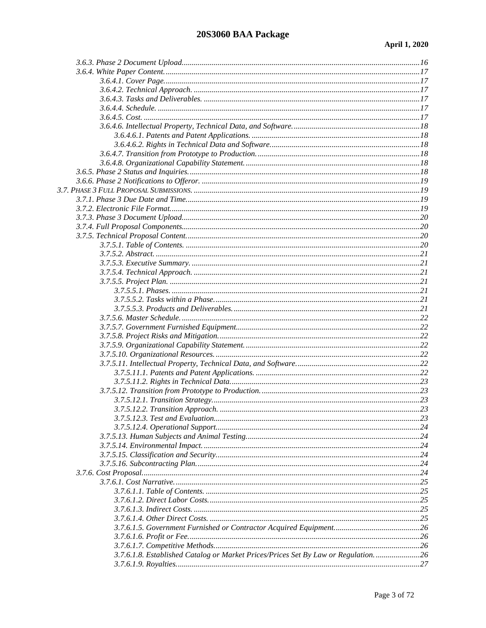### 20S3060 BAA Package

| 3.7.6.1.8. Established Catalog or Market Prices/Prices Set By Law or Regulation 26 |  |
|------------------------------------------------------------------------------------|--|
|                                                                                    |  |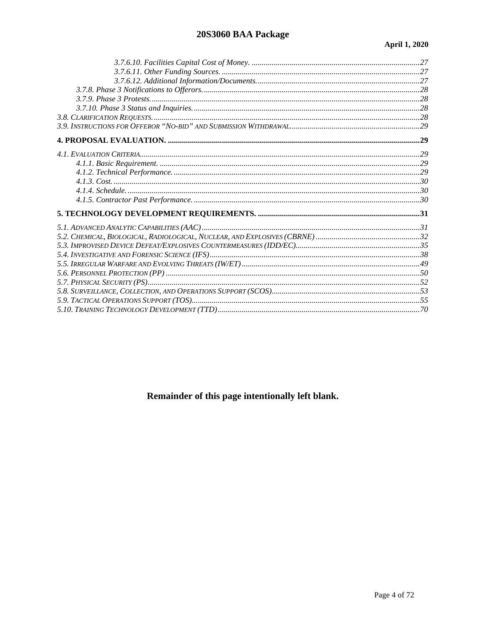# 20S3060 BAA Package

# Remainder of this page intentionally left blank.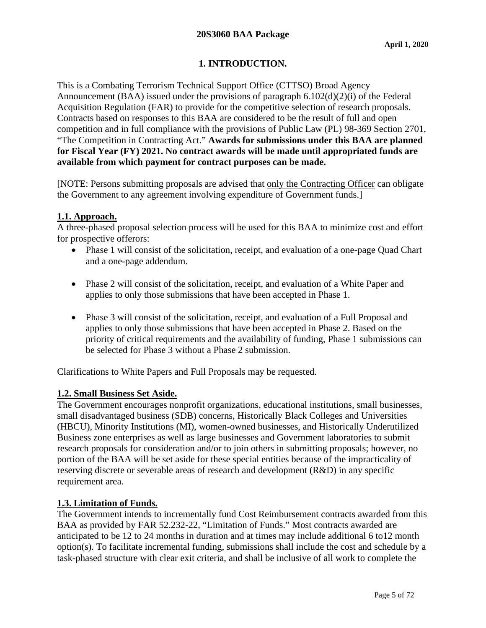# **1. INTRODUCTION.**

<span id="page-4-0"></span>This is a Combating Terrorism Technical Support Office (CTTSO) Broad Agency Announcement (BAA) issued under the provisions of paragraph 6.102(d)(2)(i) of the Federal Acquisition Regulation (FAR) to provide for the competitive selection of research proposals. Contracts based on responses to this BAA are considered to be the result of full and open competition and in full compliance with the provisions of Public Law (PL) 98-369 Section 2701, "The Competition in Contracting Act." **Awards for submissions under this BAA are planned for Fiscal Year (FY) 2021. No contract awards will be made until appropriated funds are available from which payment for contract purposes can be made.**

[NOTE: Persons submitting proposals are advised that only the Contracting Officer can obligate the Government to any agreement involving expenditure of Government funds.]

### <span id="page-4-1"></span>**1.1. Approach.**

A three-phased proposal selection process will be used for this BAA to minimize cost and effort for prospective offerors:

- Phase 1 will consist of the solicitation, receipt, and evaluation of a one-page Quad Chart and a one-page addendum.
- Phase 2 will consist of the solicitation, receipt, and evaluation of a White Paper and applies to only those submissions that have been accepted in Phase 1.
- Phase 3 will consist of the solicitation, receipt, and evaluation of a Full Proposal and applies to only those submissions that have been accepted in Phase 2. Based on the priority of critical requirements and the availability of funding, Phase 1 submissions can be selected for Phase 3 without a Phase 2 submission.

Clarifications to White Papers and Full Proposals may be requested.

### <span id="page-4-2"></span>**1.2. Small Business Set Aside.**

The Government encourages nonprofit organizations, educational institutions, small businesses, small disadvantaged business (SDB) concerns, Historically Black Colleges and Universities (HBCU), Minority Institutions (MI), women-owned businesses, and Historically Underutilized Business zone enterprises as well as large businesses and Government laboratories to submit research proposals for consideration and/or to join others in submitting proposals; however, no portion of the BAA will be set aside for these special entities because of the impracticality of reserving discrete or severable areas of research and development (R&D) in any specific requirement area.

### <span id="page-4-3"></span>**1.3. Limitation of Funds.**

The Government intends to incrementally fund Cost Reimbursement contracts awarded from this BAA as provided by FAR 52.232-22, "Limitation of Funds." Most contracts awarded are anticipated to be 12 to 24 months in duration and at times may include additional 6 to12 month option(s). To facilitate incremental funding, submissions shall include the cost and schedule by a task-phased structure with clear exit criteria, and shall be inclusive of all work to complete the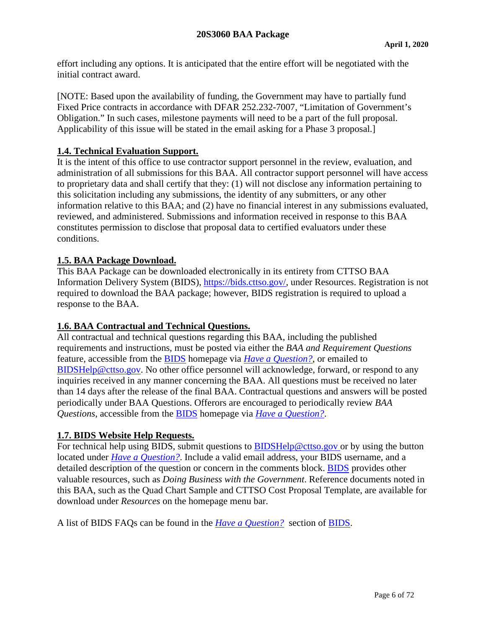effort including any options. It is anticipated that the entire effort will be negotiated with the initial contract award.

[NOTE: Based upon the availability of funding, the Government may have to partially fund Fixed Price contracts in accordance with DFAR 252.232-7007, "Limitation of Government's Obligation." In such cases, milestone payments will need to be a part of the full proposal. Applicability of this issue will be stated in the email asking for a Phase 3 proposal.]

### <span id="page-5-0"></span>**1.4. Technical Evaluation Support.**

It is the intent of this office to use contractor support personnel in the review, evaluation, and administration of all submissions for this BAA. All contractor support personnel will have access to proprietary data and shall certify that they: (1) will not disclose any information pertaining to this solicitation including any submissions, the identity of any submitters, or any other information relative to this BAA; and (2) have no financial interest in any submissions evaluated, reviewed, and administered. Submissions and information received in response to this BAA constitutes permission to disclose that proposal data to certified evaluators under these conditions.

### <span id="page-5-1"></span>**1.5. BAA Package Download.**

This BAA Package can be downloaded electronically in its entirety from CTTSO BAA Information Delivery System (BIDS), [https://bids.cttso.gov/,](https://bids.cttso.gov/) under Resources. Registration is not required to download the BAA package; however, BIDS registration is required to upload a response to the BAA.

### <span id="page-5-2"></span>**1.6. BAA Contractual and Technical Questions.**

All contractual and technical questions regarding this BAA, including the published requirements and instructions, must be posted via either the *BAA and Requirement Questions* feature, accessible from the [BIDS](https://bids.cttso.gov/) homepage via *[Have a Question?](https://bids.cttso.gov/Help/DisplayHelpIndex)*, or emailed to [BIDSHelp@cttso.gov.](mailto:BIDSHelp@cttso.gov) No other office personnel will acknowledge, forward, or respond to any inquiries received in any manner concerning the BAA. All questions must be received no later than 14 days after the release of the final BAA. Contractual questions and answers will be posted periodically under BAA Questions. Offerors are encouraged to periodically review *BAA Questions*, accessible from the [BIDS](https://bids.cttso.gov/) homepage via *[Have a Question?](https://bids.cttso.gov/Help/DisplayHelpIndex)*.

### <span id="page-5-3"></span>**1.7. BIDS Website Help Requests.**

For technical help using BIDS, submit questions to [BIDSHelp@cttso.gov](mailto:BIDSHelp@cttso.gov) or by using the button located under *[Have a Question?](https://bids.cttso.gov/Help/DisplayHelpIndex)*. Include a valid email address, your BIDS username, and a detailed description of the question or concern in the comments block. [BIDS](https://bids.cttso.gov/) provides other valuable resources, such as *Doing Business with the Government*. Reference documents noted in this BAA, such as the Quad Chart Sample and CTTSO Cost Proposal Template, are available for download under *Resources* on the homepage menu bar.

A list of BIDS FAQs can be found in the *[Have a Question?](https://bids.cttso.gov/Help/DisplayHelpIndex)* section of [BIDS.](https://bids.cttso.gov/)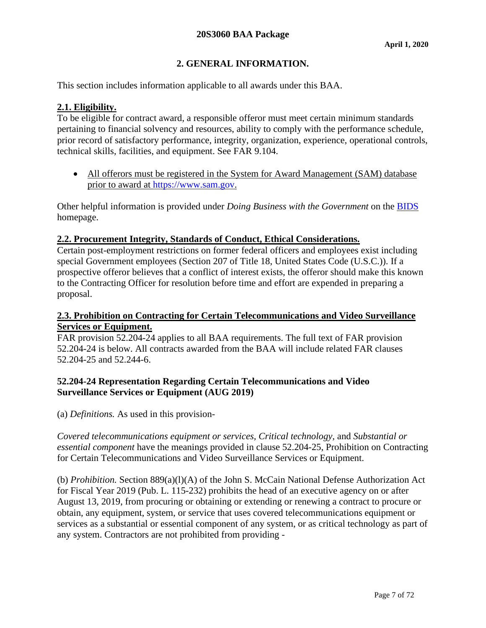# **2. GENERAL INFORMATION.**

<span id="page-6-0"></span>This section includes information applicable to all awards under this BAA.

### <span id="page-6-1"></span>**2.1. Eligibility.**

To be eligible for contract award, a responsible offeror must meet certain minimum standards pertaining to financial solvency and resources, ability to comply with the performance schedule, prior record of satisfactory performance, integrity, organization, experience, operational controls, technical skills, facilities, and equipment. See FAR 9.104.

• All offerors must be registered in the System for Award Management (SAM) database prior to award at [https://www.sam.gov.](https://www.sam.gov/)

Other helpful information is provided under *Doing Business with the Government* on the [BIDS](https://bids.cttso.gov/) homepage.

### <span id="page-6-2"></span>**2.2. Procurement Integrity, Standards of Conduct, Ethical Considerations.**

Certain post-employment restrictions on former federal officers and employees exist including special Government employees (Section 207 of Title 18, United States Code (U.S.C.)). If a prospective offeror believes that a conflict of interest exists, the offeror should make this known to the Contracting Officer for resolution before time and effort are expended in preparing a proposal.

### <span id="page-6-3"></span>**2.3. Prohibition on Contracting for Certain Telecommunications and Video Surveillance Services or Equipment.**

FAR provision 52.204-24 applies to all BAA requirements. The full text of FAR provision 52.204-24 is below. All contracts awarded from the BAA will include related FAR clauses 52.204-25 and 52.244-6.

### **52.204-24 Representation Regarding Certain Telecommunications and Video Surveillance Services or Equipment (AUG 2019)**

(a) *Definitions.* As used in this provision-

*Covered telecommunications equipment or services, Critical technology,* and *Substantial or essential component* have the meanings provided in clause 52.204-25, Prohibition on Contracting for Certain Telecommunications and Video Surveillance Services or Equipment.

(b) *Prohibition.* Section 889(a)(l)(A) of the John S. McCain National Defense Authorization Act for Fiscal Year 2019 (Pub. L. 115-232) prohibits the head of an executive agency on or after August 13, 2019, from procuring or obtaining or extending or renewing a contract to procure or obtain, any equipment, system, or service that uses covered telecommunications equipment or services as a substantial or essential component of any system, or as critical technology as part of any system. Contractors are not prohibited from providing -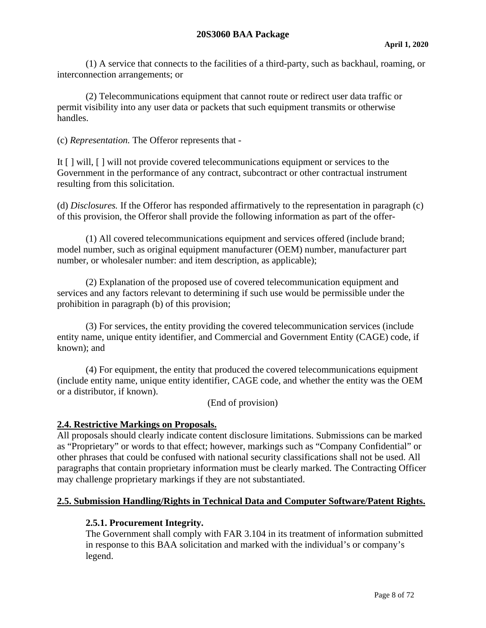(1) A service that connects to the facilities of a third-party, such as backhaul, roaming, or interconnection arrangements; or

(2) Telecommunications equipment that cannot route or redirect user data traffic or permit visibility into any user data or packets that such equipment transmits or otherwise handles.

(c) *Representation.* The Offeror represents that -

It [ ] will, [ ] will not provide covered telecommunications equipment or services to the Government in the performance of any contract, subcontract or other contractual instrument resulting from this solicitation.

(d) *Disclosures.* If the Offeror has responded affirmatively to the representation in paragraph (c) of this provision, the Offeror shall provide the following information as part of the offer-

(1) All covered telecommunications equipment and services offered (include brand; model number, such as original equipment manufacturer (OEM) number, manufacturer part number, or wholesaler number: and item description, as applicable);

(2) Explanation of the proposed use of covered telecommunication equipment and services and any factors relevant to determining if such use would be permissible under the prohibition in paragraph (b) of this provision;

(3) For services, the entity providing the covered telecommunication services (include entity name, unique entity identifier, and Commercial and Government Entity (CAGE) code, if known); and

(4) For equipment, the entity that produced the covered telecommunications equipment (include entity name, unique entity identifier, CAGE code, and whether the entity was the OEM or a distributor, if known).

(End of provision)

### <span id="page-7-0"></span>**2.4. Restrictive Markings on Proposals.**

All proposals should clearly indicate content disclosure limitations. Submissions can be marked as "Proprietary" or words to that effect; however, markings such as "Company Confidential" or other phrases that could be confused with national security classifications shall not be used. All paragraphs that contain proprietary information must be clearly marked. The Contracting Officer may challenge proprietary markings if they are not substantiated.

### <span id="page-7-2"></span><span id="page-7-1"></span>**2.5. Submission Handling/Rights in Technical Data and Computer Software/Patent Rights.**

#### **2.5.1. Procurement Integrity.**

The Government shall comply with FAR 3.104 in its treatment of information submitted in response to this BAA solicitation and marked with the individual's or company's legend.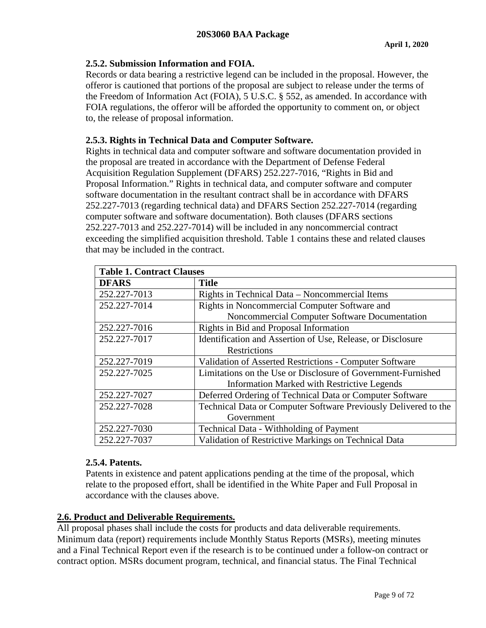# <span id="page-8-0"></span>**2.5.2. Submission Information and FOIA.**

Records or data bearing a restrictive legend can be included in the proposal. However, the offeror is cautioned that portions of the proposal are subject to release under the terms of the Freedom of Information Act (FOIA), 5 U.S.C. § 552, as amended. In accordance with FOIA regulations, the offeror will be afforded the opportunity to comment on, or object to, the release of proposal information.

# <span id="page-8-1"></span>**2.5.3. Rights in Technical Data and Computer Software.**

Rights in technical data and computer software and software documentation provided in the proposal are treated in accordance with the Department of Defense Federal Acquisition Regulation Supplement (DFARS) 252.227-7016, "Rights in Bid and Proposal Information." Rights in technical data, and computer software and computer software documentation in the resultant contract shall be in accordance with DFARS 252.227-7013 (regarding technical data) and DFARS Section 252.227-7014 (regarding computer software and software documentation). Both clauses (DFARS sections 252.227-7013 and 252.227-7014) will be included in any noncommercial contract exceeding the simplified acquisition threshold. Table 1 contains these and related clauses that may be included in the contract.

| <b>Table 1. Contract Clauses</b> |                                                                 |  |  |
|----------------------------------|-----------------------------------------------------------------|--|--|
| <b>DFARS</b>                     | <b>Title</b>                                                    |  |  |
| 252.227-7013                     | Rights in Technical Data – Noncommercial Items                  |  |  |
| 252.227-7014                     | Rights in Noncommercial Computer Software and                   |  |  |
|                                  | Noncommercial Computer Software Documentation                   |  |  |
| 252.227-7016                     | Rights in Bid and Proposal Information                          |  |  |
| 252.227-7017                     | Identification and Assertion of Use, Release, or Disclosure     |  |  |
|                                  | Restrictions                                                    |  |  |
| 252.227-7019                     | Validation of Asserted Restrictions - Computer Software         |  |  |
| 252.227-7025                     | Limitations on the Use or Disclosure of Government-Furnished    |  |  |
|                                  | <b>Information Marked with Restrictive Legends</b>              |  |  |
| 252.227-7027                     | Deferred Ordering of Technical Data or Computer Software        |  |  |
| 252.227-7028                     | Technical Data or Computer Software Previously Delivered to the |  |  |
|                                  | Government                                                      |  |  |
| 252.227-7030                     | <b>Technical Data - Withholding of Payment</b>                  |  |  |
| 252.227-7037                     | Validation of Restrictive Markings on Technical Data            |  |  |

### <span id="page-8-2"></span>**2.5.4. Patents.**

Patents in existence and patent applications pending at the time of the proposal, which relate to the proposed effort, shall be identified in the White Paper and Full Proposal in accordance with the clauses above.

### <span id="page-8-3"></span>**2.6. Product and Deliverable Requirements.**

All proposal phases shall include the costs for products and data deliverable requirements. Minimum data (report) requirements include Monthly Status Reports (MSRs), meeting minutes and a Final Technical Report even if the research is to be continued under a follow-on contract or contract option. MSRs document program, technical, and financial status. The Final Technical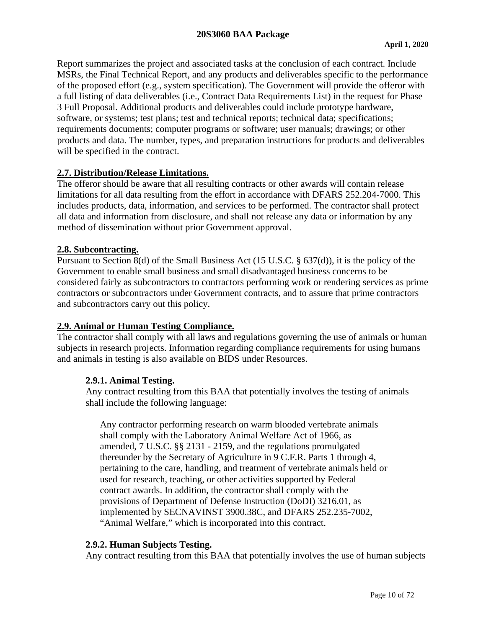### **20S3060 BAA Package**

Report summarizes the project and associated tasks at the conclusion of each contract. Include MSRs, the Final Technical Report, and any products and deliverables specific to the performance of the proposed effort (e.g., system specification). The Government will provide the offeror with a full listing of data deliverables (i.e., Contract Data Requirements List) in the request for Phase 3 Full Proposal. Additional products and deliverables could include prototype hardware, software, or systems; test plans; test and technical reports; technical data; specifications; requirements documents; computer programs or software; user manuals; drawings; or other products and data. The number, types, and preparation instructions for products and deliverables will be specified in the contract.

#### <span id="page-9-0"></span>**2.7. Distribution/Release Limitations.**

The offeror should be aware that all resulting contracts or other awards will contain release limitations for all data resulting from the effort in accordance with DFARS 252.204-7000. This includes products, data, information, and services to be performed. The contractor shall protect all data and information from disclosure, and shall not release any data or information by any method of dissemination without prior Government approval.

#### <span id="page-9-1"></span>**2.8. Subcontracting.**

Pursuant to Section 8(d) of the Small Business Act (15 U.S.C. § 637(d)), it is the policy of the Government to enable small business and small disadvantaged business concerns to be considered fairly as subcontractors to contractors performing work or rendering services as prime contractors or subcontractors under Government contracts, and to assure that prime contractors and subcontractors carry out this policy.

### <span id="page-9-2"></span>**2.9. Animal or Human Testing Compliance.**

The contractor shall comply with all laws and regulations governing the use of animals or human subjects in research projects. Information regarding compliance requirements for using humans and animals in testing is also available on BIDS under Resources.

#### <span id="page-9-3"></span>**2.9.1. Animal Testing.**

Any contract resulting from this BAA that potentially involves the testing of animals shall include the following language:

Any contractor performing research on warm blooded vertebrate animals shall comply with the Laboratory Animal Welfare Act of 1966, as amended, 7 U.S.C. §§ 2131 - 2159, and the regulations promulgated thereunder by the Secretary of Agriculture in 9 C.F.R. Parts 1 through 4, pertaining to the care, handling, and treatment of vertebrate animals held or used for research, teaching, or other activities supported by Federal contract awards. In addition, the contractor shall comply with the provisions of Department of Defense Instruction (DoDI) 3216.01, as implemented by SECNAVINST 3900.38C, and DFARS 252.235-7002, "Animal Welfare," which is incorporated into this contract.

### <span id="page-9-4"></span>**2.9.2. Human Subjects Testing.**

Any contract resulting from this BAA that potentially involves the use of human subjects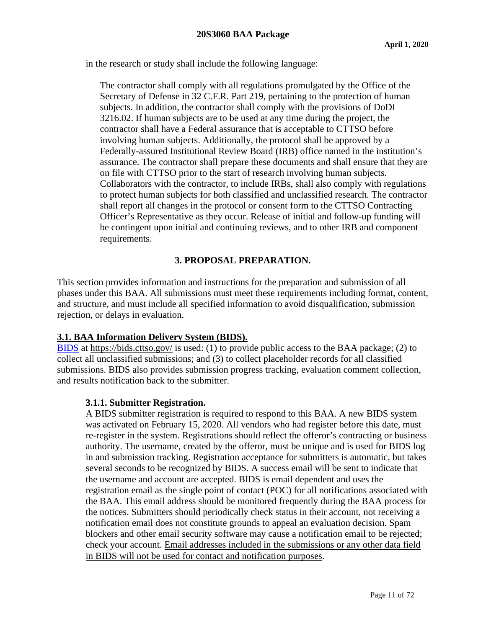in the research or study shall include the following language:

The contractor shall comply with all regulations promulgated by the Office of the Secretary of Defense in 32 C.F.R. Part 219, pertaining to the protection of human subjects. In addition, the contractor shall comply with the provisions of DoDI 3216.02. If human subjects are to be used at any time during the project, the contractor shall have a Federal assurance that is acceptable to CTTSO before involving human subjects. Additionally, the protocol shall be approved by a Federally-assured Institutional Review Board (IRB) office named in the institution's assurance. The contractor shall prepare these documents and shall ensure that they are on file with CTTSO prior to the start of research involving human subjects. Collaborators with the contractor, to include IRBs, shall also comply with regulations to protect human subjects for both classified and unclassified research. The contractor shall report all changes in the protocol or consent form to the CTTSO Contracting Officer's Representative as they occur. Release of initial and follow-up funding will be contingent upon initial and continuing reviews, and to other IRB and component requirements.

# **3. PROPOSAL PREPARATION.**

<span id="page-10-0"></span>This section provides information and instructions for the preparation and submission of all phases under this BAA. All submissions must meet these requirements including format, content, and structure, and must include all specified information to avoid disqualification, submission rejection, or delays in evaluation.

### <span id="page-10-1"></span>**3.1. BAA Information Delivery System (BIDS).**

[BIDS](https://bids.cttso.gov/) at<https://bids.cttso.gov/> is used: (1) to provide public access to the BAA package; (2) to collect all unclassified submissions; and (3) to collect placeholder records for all classified submissions. BIDS also provides submission progress tracking, evaluation comment collection, and results notification back to the submitter.

#### <span id="page-10-2"></span>**3.1.1. Submitter Registration.**

A BIDS submitter registration is required to respond to this BAA. A new BIDS system was activated on February 15, 2020. All vendors who had register before this date, must re-register in the system. Registrations should reflect the offeror's contracting or business authority. The username, created by the offeror, must be unique and is used for BIDS log in and submission tracking. Registration acceptance for submitters is automatic, but takes several seconds to be recognized by BIDS. A success email will be sent to indicate that the username and account are accepted. BIDS is email dependent and uses the registration email as the single point of contact (POC) for all notifications associated with the BAA. This email address should be monitored frequently during the BAA process for the notices. Submitters should periodically check status in their account, not receiving a notification email does not constitute grounds to appeal an evaluation decision. Spam blockers and other email security software may cause a notification email to be rejected; check your account. Email addresses included in the submissions or any other data field in BIDS will not be used for contact and notification purposes.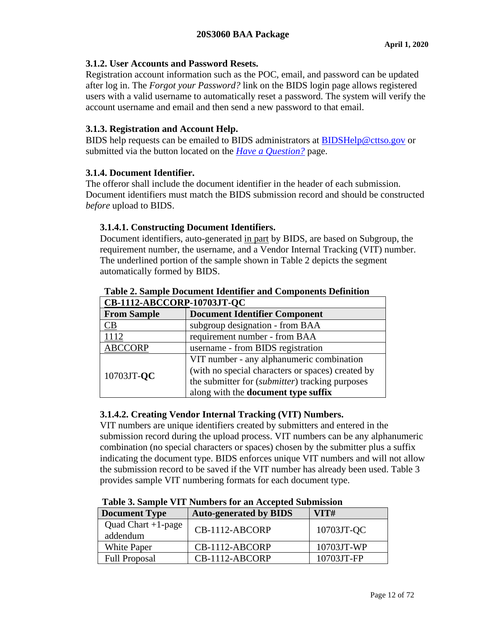### <span id="page-11-0"></span>**3.1.2. User Accounts and Password Resets.**

Registration account information such as the POC, email, and password can be updated after log in. The *Forgot your Password?* link on the BIDS login page allows registered users with a valid username to automatically reset a password. The system will verify the account username and email and then send a new password to that email.

# <span id="page-11-1"></span>**3.1.3. Registration and Account Help.**

BIDS help requests can be emailed to BIDS administrators at [BIDSHelp@cttso.gov](mailto:BIDSHelp@cttso.gov) or submitted via the button located on the *[Have a Question?](https://bids.cttso.gov/Help/DisplayHelpIndex)* page.

### <span id="page-11-2"></span>**3.1.4. Document Identifier.**

The offeror shall include the document identifier in the header of each submission. Document identifiers must match the BIDS submission record and should be constructed *before* upload to BIDS.

# <span id="page-11-3"></span>**3.1.4.1. Constructing Document Identifiers.**

Document identifiers, auto-generated in part by BIDS, are based on Subgroup, the requirement number, the username, and a Vendor Internal Tracking (VIT) number. The underlined portion of the sample shown in Table 2 depicts the segment automatically formed by BIDS.

| CB-1112-ABCCORP-10703JT-QC                                 |                                                   |  |  |
|------------------------------------------------------------|---------------------------------------------------|--|--|
| <b>From Sample</b><br><b>Document Identifier Component</b> |                                                   |  |  |
| CВ                                                         | subgroup designation - from BAA                   |  |  |
| 1112<br>requirement number - from BAA                      |                                                   |  |  |
| <b>ABCCORP</b><br>username - from BIDS registration        |                                                   |  |  |
|                                                            | VIT number - any alphanumeric combination         |  |  |
| 10703JT-QC                                                 | (with no special characters or spaces) created by |  |  |
|                                                            | the submitter for (submitter) tracking purposes   |  |  |
|                                                            | along with the <b>document type suffix</b>        |  |  |

# **Table 2. Sample Document Identifier and Components Definition**

# <span id="page-11-4"></span>**3.1.4.2. Creating Vendor Internal Tracking (VIT) Numbers.**

VIT numbers are unique identifiers created by submitters and entered in the submission record during the upload process. VIT numbers can be any alphanumeric combination (no special characters or spaces) chosen by the submitter plus a suffix indicating the document type. BIDS enforces unique VIT numbers and will not allow the submission record to be saved if the VIT number has already been used. Table 3 provides sample VIT numbering formats for each document type.

| <b>Document Type</b>              | <b>Auto-generated by BIDS</b> | VITH       |
|-----------------------------------|-------------------------------|------------|
| Quad Chart $+1$ -page<br>addendum | CB-1112-ABCORP                | 10703JT-QC |
| White Paper                       | CB-1112-ABCORP                | 10703JT-WP |
| <b>Full Proposal</b>              | $CB-1112-ABCORP$              | 10703JT-FP |

#### **Table 3. Sample VIT Numbers for an Accepted Submission**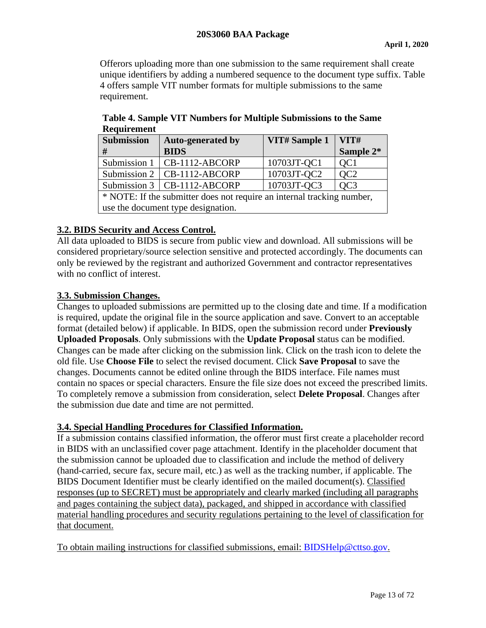Offerors uploading more than one submission to the same requirement shall create unique identifiers by adding a numbered sequence to the document type suffix. Table 4 offers sample VIT number formats for multiple submissions to the same requirement.

| <b>Submission</b>                                                      | <b>Auto-generated by</b>        | VIT# Sample 1 | VITH            |
|------------------------------------------------------------------------|---------------------------------|---------------|-----------------|
| #                                                                      | <b>BIDS</b>                     |               | Sample 2*       |
|                                                                        | Submission 1   CB-1112-ABCORP   | 10703JT-QC1   | QC <sub>1</sub> |
|                                                                        | Submission 2   CB-1112-ABCORP   | 10703JT-QC2   | QC <sub>2</sub> |
|                                                                        | Submission $3   CB-1112-ABCORP$ | 10703JT-QC3   | QC <sub>3</sub> |
| * NOTE: If the submitter does not require an internal tracking number, |                                 |               |                 |
| use the document type designation.                                     |                                 |               |                 |

**Table 4. Sample VIT Numbers for Multiple Submissions to the Same Requirement**

# <span id="page-12-0"></span>**3.2. BIDS Security and Access Control.**

All data uploaded to BIDS is secure from public view and download. All submissions will be considered proprietary/source selection sensitive and protected accordingly. The documents can only be reviewed by the registrant and authorized Government and contractor representatives with no conflict of interest.

### <span id="page-12-1"></span>**3.3. Submission Changes.**

Changes to uploaded submissions are permitted up to the closing date and time. If a modification is required, update the original file in the source application and save. Convert to an acceptable format (detailed below) if applicable. In BIDS, open the submission record under **Previously Uploaded Proposals**. Only submissions with the **Update Proposal** status can be modified. Changes can be made after clicking on the submission link. Click on the trash icon to delete the old file. Use **Choose File** to select the revised document. Click **Save Proposal** to save the changes. Documents cannot be edited online through the BIDS interface. File names must contain no spaces or special characters. Ensure the file size does not exceed the prescribed limits. To completely remove a submission from consideration, select **Delete Proposal**. Changes after the submission due date and time are not permitted.

### <span id="page-12-2"></span>**3.4. Special Handling Procedures for Classified Information.**

If a submission contains classified information, the offeror must first create a placeholder record in BIDS with an unclassified cover page attachment. Identify in the placeholder document that the submission cannot be uploaded due to classification and include the method of delivery (hand-carried, secure fax, secure mail, etc.) as well as the tracking number, if applicable. The BIDS Document Identifier must be clearly identified on the mailed document(s). Classified responses (up to SECRET) must be appropriately and clearly marked (including all paragraphs and pages containing the subject data), packaged, and shipped in accordance with classified material handling procedures and security regulations pertaining to the level of classification for that document.

To obtain mailing instructions for classified submissions, email: BIDSHelp@cttso.gov.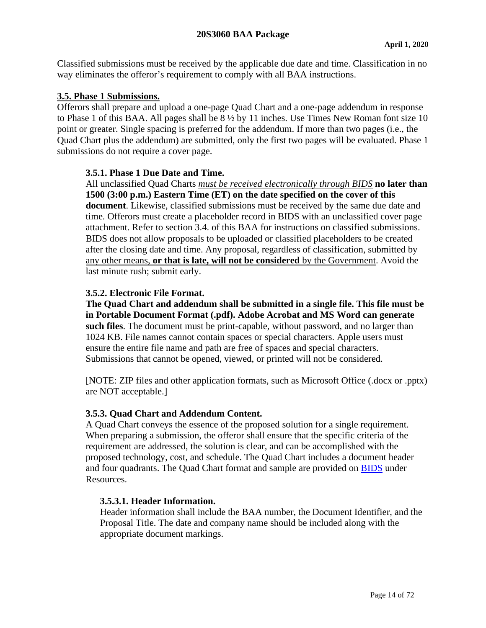Classified submissions must be received by the applicable due date and time. Classification in no way eliminates the offeror's requirement to comply with all BAA instructions.

### <span id="page-13-0"></span>**3.5. Phase 1 Submissions.**

Offerors shall prepare and upload a one-page Quad Chart and a one-page addendum in response to Phase 1 of this BAA. All pages shall be 8 ½ by 11 inches. Use Times New Roman font size 10 point or greater. Single spacing is preferred for the addendum. If more than two pages (i.e., the Quad Chart plus the addendum) are submitted, only the first two pages will be evaluated. Phase 1 submissions do not require a cover page.

### <span id="page-13-1"></span>**3.5.1. Phase 1 Due Date and Time.**

All unclassified Quad Charts *must be received electronically through BIDS* **no later than 1500 (3:00 p.m.) Eastern Time (ET) on the date specified on the cover of this document**. Likewise, classified submissions must be received by the same due date and time. Offerors must create a placeholder record in BIDS with an unclassified cover page attachment. Refer to section 3.4. of this BAA for instructions on classified submissions. BIDS does not allow proposals to be uploaded or classified placeholders to be created after the closing date and time. Any proposal, regardless of classification, submitted by any other means, **or that is late, will not be considered** by the Government. Avoid the last minute rush; submit early.

# <span id="page-13-2"></span>**3.5.2. Electronic File Format.**

**The Quad Chart and addendum shall be submitted in a single file. This file must be in Portable Document Format (.pdf). Adobe Acrobat and MS Word can generate such files**. The document must be print-capable, without password, and no larger than 1024 KB. File names cannot contain spaces or special characters. Apple users must ensure the entire file name and path are free of spaces and special characters. Submissions that cannot be opened, viewed, or printed will not be considered.

[NOTE: ZIP files and other application formats, such as Microsoft Office (.docx or .pptx) are NOT acceptable.]

### <span id="page-13-3"></span>**3.5.3. Quad Chart and Addendum Content.**

A Quad Chart conveys the essence of the proposed solution for a single requirement. When preparing a submission, the offeror shall ensure that the specific criteria of the requirement are addressed, the solution is clear, and can be accomplished with the proposed technology, cost, and schedule. The Quad Chart includes a document header and four quadrants. The Quad Chart format and sample are provided on [BIDS](https://bids.cttso.gov/) under Resources.

### <span id="page-13-4"></span>**3.5.3.1. Header Information.**

Header information shall include the BAA number, the Document Identifier, and the Proposal Title. The date and company name should be included along with the appropriate document markings.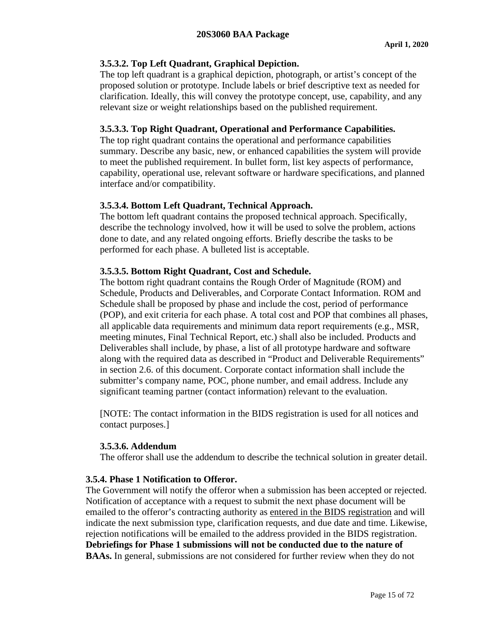### <span id="page-14-0"></span>**3.5.3.2. Top Left Quadrant, Graphical Depiction.**

The top left quadrant is a graphical depiction, photograph, or artist's concept of the proposed solution or prototype. Include labels or brief descriptive text as needed for clarification. Ideally, this will convey the prototype concept, use, capability, and any relevant size or weight relationships based on the published requirement.

### <span id="page-14-1"></span>**3.5.3.3. Top Right Quadrant, Operational and Performance Capabilities.**

The top right quadrant contains the operational and performance capabilities summary. Describe any basic, new, or enhanced capabilities the system will provide to meet the published requirement. In bullet form, list key aspects of performance, capability, operational use, relevant software or hardware specifications, and planned interface and/or compatibility.

# <span id="page-14-2"></span>**3.5.3.4. Bottom Left Quadrant, Technical Approach.**

The bottom left quadrant contains the proposed technical approach. Specifically, describe the technology involved, how it will be used to solve the problem, actions done to date, and any related ongoing efforts. Briefly describe the tasks to be performed for each phase. A bulleted list is acceptable.

# <span id="page-14-3"></span>**3.5.3.5. Bottom Right Quadrant, Cost and Schedule.**

The bottom right quadrant contains the Rough Order of Magnitude (ROM) and Schedule, Products and Deliverables, and Corporate Contact Information. ROM and Schedule shall be proposed by phase and include the cost, period of performance (POP), and exit criteria for each phase. A total cost and POP that combines all phases, all applicable data requirements and minimum data report requirements (e.g., MSR, meeting minutes, Final Technical Report, etc.) shall also be included. Products and Deliverables shall include, by phase, a list of all prototype hardware and software along with the required data as described in "Product and Deliverable Requirements" in section 2.6. of this document. Corporate contact information shall include the submitter's company name, POC, phone number, and email address. Include any significant teaming partner (contact information) relevant to the evaluation.

[NOTE: The contact information in the BIDS registration is used for all notices and contact purposes.]

### <span id="page-14-4"></span>**3.5.3.6. Addendum**

The offeror shall use the addendum to describe the technical solution in greater detail.

### <span id="page-14-5"></span>**3.5.4. Phase 1 Notification to Offeror.**

The Government will notify the offeror when a submission has been accepted or rejected. Notification of acceptance with a request to submit the next phase document will be emailed to the offeror's contracting authority as entered in the BIDS registration and will indicate the next submission type, clarification requests, and due date and time. Likewise, rejection notifications will be emailed to the address provided in the BIDS registration. **Debriefings for Phase 1 submissions will not be conducted due to the nature of BAAs.** In general, submissions are not considered for further review when they do not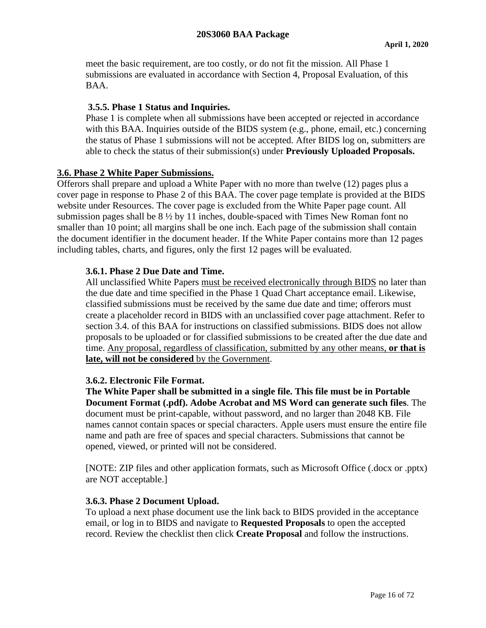meet the basic requirement, are too costly, or do not fit the mission. All Phase 1 submissions are evaluated in accordance with Section 4, Proposal Evaluation, of this BAA.

### <span id="page-15-0"></span>**3.5.5. Phase 1 Status and Inquiries.**

Phase 1 is complete when all submissions have been accepted or rejected in accordance with this BAA. Inquiries outside of the BIDS system (e.g., phone, email, etc.) concerning the status of Phase 1 submissions will not be accepted. After BIDS log on, submitters are able to check the status of their submission(s) under **Previously Uploaded Proposals.**

### <span id="page-15-1"></span>**3.6. Phase 2 White Paper Submissions.**

Offerors shall prepare and upload a White Paper with no more than twelve (12) pages plus a cover page in response to Phase 2 of this BAA. The cover page template is provided at the BIDS website under Resources. The cover page is excluded from the White Paper page count. All submission pages shall be 8 ½ by 11 inches, double-spaced with Times New Roman font no smaller than 10 point; all margins shall be one inch. Each page of the submission shall contain the document identifier in the document header. If the White Paper contains more than 12 pages including tables, charts, and figures, only the first 12 pages will be evaluated.

### <span id="page-15-2"></span>**3.6.1. Phase 2 Due Date and Time.**

All unclassified White Papers must be received electronically through BIDS no later than the due date and time specified in the Phase 1 Quad Chart acceptance email. Likewise, classified submissions must be received by the same due date and time; offerors must create a placeholder record in BIDS with an unclassified cover page attachment. Refer to section 3.4. of this BAA for instructions on classified submissions. BIDS does not allow proposals to be uploaded or for classified submissions to be created after the due date and time. Any proposal, regardless of classification, submitted by any other means, **or that is late, will not be considered** by the Government.

#### <span id="page-15-3"></span>**3.6.2. Electronic File Format.**

**The White Paper shall be submitted in a single file. This file must be in Portable Document Format (.pdf). Adobe Acrobat and MS Word can generate such files**. The document must be print-capable, without password, and no larger than 2048 KB. File names cannot contain spaces or special characters. Apple users must ensure the entire file name and path are free of spaces and special characters. Submissions that cannot be opened, viewed, or printed will not be considered.

[NOTE: ZIP files and other application formats, such as Microsoft Office (.docx or .pptx) are NOT acceptable.]

#### <span id="page-15-4"></span>**3.6.3. Phase 2 Document Upload.**

To upload a next phase document use the link back to BIDS provided in the acceptance email, or log in to BIDS and navigate to **Requested Proposals** to open the accepted record. Review the checklist then click **Create Proposal** and follow the instructions.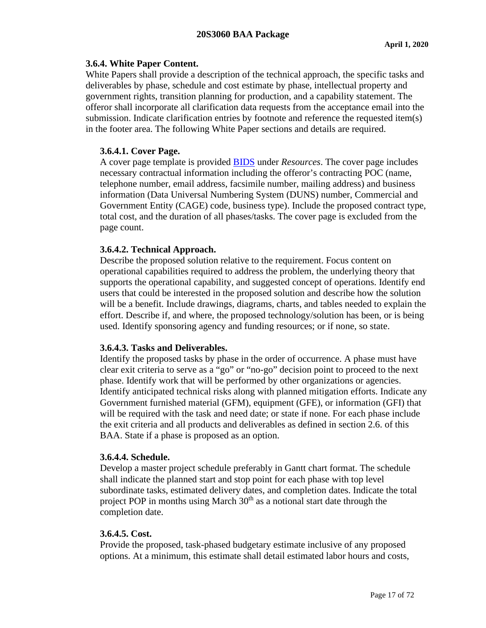### <span id="page-16-0"></span>**3.6.4. White Paper Content.**

White Papers shall provide a description of the technical approach, the specific tasks and deliverables by phase, schedule and cost estimate by phase, intellectual property and government rights, transition planning for production, and a capability statement. The offeror shall incorporate all clarification data requests from the acceptance email into the submission. Indicate clarification entries by footnote and reference the requested item(s) in the footer area. The following White Paper sections and details are required.

# <span id="page-16-1"></span>**3.6.4.1. Cover Page.**

A cover page template is provided [BIDS](https://bids.cttso.gov/) under *Resources*. The cover page includes necessary contractual information including the offeror's contracting POC (name, telephone number, email address, facsimile number, mailing address) and business information (Data Universal Numbering System (DUNS) number, Commercial and Government Entity (CAGE) code, business type). Include the proposed contract type, total cost, and the duration of all phases/tasks. The cover page is excluded from the page count.

### <span id="page-16-2"></span>**3.6.4.2. Technical Approach.**

Describe the proposed solution relative to the requirement. Focus content on operational capabilities required to address the problem, the underlying theory that supports the operational capability, and suggested concept of operations. Identify end users that could be interested in the proposed solution and describe how the solution will be a benefit. Include drawings, diagrams, charts, and tables needed to explain the effort. Describe if, and where, the proposed technology/solution has been, or is being used. Identify sponsoring agency and funding resources; or if none, so state.

### <span id="page-16-3"></span>**3.6.4.3. Tasks and Deliverables.**

Identify the proposed tasks by phase in the order of occurrence. A phase must have clear exit criteria to serve as a "go" or "no-go" decision point to proceed to the next phase. Identify work that will be performed by other organizations or agencies. Identify anticipated technical risks along with planned mitigation efforts. Indicate any Government furnished material (GFM), equipment (GFE), or information (GFI) that will be required with the task and need date; or state if none. For each phase include the exit criteria and all products and deliverables as defined in section 2.6. of this BAA. State if a phase is proposed as an option.

### <span id="page-16-4"></span>**3.6.4.4. Schedule.**

Develop a master project schedule preferably in Gantt chart format. The schedule shall indicate the planned start and stop point for each phase with top level subordinate tasks, estimated delivery dates, and completion dates. Indicate the total project POP in months using March 30<sup>th</sup> as a notional start date through the completion date.

### <span id="page-16-5"></span>**3.6.4.5. Cost.**

Provide the proposed, task-phased budgetary estimate inclusive of any proposed options. At a minimum, this estimate shall detail estimated labor hours and costs,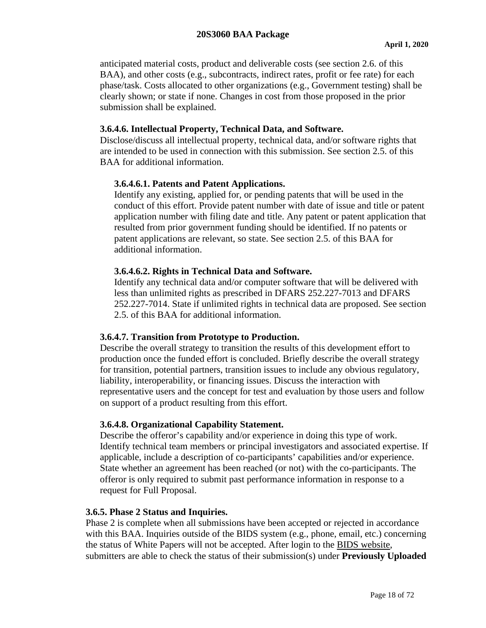anticipated material costs, product and deliverable costs (see section 2.6. of this BAA), and other costs (e.g., subcontracts, indirect rates, profit or fee rate) for each phase/task. Costs allocated to other organizations (e.g., Government testing) shall be clearly shown; or state if none. Changes in cost from those proposed in the prior submission shall be explained.

### <span id="page-17-0"></span>**3.6.4.6. Intellectual Property, Technical Data, and Software.**

Disclose/discuss all intellectual property, technical data, and/or software rights that are intended to be used in connection with this submission. See section 2.5. of this BAA for additional information.

### <span id="page-17-1"></span>**3.6.4.6.1. Patents and Patent Applications.**

Identify any existing, applied for, or pending patents that will be used in the conduct of this effort. Provide patent number with date of issue and title or patent application number with filing date and title. Any patent or patent application that resulted from prior government funding should be identified. If no patents or patent applications are relevant, so state. See section 2.5. of this BAA for additional information.

### <span id="page-17-2"></span>**3.6.4.6.2. Rights in Technical Data and Software.**

Identify any technical data and/or computer software that will be delivered with less than unlimited rights as prescribed in DFARS 252.227-7013 and DFARS 252.227-7014. State if unlimited rights in technical data are proposed. See section 2.5. of this BAA for additional information.

#### <span id="page-17-3"></span>**3.6.4.7. Transition from Prototype to Production.**

Describe the overall strategy to transition the results of this development effort to production once the funded effort is concluded. Briefly describe the overall strategy for transition, potential partners, transition issues to include any obvious regulatory, liability, interoperability, or financing issues. Discuss the interaction with representative users and the concept for test and evaluation by those users and follow on support of a product resulting from this effort.

#### <span id="page-17-4"></span>**3.6.4.8. Organizational Capability Statement.**

Describe the offeror's capability and/or experience in doing this type of work. Identify technical team members or principal investigators and associated expertise. If applicable, include a description of co-participants' capabilities and/or experience. State whether an agreement has been reached (or not) with the co-participants. The offeror is only required to submit past performance information in response to a request for Full Proposal.

#### <span id="page-17-5"></span>**3.6.5. Phase 2 Status and Inquiries.**

Phase 2 is complete when all submissions have been accepted or rejected in accordance with this BAA. Inquiries outside of the BIDS system (e.g., phone, email, etc.) concerning the status of White Papers will not be accepted. After login to the [BIDS website,](https://bids.cttso.gov/) submitters are able to check the status of their submission(s) under **Previously Uploaded**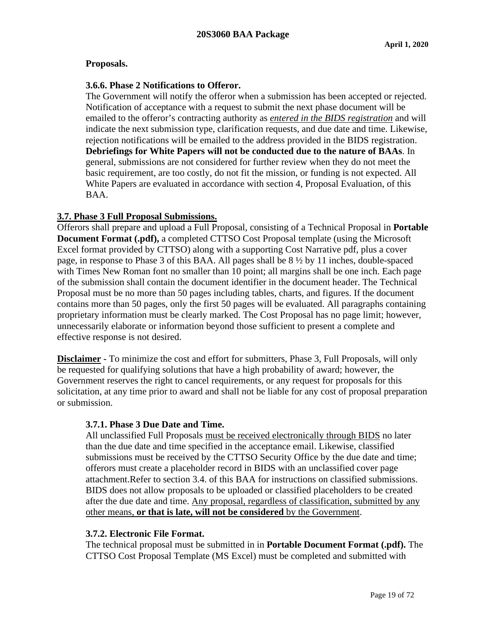### **Proposals.**

### <span id="page-18-0"></span>**3.6.6. Phase 2 Notifications to Offeror.**

The Government will notify the offeror when a submission has been accepted or rejected. Notification of acceptance with a request to submit the next phase document will be emailed to the offeror's contracting authority as *entered in the BIDS registration* and will indicate the next submission type, clarification requests, and due date and time. Likewise, rejection notifications will be emailed to the address provided in the BIDS registration. **Debriefings for White Papers will not be conducted due to the nature of BAAs**. In general, submissions are not considered for further review when they do not meet the basic requirement, are too costly, do not fit the mission, or funding is not expected. All White Papers are evaluated in accordance with section 4, Proposal Evaluation, of this BAA.

### <span id="page-18-1"></span>**3.7. Phase 3 Full Proposal Submissions.**

Offerors shall prepare and upload a Full Proposal, consisting of a Technical Proposal in **Portable Document Format (.pdf),** a completed CTTSO Cost Proposal template (using the Microsoft Excel format provided by CTTSO) along with a supporting Cost Narrative pdf, plus a cover page, in response to Phase 3 of this BAA. All pages shall be 8 ½ by 11 inches, double-spaced with Times New Roman font no smaller than 10 point; all margins shall be one inch. Each page of the submission shall contain the document identifier in the document header. The Technical Proposal must be no more than 50 pages including tables, charts, and figures. If the document contains more than 50 pages, only the first 50 pages will be evaluated. All paragraphs containing proprietary information must be clearly marked. The Cost Proposal has no page limit; however, unnecessarily elaborate or information beyond those sufficient to present a complete and effective response is not desired.

**Disclaimer -** To minimize the cost and effort for submitters, Phase 3, Full Proposals, will only be requested for qualifying solutions that have a high probability of award; however, the Government reserves the right to cancel requirements, or any request for proposals for this solicitation, at any time prior to award and shall not be liable for any cost of proposal preparation or submission.

#### <span id="page-18-2"></span>**3.7.1. Phase 3 Due Date and Time.**

All unclassified Full Proposals must be received electronically through BIDS no later than the due date and time specified in the acceptance email. Likewise, classified submissions must be received by the CTTSO Security Office by the due date and time; offerors must create a placeholder record in BIDS with an unclassified cover page attachment.Refer to section 3.4. of this BAA for instructions on classified submissions. BIDS does not allow proposals to be uploaded or classified placeholders to be created after the due date and time. Any proposal, regardless of classification, submitted by any other means, **or that is late, will not be considered** by the Government.

#### <span id="page-18-3"></span>**3.7.2. Electronic File Format.**

The technical proposal must be submitted in in **Portable Document Format (.pdf).** The CTTSO Cost Proposal Template (MS Excel) must be completed and submitted with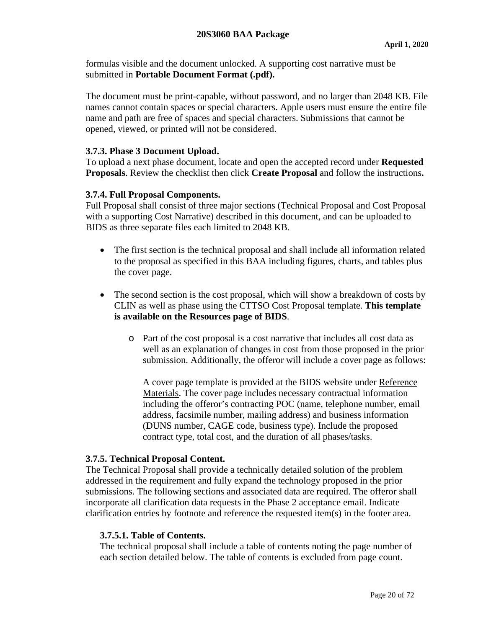formulas visible and the document unlocked. A supporting cost narrative must be submitted in **Portable Document Format (.pdf).**

The document must be print-capable, without password, and no larger than 2048 KB. File names cannot contain spaces or special characters. Apple users must ensure the entire file name and path are free of spaces and special characters. Submissions that cannot be opened, viewed, or printed will not be considered.

### <span id="page-19-0"></span>**3.7.3. Phase 3 Document Upload.**

To upload a next phase document, locate and open the accepted record under **Requested Proposals**. Review the checklist then click **Create Proposal** and follow the instructions**.**

### <span id="page-19-1"></span>**3.7.4. Full Proposal Components.**

Full Proposal shall consist of three major sections (Technical Proposal and Cost Proposal with a supporting Cost Narrative) described in this document, and can be uploaded to BIDS as three separate files each limited to 2048 KB.

- The first section is the technical proposal and shall include all information related to the proposal as specified in this BAA including figures, charts, and tables plus the cover page.
- The second section is the cost proposal, which will show a breakdown of costs by CLIN as well as phase using the CTTSO Cost Proposal template. **This template is available on the Resources page of BIDS**.
	- o Part of the cost proposal is a cost narrative that includes all cost data as well as an explanation of changes in cost from those proposed in the prior submission. Additionally, the offeror will include a cover page as follows:

A cover page template is provided at the BIDS website under [Reference](https://bids.cttso.gov/tswg/bids.nsf/xpReferenceMaterials.xsp)  [Materials.](https://bids.cttso.gov/tswg/bids.nsf/xpReferenceMaterials.xsp) The cover page includes necessary contractual information including the offeror's contracting POC (name, telephone number, email address, facsimile number, mailing address) and business information (DUNS number, CAGE code, business type). Include the proposed contract type, total cost, and the duration of all phases/tasks.

#### <span id="page-19-2"></span>**3.7.5. Technical Proposal Content.**

The Technical Proposal shall provide a technically detailed solution of the problem addressed in the requirement and fully expand the technology proposed in the prior submissions. The following sections and associated data are required. The offeror shall incorporate all clarification data requests in the Phase 2 acceptance email. Indicate clarification entries by footnote and reference the requested item(s) in the footer area.

#### <span id="page-19-3"></span>**3.7.5.1. Table of Contents.**

The technical proposal shall include a table of contents noting the page number of each section detailed below. The table of contents is excluded from page count.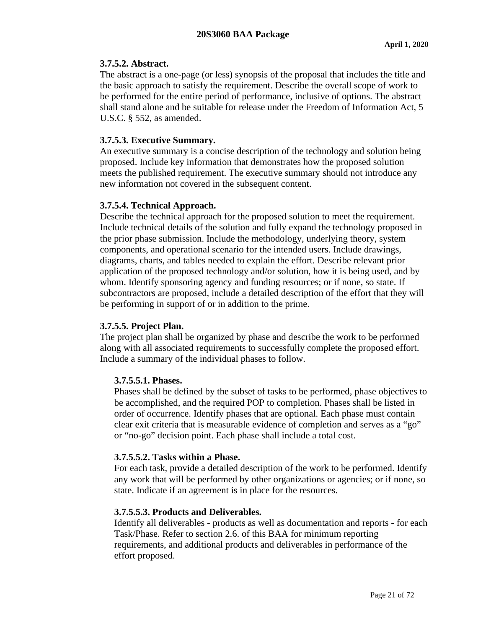### <span id="page-20-0"></span>**3.7.5.2. Abstract.**

The abstract is a one-page (or less) synopsis of the proposal that includes the title and the basic approach to satisfy the requirement. Describe the overall scope of work to be performed for the entire period of performance, inclusive of options. The abstract shall stand alone and be suitable for release under the Freedom of Information Act, 5 U.S.C. § 552, as amended.

# <span id="page-20-1"></span>**3.7.5.3. Executive Summary.**

An executive summary is a concise description of the technology and solution being proposed. Include key information that demonstrates how the proposed solution meets the published requirement. The executive summary should not introduce any new information not covered in the subsequent content.

# <span id="page-20-2"></span>**3.7.5.4. Technical Approach.**

Describe the technical approach for the proposed solution to meet the requirement. Include technical details of the solution and fully expand the technology proposed in the prior phase submission. Include the methodology, underlying theory, system components, and operational scenario for the intended users. Include drawings, diagrams, charts, and tables needed to explain the effort. Describe relevant prior application of the proposed technology and/or solution, how it is being used, and by whom. Identify sponsoring agency and funding resources; or if none, so state. If subcontractors are proposed, include a detailed description of the effort that they will be performing in support of or in addition to the prime.

### <span id="page-20-3"></span>**3.7.5.5. Project Plan.**

The project plan shall be organized by phase and describe the work to be performed along with all associated requirements to successfully complete the proposed effort. Include a summary of the individual phases to follow.

### <span id="page-20-4"></span>**3.7.5.5.1. Phases.**

Phases shall be defined by the subset of tasks to be performed, phase objectives to be accomplished, and the required POP to completion. Phases shall be listed in order of occurrence. Identify phases that are optional. Each phase must contain clear exit criteria that is measurable evidence of completion and serves as a "go" or "no-go" decision point. Each phase shall include a total cost.

### <span id="page-20-5"></span>**3.7.5.5.2. Tasks within a Phase.**

For each task, provide a detailed description of the work to be performed. Identify any work that will be performed by other organizations or agencies; or if none, so state. Indicate if an agreement is in place for the resources.

# <span id="page-20-6"></span>**3.7.5.5.3. Products and Deliverables.**

Identify all deliverables - products as well as documentation and reports - for each Task/Phase. Refer to section 2.6. of this BAA for minimum reporting requirements, and additional products and deliverables in performance of the effort proposed.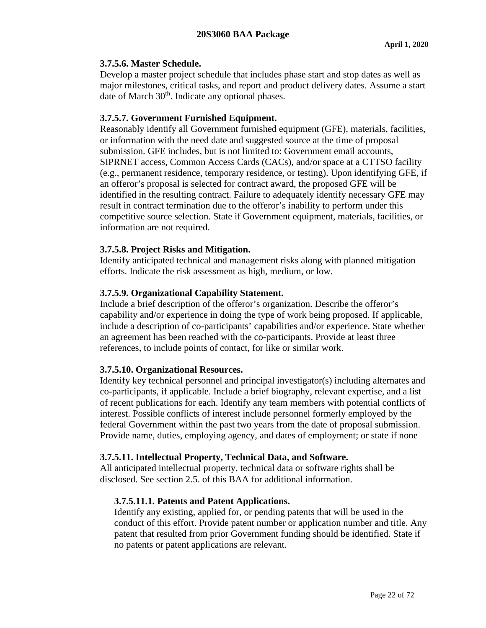### <span id="page-21-0"></span>**3.7.5.6. Master Schedule.**

Develop a master project schedule that includes phase start and stop dates as well as major milestones, critical tasks, and report and product delivery dates. Assume a start date of March 30<sup>th</sup>. Indicate any optional phases.

### <span id="page-21-1"></span>**3.7.5.7. Government Furnished Equipment.**

Reasonably identify all Government furnished equipment (GFE), materials, facilities, or information with the need date and suggested source at the time of proposal submission. GFE includes, but is not limited to: Government email accounts, SIPRNET access, Common Access Cards (CACs), and/or space at a CTTSO facility (e.g., permanent residence, temporary residence, or testing). Upon identifying GFE, if an offeror's proposal is selected for contract award, the proposed GFE will be identified in the resulting contract. Failure to adequately identify necessary GFE may result in contract termination due to the offeror's inability to perform under this competitive source selection. State if Government equipment, materials, facilities, or information are not required.

### <span id="page-21-2"></span>**3.7.5.8. Project Risks and Mitigation.**

Identify anticipated technical and management risks along with planned mitigation efforts. Indicate the risk assessment as high, medium, or low.

# <span id="page-21-3"></span>**3.7.5.9. Organizational Capability Statement.**

Include a brief description of the offeror's organization. Describe the offeror's capability and/or experience in doing the type of work being proposed. If applicable, include a description of co-participants' capabilities and/or experience. State whether an agreement has been reached with the co-participants. Provide at least three references, to include points of contact, for like or similar work.

### <span id="page-21-4"></span>**3.7.5.10. Organizational Resources.**

Identify key technical personnel and principal investigator(s) including alternates and co-participants, if applicable. Include a brief biography, relevant expertise, and a list of recent publications for each. Identify any team members with potential conflicts of interest. Possible conflicts of interest include personnel formerly employed by the federal Government within the past two years from the date of proposal submission. Provide name, duties, employing agency, and dates of employment; or state if none

### <span id="page-21-5"></span>**3.7.5.11. Intellectual Property, Technical Data, and Software.**

<span id="page-21-6"></span>All anticipated intellectual property, technical data or software rights shall be disclosed. See section 2.5. of this BAA for additional information.

### **3.7.5.11.1. Patents and Patent Applications.**

Identify any existing, applied for, or pending patents that will be used in the conduct of this effort. Provide patent number or application number and title. Any patent that resulted from prior Government funding should be identified. State if no patents or patent applications are relevant.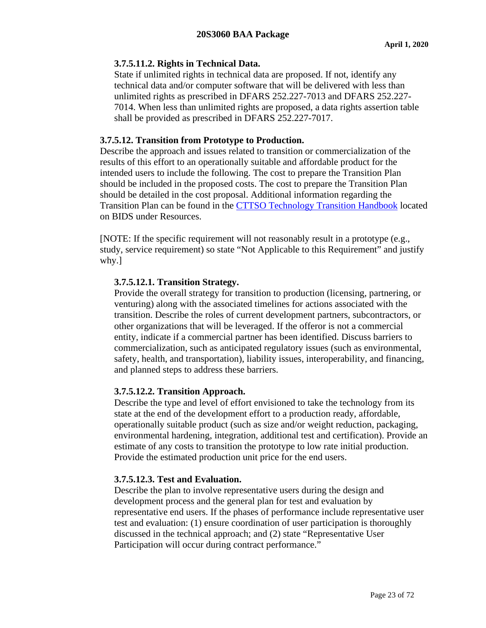### <span id="page-22-0"></span>**3.7.5.11.2. Rights in Technical Data.**

State if unlimited rights in technical data are proposed. If not, identify any technical data and/or computer software that will be delivered with less than unlimited rights as prescribed in DFARS 252.227-7013 and DFARS 252.227- 7014. When less than unlimited rights are proposed, a data rights assertion table shall be provided as prescribed in DFARS 252.227-7017.

### <span id="page-22-1"></span>**3.7.5.12. Transition from Prototype to Production.**

Describe the approach and issues related to transition or commercialization of the results of this effort to an operationally suitable and affordable product for the intended users to include the following. The cost to prepare the Transition Plan should be included in the proposed costs. The cost to prepare the Transition Plan should be detailed in the cost proposal. Additional information regarding the Transition Plan can be found in the [CTTSO Technology Transition Handbook](https://www./bids.cttso.gov/Resource/DownloadFile/1011) located on BIDS under Resources.

[NOTE: If the specific requirement will not reasonably result in a prototype (e.g., study, service requirement) so state "Not Applicable to this Requirement" and justify why.]

# <span id="page-22-2"></span>**3.7.5.12.1. Transition Strategy.**

Provide the overall strategy for transition to production (licensing, partnering, or venturing) along with the associated timelines for actions associated with the transition. Describe the roles of current development partners, subcontractors, or other organizations that will be leveraged. If the offeror is not a commercial entity, indicate if a commercial partner has been identified. Discuss barriers to commercialization, such as anticipated regulatory issues (such as environmental, safety, health, and transportation), liability issues, interoperability, and financing, and planned steps to address these barriers.

### <span id="page-22-3"></span>**3.7.5.12.2. Transition Approach.**

Describe the type and level of effort envisioned to take the technology from its state at the end of the development effort to a production ready, affordable, operationally suitable product (such as size and/or weight reduction, packaging, environmental hardening, integration, additional test and certification). Provide an estimate of any costs to transition the prototype to low rate initial production. Provide the estimated production unit price for the end users.

### <span id="page-22-4"></span>**3.7.5.12.3. Test and Evaluation.**

Describe the plan to involve representative users during the design and development process and the general plan for test and evaluation by representative end users. If the phases of performance include representative user test and evaluation: (1) ensure coordination of user participation is thoroughly discussed in the technical approach; and (2) state "Representative User Participation will occur during contract performance."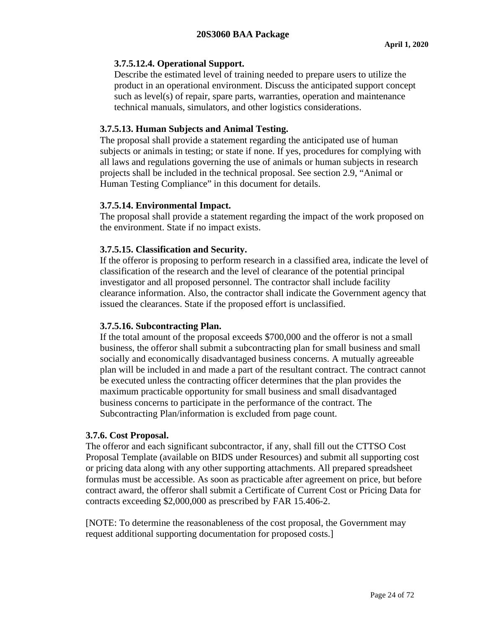### <span id="page-23-0"></span>**3.7.5.12.4. Operational Support.**

Describe the estimated level of training needed to prepare users to utilize the product in an operational environment. Discuss the anticipated support concept such as level(s) of repair, spare parts, warranties, operation and maintenance technical manuals, simulators, and other logistics considerations.

### <span id="page-23-1"></span>**3.7.5.13. Human Subjects and Animal Testing.**

The proposal shall provide a statement regarding the anticipated use of human subjects or animals in testing; or state if none. If yes, procedures for complying with all laws and regulations governing the use of animals or human subjects in research projects shall be included in the technical proposal. See section 2.9, "Animal or Human Testing Compliance" in this document for details.

### <span id="page-23-2"></span>**3.7.5.14. Environmental Impact.**

The proposal shall provide a statement regarding the impact of the work proposed on the environment. State if no impact exists.

### <span id="page-23-3"></span>**3.7.5.15. Classification and Security.**

If the offeror is proposing to perform research in a classified area, indicate the level of classification of the research and the level of clearance of the potential principal investigator and all proposed personnel. The contractor shall include facility clearance information. Also, the contractor shall indicate the Government agency that issued the clearances. State if the proposed effort is unclassified.

### <span id="page-23-4"></span>**3.7.5.16. Subcontracting Plan.**

If the total amount of the proposal exceeds \$700,000 and the offeror is not a small business, the offeror shall submit a subcontracting plan for small business and small socially and economically disadvantaged business concerns. A mutually agreeable plan will be included in and made a part of the resultant contract. The contract cannot be executed unless the contracting officer determines that the plan provides the maximum practicable opportunity for small business and small disadvantaged business concerns to participate in the performance of the contract. The Subcontracting Plan/information is excluded from page count.

#### <span id="page-23-5"></span>**3.7.6. Cost Proposal.**

The offeror and each significant subcontractor, if any, shall fill out the CTTSO Cost Proposal Template (available on BIDS under Resources) and submit all supporting cost or pricing data along with any other supporting attachments. All prepared spreadsheet formulas must be accessible. As soon as practicable after agreement on price, but before contract award, the offeror shall submit a Certificate of Current Cost or Pricing Data for contracts exceeding \$2,000,000 as prescribed by FAR 15.406-2.

[NOTE: To determine the reasonableness of the cost proposal, the Government may request additional supporting documentation for proposed costs.]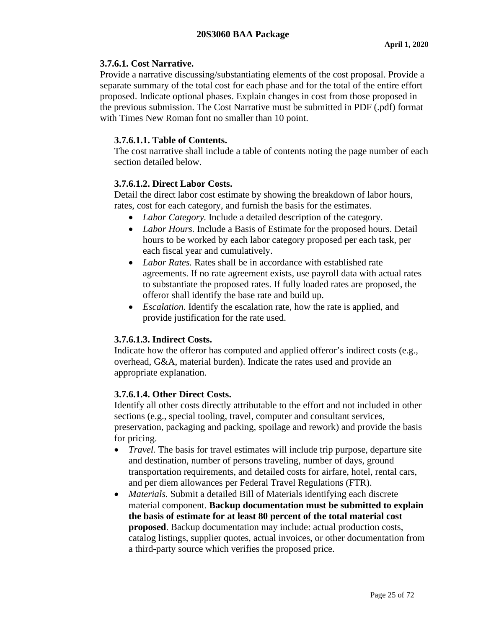### <span id="page-24-0"></span>**3.7.6.1. Cost Narrative.**

Provide a narrative discussing/substantiating elements of the cost proposal. Provide a separate summary of the total cost for each phase and for the total of the entire effort proposed. Indicate optional phases. Explain changes in cost from those proposed in the previous submission. The Cost Narrative must be submitted in PDF (.pdf) format with Times New Roman font no smaller than 10 point.

# <span id="page-24-1"></span>**3.7.6.1.1. Table of Contents.**

The cost narrative shall include a table of contents noting the page number of each section detailed below.

# <span id="page-24-2"></span>**3.7.6.1.2. Direct Labor Costs.**

Detail the direct labor cost estimate by showing the breakdown of labor hours, rates, cost for each category, and furnish the basis for the estimates.

- *Labor Category.* Include a detailed description of the category.
- *Labor Hours.* Include a Basis of Estimate for the proposed hours. Detail hours to be worked by each labor category proposed per each task, per each fiscal year and cumulatively.
- *Labor Rates.* Rates shall be in accordance with established rate agreements. If no rate agreement exists, use payroll data with actual rates to substantiate the proposed rates. If fully loaded rates are proposed, the offeror shall identify the base rate and build up.
- *Escalation*. Identify the escalation rate, how the rate is applied, and provide justification for the rate used.

# <span id="page-24-3"></span>**3.7.6.1.3. Indirect Costs.**

Indicate how the offeror has computed and applied offeror's indirect costs (e.g., overhead, G&A, material burden). Indicate the rates used and provide an appropriate explanation.

# <span id="page-24-4"></span>**3.7.6.1.4. Other Direct Costs.**

Identify all other costs directly attributable to the effort and not included in other sections (e.g., special tooling, travel, computer and consultant services, preservation, packaging and packing, spoilage and rework) and provide the basis for pricing.

- *Travel*. The basis for travel estimates will include trip purpose, departure site and destination, number of persons traveling, number of days, ground transportation requirements, and detailed costs for airfare, hotel, rental cars, and per diem allowances per Federal Travel Regulations (FTR).
- *Materials.* Submit a detailed Bill of Materials identifying each discrete material component. **Backup documentation must be submitted to explain the basis of estimate for at least 80 percent of the total material cost proposed**. Backup documentation may include: actual production costs, catalog listings, supplier quotes, actual invoices, or other documentation from a third-party source which verifies the proposed price.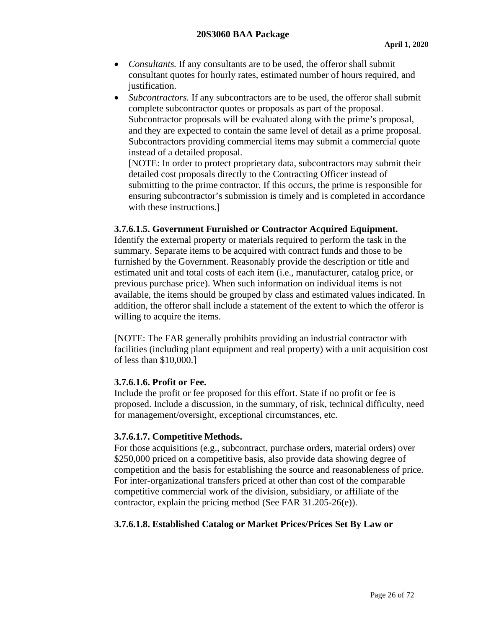- *Consultants.* If any consultants are to be used, the offeror shall submit consultant quotes for hourly rates, estimated number of hours required, and justification.
- *Subcontractors*. If any subcontractors are to be used, the offeror shall submit complete subcontractor quotes or proposals as part of the proposal. Subcontractor proposals will be evaluated along with the prime's proposal, and they are expected to contain the same level of detail as a prime proposal. Subcontractors providing commercial items may submit a commercial quote instead of a detailed proposal.

[NOTE: In order to protect proprietary data, subcontractors may submit their detailed cost proposals directly to the Contracting Officer instead of submitting to the prime contractor. If this occurs, the prime is responsible for ensuring subcontractor's submission is timely and is completed in accordance with these instructions.]

### <span id="page-25-0"></span>**3.7.6.1.5. Government Furnished or Contractor Acquired Equipment.**

Identify the external property or materials required to perform the task in the summary. Separate items to be acquired with contract funds and those to be furnished by the Government. Reasonably provide the description or title and estimated unit and total costs of each item (i.e., manufacturer, catalog price, or previous purchase price). When such information on individual items is not available, the items should be grouped by class and estimated values indicated. In addition, the offeror shall include a statement of the extent to which the offeror is willing to acquire the items.

[NOTE: The FAR generally prohibits providing an industrial contractor with facilities (including plant equipment and real property) with a unit acquisition cost of less than \$10,000.]

#### <span id="page-25-1"></span>**3.7.6.1.6. Profit or Fee.**

Include the profit or fee proposed for this effort. State if no profit or fee is proposed. Include a discussion, in the summary, of risk, technical difficulty, need for management/oversight, exceptional circumstances, etc.

### <span id="page-25-2"></span>**3.7.6.1.7. Competitive Methods.**

For those acquisitions (e.g., subcontract, purchase orders, material orders) over \$250,000 priced on a competitive basis, also provide data showing degree of competition and the basis for establishing the source and reasonableness of price. For inter-organizational transfers priced at other than cost of the comparable competitive commercial work of the division, subsidiary, or affiliate of the contractor, explain the pricing method (See FAR 31.205-26(e)).

### <span id="page-25-3"></span>**3.7.6.1.8. Established Catalog or Market Prices/Prices Set By Law or**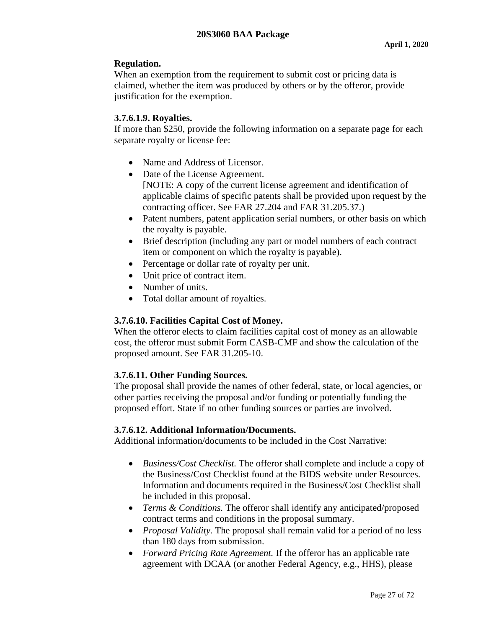# **Regulation.**

When an exemption from the requirement to submit cost or pricing data is claimed, whether the item was produced by others or by the offeror, provide justification for the exemption.

### <span id="page-26-0"></span>**3.7.6.1.9. Royalties.**

If more than \$250, provide the following information on a separate page for each separate royalty or license fee:

- Name and Address of Licensor.
- Date of the License Agreement. [NOTE: A copy of the current license agreement and identification of applicable claims of specific patents shall be provided upon request by the contracting officer. See FAR 27.204 and FAR 31.205.37.)
- Patent numbers, patent application serial numbers, or other basis on which the royalty is payable.
- Brief description (including any part or model numbers of each contract item or component on which the royalty is payable).
- Percentage or dollar rate of royalty per unit.
- Unit price of contract item.
- Number of units.
- Total dollar amount of royalties.

# <span id="page-26-1"></span>**3.7.6.10. Facilities Capital Cost of Money.**

When the offeror elects to claim facilities capital cost of money as an allowable cost, the offeror must submit Form CASB-CMF and show the calculation of the proposed amount. See FAR 31.205-10.

# <span id="page-26-2"></span>**3.7.6.11. Other Funding Sources.**

The proposal shall provide the names of other federal, state, or local agencies, or other parties receiving the proposal and/or funding or potentially funding the proposed effort. State if no other funding sources or parties are involved.

### <span id="page-26-3"></span>**3.7.6.12. Additional Information/Documents.**

Additional information/documents to be included in the Cost Narrative:

- *Business/Cost Checklist.* The offeror shall complete and include a copy of the Business/Cost Checklist found at the BIDS website under Resources. Information and documents required in the Business/Cost Checklist shall be included in this proposal.
- *Terms & Conditions.* The offeror shall identify any anticipated/proposed contract terms and conditions in the proposal summary.
- *Proposal Validity*. The proposal shall remain valid for a period of no less than 180 days from submission.
- *Forward Pricing Rate Agreement.* If the offeror has an applicable rate agreement with DCAA (or another Federal Agency, e.g., HHS), please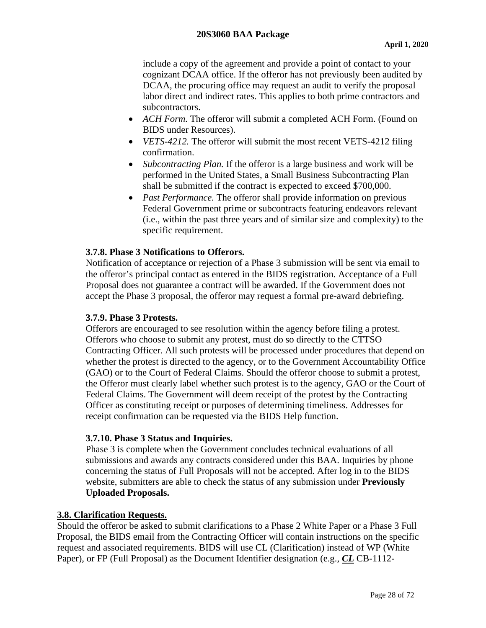include a copy of the agreement and provide a point of contact to your cognizant DCAA office. If the offeror has not previously been audited by DCAA, the procuring office may request an audit to verify the proposal labor direct and indirect rates. This applies to both prime contractors and subcontractors.

- *ACH Form.* The offeror will submit a completed ACH Form. (Found on BIDS under Resources).
- *VETS-4212.* The offeror will submit the most recent VETS-4212 filing confirmation.
- *Subcontracting Plan.* If the offeror is a large business and work will be performed in the United States, a Small Business Subcontracting Plan shall be submitted if the contract is expected to exceed \$700,000.
- *Past Performance*. The offeror shall provide information on previous Federal Government prime or subcontracts featuring endeavors relevant (i.e., within the past three years and of similar size and complexity) to the specific requirement.

### <span id="page-27-0"></span>**3.7.8. Phase 3 Notifications to Offerors.**

Notification of acceptance or rejection of a Phase 3 submission will be sent via email to the offeror's principal contact as entered in the BIDS registration. Acceptance of a Full Proposal does not guarantee a contract will be awarded. If the Government does not accept the Phase 3 proposal, the offeror may request a formal pre-award debriefing.

### <span id="page-27-1"></span>**3.7.9. Phase 3 Protests.**

Offerors are encouraged to see resolution within the agency before filing a protest. Offerors who choose to submit any protest, must do so directly to the CTTSO Contracting Officer. All such protests will be processed under procedures that depend on whether the protest is directed to the agency, or to the Government Accountability Office (GAO) or to the Court of Federal Claims. Should the offeror choose to submit a protest, the Offeror must clearly label whether such protest is to the agency, GAO or the Court of Federal Claims. The Government will deem receipt of the protest by the Contracting Officer as constituting receipt or purposes of determining timeliness. Addresses for receipt confirmation can be requested via the BIDS Help function.

### <span id="page-27-2"></span>**3.7.10. Phase 3 Status and Inquiries.**

Phase 3 is complete when the Government concludes technical evaluations of all submissions and awards any contracts considered under this BAA. Inquiries by phone concerning the status of Full Proposals will not be accepted. After log in to the BIDS website, submitters are able to check the status of any submission under **Previously Uploaded Proposals.**

### <span id="page-27-3"></span>**3.8. Clarification Requests.**

Should the offeror be asked to submit clarifications to a Phase 2 White Paper or a Phase 3 Full Proposal, the BIDS email from the Contracting Officer will contain instructions on the specific request and associated requirements. BIDS will use CL (Clarification) instead of WP (White Paper), or FP (Full Proposal) as the Document Identifier designation (e.g., *CL* CB-1112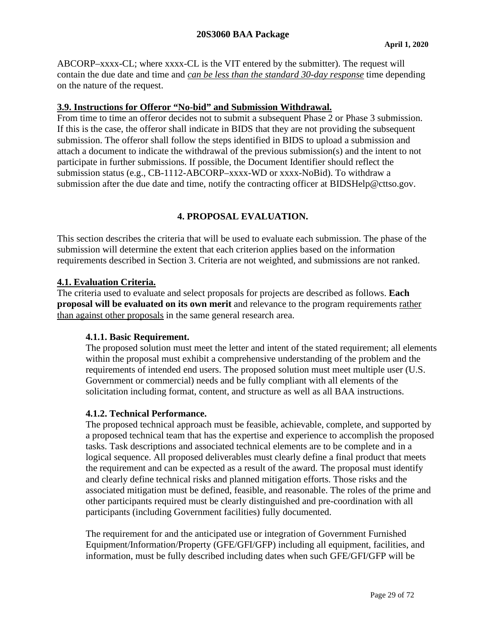ABCORP–xxxx-CL; where xxxx-CL is the VIT entered by the submitter). The request will contain the due date and time and *can be less than the standard 30-day response* time depending on the nature of the request.

### <span id="page-28-0"></span>**3.9. Instructions for Offeror "No-bid" and Submission Withdrawal.**

From time to time an offeror decides not to submit a subsequent Phase 2 or Phase 3 submission. If this is the case, the offeror shall indicate in BIDS that they are not providing the subsequent submission. The offeror shall follow the steps identified in BIDS to upload a submission and attach a document to indicate the withdrawal of the previous submission(s) and the intent to not participate in further submissions. If possible, the Document Identifier should reflect the submission status (e.g., CB-1112-ABCORP–xxxx-WD or xxxx-NoBid). To withdraw a submission after the due date and time, notify the contracting officer at BIDSHelp@cttso.gov.

# **4. PROPOSAL EVALUATION.**

<span id="page-28-1"></span>This section describes the criteria that will be used to evaluate each submission. The phase of the submission will determine the extent that each criterion applies based on the information requirements described in Section 3. Criteria are not weighted, and submissions are not ranked.

### <span id="page-28-2"></span>**4.1. Evaluation Criteria.**

The criteria used to evaluate and select proposals for projects are described as follows. **Each proposal will be evaluated on its own merit** and relevance to the program requirements rather than against other proposals in the same general research area.

### <span id="page-28-3"></span>**4.1.1. Basic Requirement.**

The proposed solution must meet the letter and intent of the stated requirement; all elements within the proposal must exhibit a comprehensive understanding of the problem and the requirements of intended end users. The proposed solution must meet multiple user (U.S. Government or commercial) needs and be fully compliant with all elements of the solicitation including format, content, and structure as well as all BAA instructions.

#### <span id="page-28-4"></span>**4.1.2. Technical Performance.**

The proposed technical approach must be feasible, achievable, complete, and supported by a proposed technical team that has the expertise and experience to accomplish the proposed tasks. Task descriptions and associated technical elements are to be complete and in a logical sequence. All proposed deliverables must clearly define a final product that meets the requirement and can be expected as a result of the award. The proposal must identify and clearly define technical risks and planned mitigation efforts. Those risks and the associated mitigation must be defined, feasible, and reasonable. The roles of the prime and other participants required must be clearly distinguished and pre-coordination with all participants (including Government facilities) fully documented.

The requirement for and the anticipated use or integration of Government Furnished Equipment/Information/Property (GFE/GFI/GFP) including all equipment, facilities, and information, must be fully described including dates when such GFE/GFI/GFP will be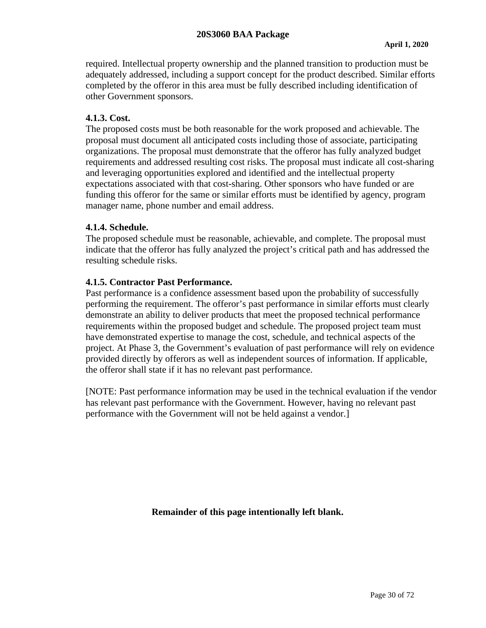required. Intellectual property ownership and the planned transition to production must be adequately addressed, including a support concept for the product described. Similar efforts completed by the offeror in this area must be fully described including identification of other Government sponsors.

### <span id="page-29-0"></span>**4.1.3. Cost.**

The proposed costs must be both reasonable for the work proposed and achievable. The proposal must document all anticipated costs including those of associate, participating organizations. The proposal must demonstrate that the offeror has fully analyzed budget requirements and addressed resulting cost risks. The proposal must indicate all cost-sharing and leveraging opportunities explored and identified and the intellectual property expectations associated with that cost-sharing. Other sponsors who have funded or are funding this offeror for the same or similar efforts must be identified by agency, program manager name, phone number and email address.

#### <span id="page-29-1"></span>**4.1.4. Schedule.**

The proposed schedule must be reasonable, achievable, and complete. The proposal must indicate that the offeror has fully analyzed the project's critical path and has addressed the resulting schedule risks.

#### <span id="page-29-2"></span>**4.1.5. Contractor Past Performance.**

Past performance is a confidence assessment based upon the probability of successfully performing the requirement. The offeror's past performance in similar efforts must clearly demonstrate an ability to deliver products that meet the proposed technical performance requirements within the proposed budget and schedule. The proposed project team must have demonstrated expertise to manage the cost, schedule, and technical aspects of the project. At Phase 3, the Government's evaluation of past performance will rely on evidence provided directly by offerors as well as independent sources of information. If applicable, the offeror shall state if it has no relevant past performance.

[NOTE: Past performance information may be used in the technical evaluation if the vendor has relevant past performance with the Government. However, having no relevant past performance with the Government will not be held against a vendor.]

**Remainder of this page intentionally left blank.**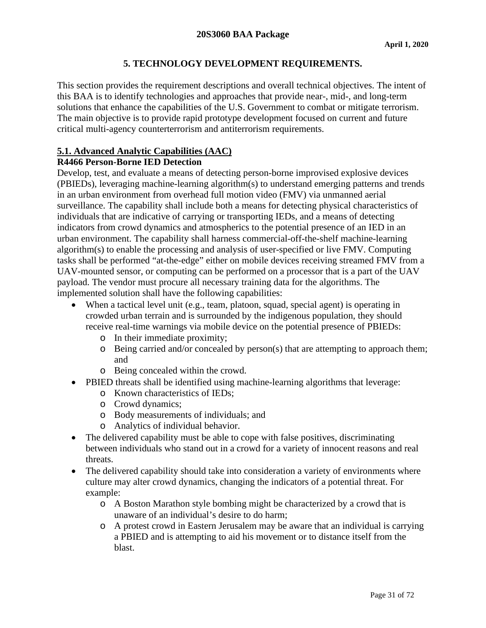# **5. TECHNOLOGY DEVELOPMENT REQUIREMENTS.**

<span id="page-30-0"></span>This section provides the requirement descriptions and overall technical objectives. The intent of this BAA is to identify technologies and approaches that provide near-, mid-, and long-term solutions that enhance the capabilities of the U.S. Government to combat or mitigate terrorism. The main objective is to provide rapid prototype development focused on current and future critical multi-agency counterterrorism and antiterrorism requirements.

### <span id="page-30-1"></span>**5.1. Advanced Analytic Capabilities (AAC)**

### **R4466 Person-Borne IED Detection**

Develop, test, and evaluate a means of detecting person-borne improvised explosive devices (PBIEDs), leveraging machine-learning algorithm(s) to understand emerging patterns and trends in an urban environment from overhead full motion video (FMV) via unmanned aerial surveillance. The capability shall include both a means for detecting physical characteristics of individuals that are indicative of carrying or transporting IEDs, and a means of detecting indicators from crowd dynamics and atmospherics to the potential presence of an IED in an urban environment. The capability shall harness commercial-off-the-shelf machine-learning algorithm(s) to enable the processing and analysis of user-specified or live FMV. Computing tasks shall be performed "at-the-edge" either on mobile devices receiving streamed FMV from a UAV-mounted sensor, or computing can be performed on a processor that is a part of the UAV payload. The vendor must procure all necessary training data for the algorithms. The implemented solution shall have the following capabilities:

- When a tactical level unit (e.g., team, platoon, squad, special agent) is operating in crowded urban terrain and is surrounded by the indigenous population, they should receive real-time warnings via mobile device on the potential presence of PBIEDs:
	- o In their immediate proximity;
	- o Being carried and/or concealed by person(s) that are attempting to approach them; and
	- o Being concealed within the crowd.
- PBIED threats shall be identified using machine-learning algorithms that leverage:
	- o Known characteristics of IEDs;
	- o Crowd dynamics;
	- o Body measurements of individuals; and
	- o Analytics of individual behavior.
- The delivered capability must be able to cope with false positives, discriminating between individuals who stand out in a crowd for a variety of innocent reasons and real threats.
- The delivered capability should take into consideration a variety of environments where culture may alter crowd dynamics, changing the indicators of a potential threat. For example:
	- o A Boston Marathon style bombing might be characterized by a crowd that is unaware of an individual's desire to do harm;
	- o A protest crowd in Eastern Jerusalem may be aware that an individual is carrying a PBIED and is attempting to aid his movement or to distance itself from the blast.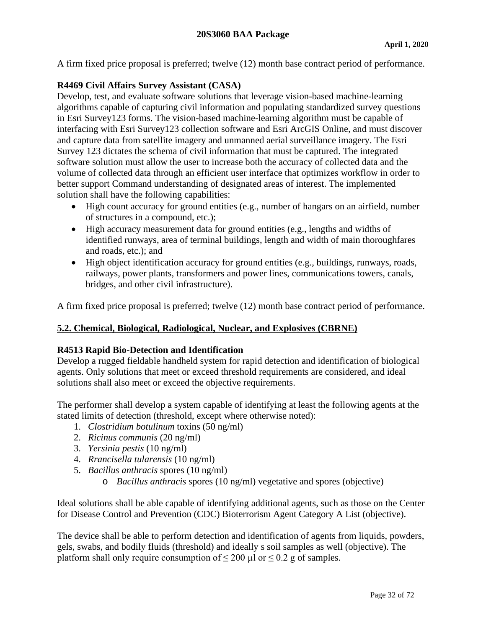A firm fixed price proposal is preferred; twelve (12) month base contract period of performance.

### **R4469 Civil Affairs Survey Assistant (CASA)**

Develop, test, and evaluate software solutions that leverage vision-based machine-learning algorithms capable of capturing civil information and populating standardized survey questions in Esri Survey123 forms. The vision-based machine-learning algorithm must be capable of interfacing with Esri Survey123 collection software and Esri ArcGIS Online, and must discover and capture data from satellite imagery and unmanned aerial surveillance imagery. The Esri Survey 123 dictates the schema of civil information that must be captured. The integrated software solution must allow the user to increase both the accuracy of collected data and the volume of collected data through an efficient user interface that optimizes workflow in order to better support Command understanding of designated areas of interest. The implemented solution shall have the following capabilities:

- High count accuracy for ground entities (e.g., number of hangars on an airfield, number of structures in a compound, etc.);
- High accuracy measurement data for ground entities (e.g., lengths and widths of identified runways, area of terminal buildings, length and width of main thoroughfares and roads, etc.); and
- High object identification accuracy for ground entities (e.g., buildings, runways, roads, railways, power plants, transformers and power lines, communications towers, canals, bridges, and other civil infrastructure).

A firm fixed price proposal is preferred; twelve (12) month base contract period of performance.

# <span id="page-31-0"></span>**5.2. Chemical, Biological, Radiological, Nuclear, and Explosives (CBRNE)**

### **R4513 Rapid Bio-Detection and Identification**

Develop a rugged fieldable handheld system for rapid detection and identification of biological agents. Only solutions that meet or exceed threshold requirements are considered, and ideal solutions shall also meet or exceed the objective requirements.

The performer shall develop a system capable of identifying at least the following agents at the stated limits of detection (threshold, except where otherwise noted):

- 1. *Clostridium botulinum* toxins (50 ng/ml)
- 2. *Ricinus communis* (20 ng/ml)
- 3. *Yersinia pestis* (10 ng/ml)
- 4. *Rrancisella tularensis* (10 ng/ml)
- 5. *Bacillus anthracis* spores (10 ng/ml)
	- o *Bacillus anthracis* spores (10 ng/ml) vegetative and spores (objective)

Ideal solutions shall be able capable of identifying additional agents, such as those on the Center for Disease Control and Prevention (CDC) Bioterrorism Agent Category A List (objective).

The device shall be able to perform detection and identification of agents from liquids, powders, gels, swabs, and bodily fluids (threshold) and ideally s soil samples as well (objective). The platform shall only require consumption of  $\leq 200$  µl or  $\leq 0.2$  g of samples.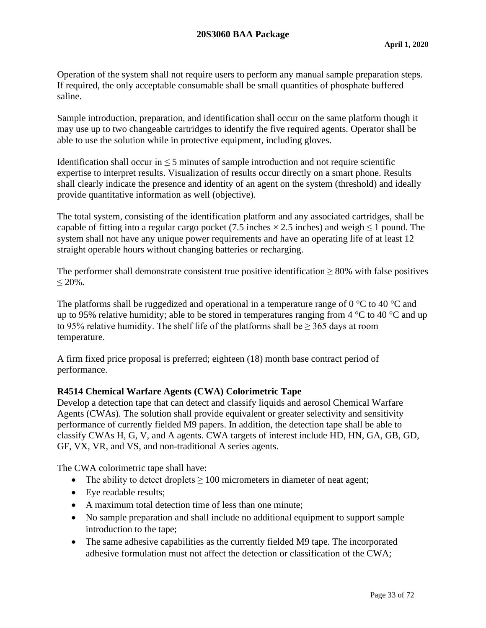Operation of the system shall not require users to perform any manual sample preparation steps. If required, the only acceptable consumable shall be small quantities of phosphate buffered saline.

Sample introduction, preparation, and identification shall occur on the same platform though it may use up to two changeable cartridges to identify the five required agents. Operator shall be able to use the solution while in protective equipment, including gloves.

Identification shall occur in  $\leq$  5 minutes of sample introduction and not require scientific expertise to interpret results. Visualization of results occur directly on a smart phone. Results shall clearly indicate the presence and identity of an agent on the system (threshold) and ideally provide quantitative information as well (objective).

The total system, consisting of the identification platform and any associated cartridges, shall be capable of fitting into a regular cargo pocket (7.5 inches  $\times$  2.5 inches) and weigh  $\leq$  1 pound. The system shall not have any unique power requirements and have an operating life of at least 12 straight operable hours without changing batteries or recharging.

The performer shall demonstrate consistent true positive identification  $> 80\%$  with false positives  $< 20\%$ .

The platforms shall be ruggedized and operational in a temperature range of 0  $\degree$ C to 40  $\degree$ C and up to 95% relative humidity; able to be stored in temperatures ranging from  $4^{\circ}$ C to  $40^{\circ}$ C and up to 95% relative humidity. The shelf life of the platforms shall be  $\geq$  365 days at room temperature.

A firm fixed price proposal is preferred; eighteen (18) month base contract period of performance.

### **R4514 Chemical Warfare Agents (CWA) Colorimetric Tape**

Develop a detection tape that can detect and classify liquids and aerosol Chemical Warfare Agents (CWAs). The solution shall provide equivalent or greater selectivity and sensitivity performance of currently fielded M9 papers. In addition, the detection tape shall be able to classify CWAs H, G, V, and A agents. CWA targets of interest include HD, HN, GA, GB, GD, GF, VX, VR, and VS, and non-traditional A series agents.

The CWA colorimetric tape shall have:

- The ability to detect droplets  $\geq 100$  micrometers in diameter of neat agent;
- Eye readable results:
- A maximum total detection time of less than one minute:
- No sample preparation and shall include no additional equipment to support sample introduction to the tape;
- The same adhesive capabilities as the currently fielded M9 tape. The incorporated adhesive formulation must not affect the detection or classification of the CWA;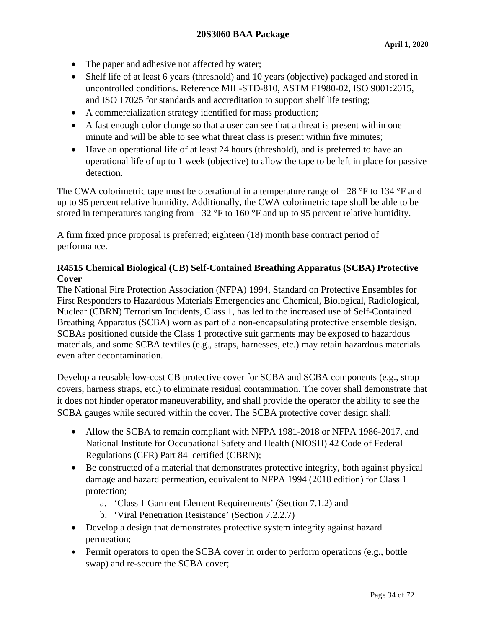- The paper and adhesive not affected by water;
- Shelf life of at least 6 years (threshold) and 10 years (objective) packaged and stored in uncontrolled conditions. Reference MIL-STD-810, ASTM F1980-02, ISO 9001:2015, and ISO 17025 for standards and accreditation to support shelf life testing;
- A commercialization strategy identified for mass production;
- A fast enough color change so that a user can see that a threat is present within one minute and will be able to see what threat class is present within five minutes;
- Have an operational life of at least 24 hours (threshold), and is preferred to have an operational life of up to 1 week (objective) to allow the tape to be left in place for passive detection.

The CWA colorimetric tape must be operational in a temperature range of −28 °F to 134 °F and up to 95 percent relative humidity. Additionally, the CWA colorimetric tape shall be able to be stored in temperatures ranging from −32 °F to 160 °F and up to 95 percent relative humidity.

A firm fixed price proposal is preferred; eighteen (18) month base contract period of performance.

### **R4515 Chemical Biological (CB) Self-Contained Breathing Apparatus (SCBA) Protective Cover**

The National Fire Protection Association (NFPA) 1994, Standard on Protective Ensembles for First Responders to Hazardous Materials Emergencies and Chemical, Biological, Radiological, Nuclear (CBRN) Terrorism Incidents, Class 1, has led to the increased use of Self-Contained Breathing Apparatus (SCBA) worn as part of a non-encapsulating protective ensemble design. SCBAs positioned outside the Class 1 protective suit garments may be exposed to hazardous materials, and some SCBA textiles (e.g., straps, harnesses, etc.) may retain hazardous materials even after decontamination.

Develop a reusable low-cost CB protective cover for SCBA and SCBA components (e.g., strap covers, harness straps, etc.) to eliminate residual contamination. The cover shall demonstrate that it does not hinder operator maneuverability, and shall provide the operator the ability to see the SCBA gauges while secured within the cover. The SCBA protective cover design shall:

- Allow the SCBA to remain compliant with NFPA 1981-2018 or NFPA 1986-2017, and National Institute for Occupational Safety and Health (NIOSH) 42 Code of Federal Regulations (CFR) Part 84–certified (CBRN);
- Be constructed of a material that demonstrates protective integrity, both against physical damage and hazard permeation, equivalent to NFPA 1994 (2018 edition) for Class 1 protection;
	- a. 'Class 1 Garment Element Requirements' (Section 7.1.2) and
	- b. 'Viral Penetration Resistance' (Section 7.2.2.7)
- Develop a design that demonstrates protective system integrity against hazard permeation;
- Permit operators to open the SCBA cover in order to perform operations (e.g., bottle swap) and re-secure the SCBA cover;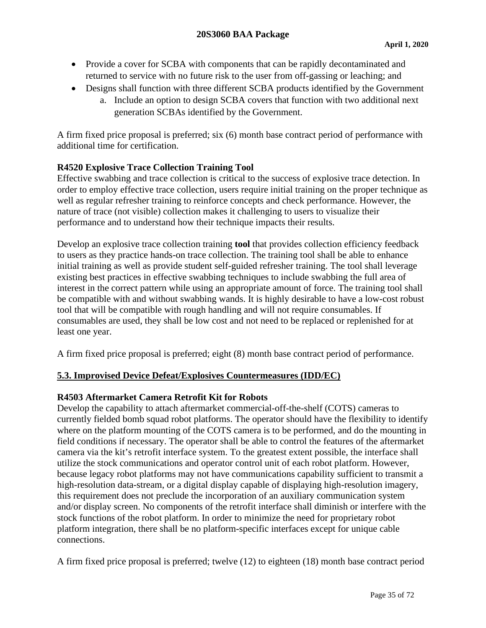- Provide a cover for SCBA with components that can be rapidly decontaminated and returned to service with no future risk to the user from off-gassing or leaching; and
- Designs shall function with three different SCBA products identified by the Government
	- a. Include an option to design SCBA covers that function with two additional next generation SCBAs identified by the Government.

A firm fixed price proposal is preferred; six (6) month base contract period of performance with additional time for certification.

# **R4520 Explosive Trace Collection Training Tool**

Effective swabbing and trace collection is critical to the success of explosive trace detection. In order to employ effective trace collection, users require initial training on the proper technique as well as regular refresher training to reinforce concepts and check performance. However, the nature of trace (not visible) collection makes it challenging to users to visualize their performance and to understand how their technique impacts their results.

Develop an explosive trace collection training **tool** that provides collection efficiency feedback to users as they practice hands-on trace collection. The training tool shall be able to enhance initial training as well as provide student self-guided refresher training. The tool shall leverage existing best practices in effective swabbing techniques to include swabbing the full area of interest in the correct pattern while using an appropriate amount of force. The training tool shall be compatible with and without swabbing wands. It is highly desirable to have a low-cost robust tool that will be compatible with rough handling and will not require consumables. If consumables are used, they shall be low cost and not need to be replaced or replenished for at least one year.

A firm fixed price proposal is preferred; eight (8) month base contract period of performance.

### <span id="page-34-0"></span>**5.3. Improvised Device Defeat/Explosives Countermeasures (IDD/EC)**

### **R4503 Aftermarket Camera Retrofit Kit for Robots**

Develop the capability to attach aftermarket commercial-off-the-shelf (COTS) cameras to currently fielded bomb squad robot platforms. The operator should have the flexibility to identify where on the platform mounting of the COTS camera is to be performed, and do the mounting in field conditions if necessary. The operator shall be able to control the features of the aftermarket camera via the kit's retrofit interface system. To the greatest extent possible, the interface shall utilize the stock communications and operator control unit of each robot platform. However, because legacy robot platforms may not have communications capability sufficient to transmit a high-resolution data-stream, or a digital display capable of displaying high-resolution imagery, this requirement does not preclude the incorporation of an auxiliary communication system and/or display screen. No components of the retrofit interface shall diminish or interfere with the stock functions of the robot platform. In order to minimize the need for proprietary robot platform integration, there shall be no platform-specific interfaces except for unique cable connections.

A firm fixed price proposal is preferred; twelve (12) to eighteen (18) month base contract period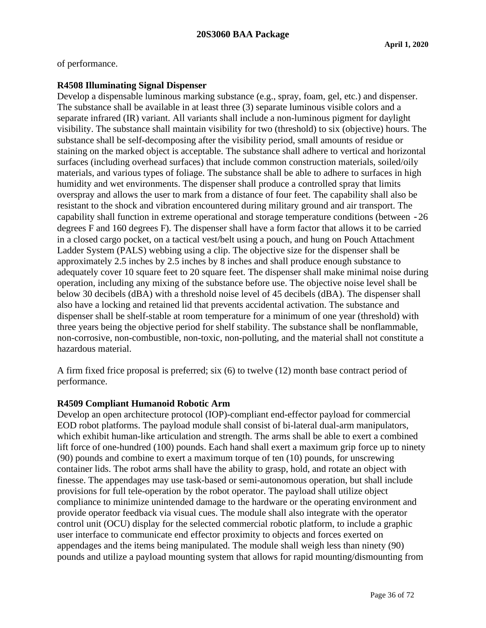of performance.

### **R4508 Illuminating Signal Dispenser**

Develop a dispensable luminous marking substance (e.g., spray, foam, gel, etc.) and dispenser. The substance shall be available in at least three (3) separate luminous visible colors and a separate infrared (IR) variant. All variants shall include a non-luminous pigment for daylight visibility. The substance shall maintain visibility for two (threshold) to six (objective) hours. The substance shall be self-decomposing after the visibility period, small amounts of residue or staining on the marked object is acceptable. The substance shall adhere to vertical and horizontal surfaces (including overhead surfaces) that include common construction materials, soiled/oily materials, and various types of foliage. The substance shall be able to adhere to surfaces in high humidity and wet environments. The dispenser shall produce a controlled spray that limits overspray and allows the user to mark from a distance of four feet. The capability shall also be resistant to the shock and vibration encountered during military ground and air transport. The capability shall function in extreme operational and storage temperature conditions (between -26 degrees F and 160 degrees F). The dispenser shall have a form factor that allows it to be carried in a closed cargo pocket, on a tactical vest/belt using a pouch, and hung on Pouch Attachment Ladder System (PALS) webbing using a clip. The objective size for the dispenser shall be approximately 2.5 inches by 2.5 inches by 8 inches and shall produce enough substance to adequately cover 10 square feet to 20 square feet. The dispenser shall make minimal noise during operation, including any mixing of the substance before use. The objective noise level shall be below 30 decibels (dBA) with a threshold noise level of 45 decibels (dBA). The dispenser shall also have a locking and retained lid that prevents accidental activation. The substance and dispenser shall be shelf-stable at room temperature for a minimum of one year (threshold) with three years being the objective period for shelf stability. The substance shall be nonflammable, non-corrosive, non-combustible, non-toxic, non-polluting, and the material shall not constitute a hazardous material.

A firm fixed frice proposal is preferred; six (6) to twelve (12) month base contract period of performance.

### **R4509 Compliant Humanoid Robotic Arm**

Develop an open architecture protocol (IOP)-compliant end-effector payload for commercial EOD robot platforms. The payload module shall consist of bi-lateral dual-arm manipulators, which exhibit human-like articulation and strength. The arms shall be able to exert a combined lift force of one-hundred (100) pounds. Each hand shall exert a maximum grip force up to ninety (90) pounds and combine to exert a maximum torque of ten (10) pounds, for unscrewing container lids. The robot arms shall have the ability to grasp, hold, and rotate an object with finesse. The appendages may use task-based or semi-autonomous operation, but shall include provisions for full tele-operation by the robot operator. The payload shall utilize object compliance to minimize unintended damage to the hardware or the operating environment and provide operator feedback via visual cues. The module shall also integrate with the operator control unit (OCU) display for the selected commercial robotic platform, to include a graphic user interface to communicate end effector proximity to objects and forces exerted on appendages and the items being manipulated. The module shall weigh less than ninety (90) pounds and utilize a payload mounting system that allows for rapid mounting/dismounting from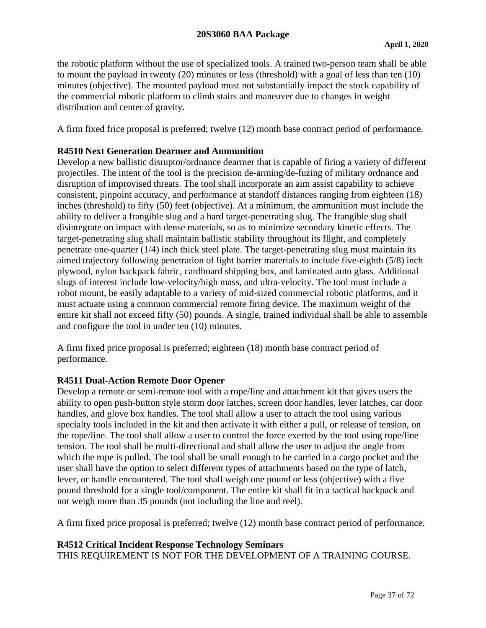the robotic platform without the use of specialized tools. A trained two-person team shall be able to mount the payload in twenty (20) minutes or less (threshold) with a goal of less than ten (10) minutes (objective). The mounted payload must not substantially impact the stock capability of the commercial robotic platform to climb stairs and maneuver due to changes in weight distribution and center of gravity.

A firm fixed frice proposal is preferred; twelve (12) month base contract period of performance.

## **R4510 Next Generation Dearmer and Ammunition**

Develop a new ballistic disruptor/ordnance dearmer that is capable of firing a variety of different projectiles. The intent of the tool is the precision de-arming/de-fuzing of military ordnance and disruption of improvised threats. The tool shall incorporate an aim assist capability to achieve consistent, pinpoint accuracy, and performance at standoff distances ranging from eighteen (18) inches (threshold) to fifty (50) feet (objective). At a minimum, the ammunition must include the ability to deliver a frangible slug and a hard target-penetrating slug. The frangible slug shall disintegrate on impact with dense materials, so as to minimize secondary kinetic effects. The target-penetrating slug shall maintain ballistic stability throughout its flight, and completely penetrate one-quarter (1/4) inch thick steel plate. The target-penetrating slug must maintain its aimed trajectory following penetration of light barrier materials to include five-eighth (5/8) inch plywood, nylon backpack fabric, cardboard shipping box, and laminated auto glass. Additional slugs of interest include low-velocity/high mass, and ultra-velocity. The tool must include a robot mount, be easily adaptable to a variety of mid-sized commercial robotic platforms, and it must actuate using a common commercial remote firing device. The maximum weight of the entire kit shall not exceed fifty (50) pounds. A single, trained individual shall be able to assemble and configure the tool in under ten (10) minutes.

A firm fixed price proposal is preferred; eighteen (18) month base contract period of performance.

## **R4511 Dual-Action Remote Door Opener**

Develop a remote or semi-remote tool with a rope/line and attachment kit that gives users the ability to open push-button style storm door latches, screen door handles, lever latches, car door handles, and glove box handles. The tool shall allow a user to attach the tool using various specialty tools included in the kit and then activate it with either a pull, or release of tension, on the rope/line. The tool shall allow a user to control the force exerted by the tool using rope/line tension. The tool shall be multi-directional and shall allow the user to adjust the angle from which the rope is pulled. The tool shall be small enough to be carried in a cargo pocket and the user shall have the option to select different types of attachments based on the type of latch, lever, or handle encountered. The tool shall weigh one pound or less (objective) with a five pound threshold for a single tool/component. The entire kit shall fit in a tactical backpack and not weigh more than 35 pounds (not including the line and reel).

A firm fixed price proposal is preferred; twelve (12) month base contract period of performance.

## **R4512 Critical Incident Response Technology Seminars**

THIS REQUIREMENT IS NOT FOR THE DEVELOPMENT OF A TRAINING COURSE.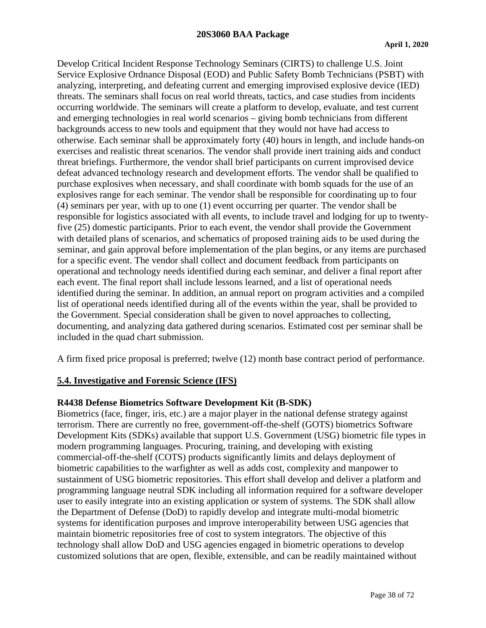Develop Critical Incident Response Technology Seminars (CIRTS) to challenge U.S. Joint Service Explosive Ordnance Disposal (EOD) and Public Safety Bomb Technicians (PSBT) with analyzing, interpreting, and defeating current and emerging improvised explosive device (IED) threats. The seminars shall focus on real world threats, tactics, and case studies from incidents occurring worldwide. The seminars will create a platform to develop, evaluate, and test current and emerging technologies in real world scenarios – giving bomb technicians from different backgrounds access to new tools and equipment that they would not have had access to otherwise. Each seminar shall be approximately forty (40) hours in length, and include hands-on exercises and realistic threat scenarios. The vendor shall provide inert training aids and conduct threat briefings. Furthermore, the vendor shall brief participants on current improvised device defeat advanced technology research and development efforts. The vendor shall be qualified to purchase explosives when necessary, and shall coordinate with bomb squads for the use of an explosives range for each seminar. The vendor shall be responsible for coordinating up to four (4) seminars per year, with up to one (1) event occurring per quarter. The vendor shall be responsible for logistics associated with all events, to include travel and lodging for up to twentyfive (25) domestic participants. Prior to each event, the vendor shall provide the Government with detailed plans of scenarios, and schematics of proposed training aids to be used during the seminar, and gain approval before implementation of the plan begins, or any items are purchased for a specific event. The vendor shall collect and document feedback from participants on operational and technology needs identified during each seminar, and deliver a final report after each event. The final report shall include lessons learned, and a list of operational needs identified during the seminar. In addition, an annual report on program activities and a compiled list of operational needs identified during all of the events within the year, shall be provided to the Government. Special consideration shall be given to novel approaches to collecting, documenting, and analyzing data gathered during scenarios. Estimated cost per seminar shall be included in the quad chart submission.

A firm fixed price proposal is preferred; twelve (12) month base contract period of performance.

## **5.4. Investigative and Forensic Science (IFS)**

## **R4438 Defense Biometrics Software Development Kit (B-SDK)**

Biometrics (face, finger, iris, etc.) are a major player in the national defense strategy against terrorism. There are currently no free, government-off-the-shelf (GOTS) biometrics Software Development Kits (SDKs) available that support U.S. Government (USG) biometric file types in modern programming languages. Procuring, training, and developing with existing commercial-off-the-shelf (COTS) products significantly limits and delays deployment of biometric capabilities to the warfighter as well as adds cost, complexity and manpower to sustainment of USG biometric repositories. This effort shall develop and deliver a platform and programming language neutral SDK including all information required for a software developer user to easily integrate into an existing application or system of systems. The SDK shall allow the Department of Defense (DoD) to rapidly develop and integrate multi-modal biometric systems for identification purposes and improve interoperability between USG agencies that maintain biometric repositories free of cost to system integrators. The objective of this technology shall allow DoD and USG agencies engaged in biometric operations to develop customized solutions that are open, flexible, extensible, and can be readily maintained without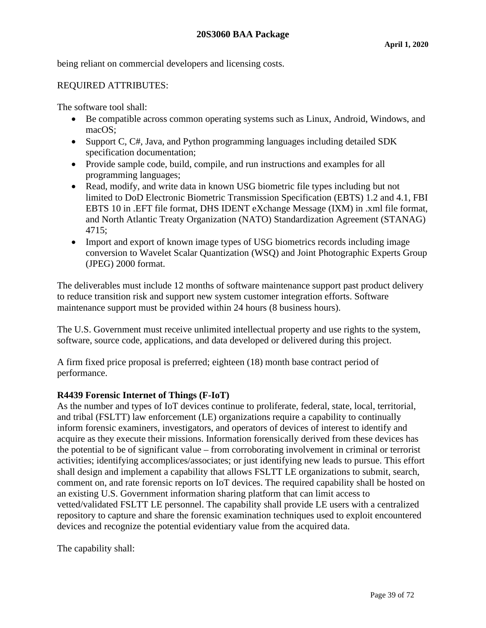being reliant on commercial developers and licensing costs.

#### REQUIRED ATTRIBUTES:

The software tool shall:

- Be compatible across common operating systems such as Linux, Android, Windows, and macOS;
- Support C, C#, Java, and Python programming languages including detailed SDK specification documentation;
- Provide sample code, build, compile, and run instructions and examples for all programming languages;
- Read, modify, and write data in known USG biometric file types including but not limited to DoD Electronic Biometric Transmission Specification (EBTS) 1.2 and 4.1, FBI EBTS 10 in .EFT file format, DHS IDENT eXchange Message (IXM) in .xml file format, and North Atlantic Treaty Organization (NATO) Standardization Agreement (STANAG) 4715;
- Import and export of known image types of USG biometrics records including image conversion to Wavelet Scalar Quantization (WSQ) and Joint Photographic Experts Group (JPEG) 2000 format.

The deliverables must include 12 months of software maintenance support past product delivery to reduce transition risk and support new system customer integration efforts. Software maintenance support must be provided within 24 hours (8 business hours).

The U.S. Government must receive unlimited intellectual property and use rights to the system, software, source code, applications, and data developed or delivered during this project.

A firm fixed price proposal is preferred; eighteen (18) month base contract period of performance.

## **R4439 Forensic Internet of Things (F-IoT)**

As the number and types of IoT devices continue to proliferate, federal, state, local, territorial, and tribal (FSLTT) law enforcement (LE) organizations require a capability to continually inform forensic examiners, investigators, and operators of devices of interest to identify and acquire as they execute their missions. Information forensically derived from these devices has the potential to be of significant value – from corroborating involvement in criminal or terrorist activities; identifying accomplices/associates; or just identifying new leads to pursue. This effort shall design and implement a capability that allows FSLTT LE organizations to submit, search, comment on, and rate forensic reports on IoT devices. The required capability shall be hosted on an existing U.S. Government information sharing platform that can limit access to vetted/validated FSLTT LE personnel. The capability shall provide LE users with a centralized repository to capture and share the forensic examination techniques used to exploit encountered devices and recognize the potential evidentiary value from the acquired data.

The capability shall: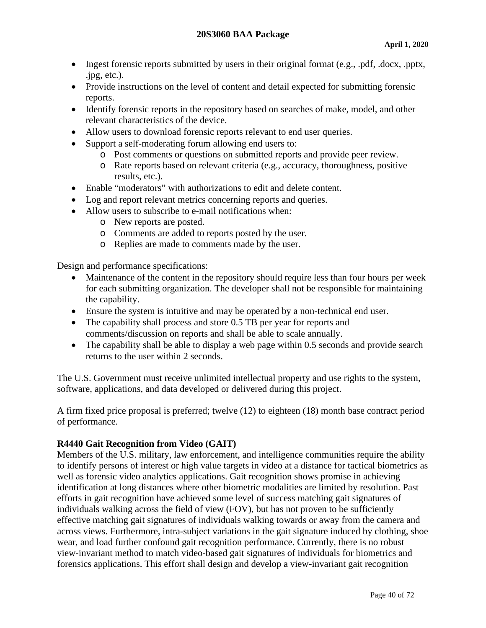- Ingest forensic reports submitted by users in their original format (e.g., .pdf, .docx, .pptx, .jpg, etc.).
- Provide instructions on the level of content and detail expected for submitting forensic reports.
- Identify forensic reports in the repository based on searches of make, model, and other relevant characteristics of the device.
- Allow users to download forensic reports relevant to end user queries.
- Support a self-moderating forum allowing end users to:
	- o Post comments or questions on submitted reports and provide peer review.
	- o Rate reports based on relevant criteria (e.g., accuracy, thoroughness, positive results, etc.).
- Enable "moderators" with authorizations to edit and delete content.
- Log and report relevant metrics concerning reports and queries.
- Allow users to subscribe to e-mail notifications when:
	- o New reports are posted.
	- o Comments are added to reports posted by the user.
	- o Replies are made to comments made by the user.

Design and performance specifications:

- Maintenance of the content in the repository should require less than four hours per week for each submitting organization. The developer shall not be responsible for maintaining the capability.
- Ensure the system is intuitive and may be operated by a non-technical end user.
- The capability shall process and store 0.5 TB per year for reports and comments/discussion on reports and shall be able to scale annually.
- The capability shall be able to display a web page within 0.5 seconds and provide search returns to the user within 2 seconds.

The U.S. Government must receive unlimited intellectual property and use rights to the system, software, applications, and data developed or delivered during this project.

A firm fixed price proposal is preferred; twelve (12) to eighteen (18) month base contract period of performance.

## **R4440 Gait Recognition from Video (GAIT)**

Members of the U.S. military, law enforcement, and intelligence communities require the ability to identify persons of interest or high value targets in video at a distance for tactical biometrics as well as forensic video analytics applications. Gait recognition shows promise in achieving identification at long distances where other biometric modalities are limited by resolution. Past efforts in gait recognition have achieved some level of success matching gait signatures of individuals walking across the field of view (FOV), but has not proven to be sufficiently effective matching gait signatures of individuals walking towards or away from the camera and across views. Furthermore, intra-subject variations in the gait signature induced by clothing, shoe wear, and load further confound gait recognition performance. Currently, there is no robust view-invariant method to match video-based gait signatures of individuals for biometrics and forensics applications. This effort shall design and develop a view-invariant gait recognition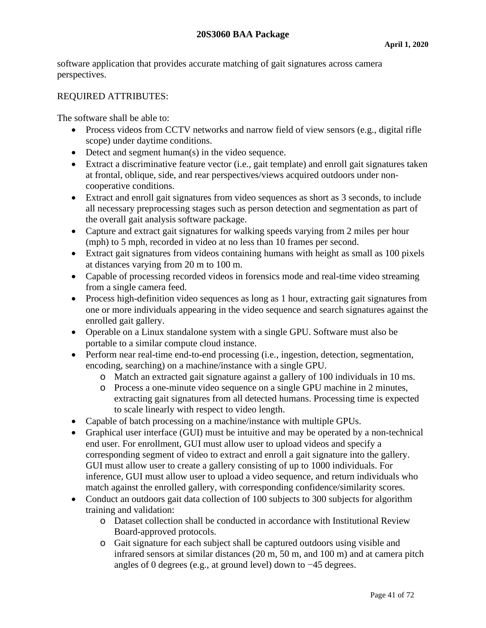software application that provides accurate matching of gait signatures across camera perspectives.

## REQUIRED ATTRIBUTES:

The software shall be able to:

- Process videos from CCTV networks and narrow field of view sensors (e.g., digital rifle scope) under daytime conditions.
- Detect and segment human(s) in the video sequence.
- Extract a discriminative feature vector (i.e., gait template) and enroll gait signatures taken at frontal, oblique, side, and rear perspectives/views acquired outdoors under noncooperative conditions.
- Extract and enroll gait signatures from video sequences as short as 3 seconds, to include all necessary preprocessing stages such as person detection and segmentation as part of the overall gait analysis software package.
- Capture and extract gait signatures for walking speeds varying from 2 miles per hour (mph) to 5 mph, recorded in video at no less than 10 frames per second.
- Extract gait signatures from videos containing humans with height as small as 100 pixels at distances varying from 20 m to 100 m.
- Capable of processing recorded videos in forensics mode and real-time video streaming from a single camera feed.
- Process high-definition video sequences as long as 1 hour, extracting gait signatures from one or more individuals appearing in the video sequence and search signatures against the enrolled gait gallery.
- Operable on a Linux standalone system with a single GPU. Software must also be portable to a similar compute cloud instance.
- Perform near real-time end-to-end processing (i.e., ingestion, detection, segmentation, encoding, searching) on a machine/instance with a single GPU.
	- o Match an extracted gait signature against a gallery of 100 individuals in 10 ms.
	- o Process a one-minute video sequence on a single GPU machine in 2 minutes, extracting gait signatures from all detected humans. Processing time is expected to scale linearly with respect to video length.
- Capable of batch processing on a machine/instance with multiple GPUs.
- Graphical user interface (GUI) must be intuitive and may be operated by a non-technical end user. For enrollment, GUI must allow user to upload videos and specify a corresponding segment of video to extract and enroll a gait signature into the gallery. GUI must allow user to create a gallery consisting of up to 1000 individuals. For inference, GUI must allow user to upload a video sequence, and return individuals who match against the enrolled gallery, with corresponding confidence/similarity scores.
- Conduct an outdoors gait data collection of 100 subjects to 300 subjects for algorithm training and validation:
	- o Dataset collection shall be conducted in accordance with Institutional Review Board-approved protocols.
	- o Gait signature for each subject shall be captured outdoors using visible and infrared sensors at similar distances (20 m, 50 m, and 100 m) and at camera pitch angles of 0 degrees (e.g., at ground level) down to −45 degrees.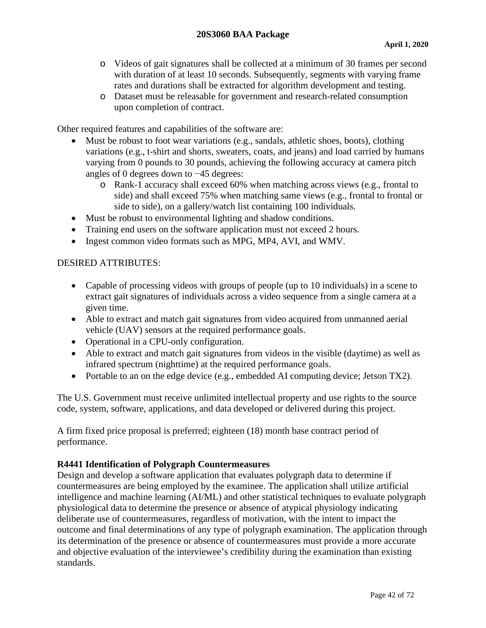- o Videos of gait signatures shall be collected at a minimum of 30 frames per second with duration of at least 10 seconds. Subsequently, segments with varying frame rates and durations shall be extracted for algorithm development and testing.
- o Dataset must be releasable for government and research-related consumption upon completion of contract.

Other required features and capabilities of the software are:

- Must be robust to foot wear variations (e.g., sandals, athletic shoes, boots), clothing variations (e.g., t-shirt and shorts, sweaters, coats, and jeans) and load carried by humans varying from 0 pounds to 30 pounds, achieving the following accuracy at camera pitch angles of 0 degrees down to −45 degrees:
	- o Rank-1 accuracy shall exceed 60% when matching across views (e.g., frontal to side) and shall exceed 75% when matching same views (e.g., frontal to frontal or side to side), on a gallery/watch list containing 100 individuals.
- Must be robust to environmental lighting and shadow conditions.
- Training end users on the software application must not exceed 2 hours.
- Ingest common video formats such as MPG, MP4, AVI, and WMV.

#### DESIRED ATTRIBUTES:

- Capable of processing videos with groups of people (up to 10 individuals) in a scene to extract gait signatures of individuals across a video sequence from a single camera at a given time.
- Able to extract and match gait signatures from video acquired from unmanned aerial vehicle (UAV) sensors at the required performance goals.
- Operational in a CPU-only configuration.
- Able to extract and match gait signatures from videos in the visible (daytime) as well as infrared spectrum (nighttime) at the required performance goals.
- Portable to an on the edge device (e.g., embedded AI computing device; Jetson TX2).

The U.S. Government must receive unlimited intellectual property and use rights to the source code, system, software, applications, and data developed or delivered during this project.

A firm fixed price proposal is preferred; eighteen (18) month base contract period of performance.

## **R4441 Identification of Polygraph Countermeasures**

Design and develop a software application that evaluates polygraph data to determine if countermeasures are being employed by the examinee. The application shall utilize artificial intelligence and machine learning (AI/ML) and other statistical techniques to evaluate polygraph physiological data to determine the presence or absence of atypical physiology indicating deliberate use of countermeasures, regardless of motivation, with the intent to impact the outcome and final determinations of any type of polygraph examination. The application through its determination of the presence or absence of countermeasures must provide a more accurate and objective evaluation of the interviewee's credibility during the examination than existing standards.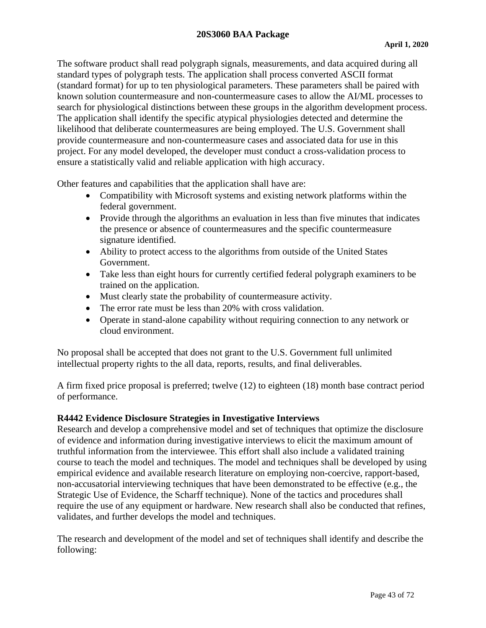The software product shall read polygraph signals, measurements, and data acquired during all standard types of polygraph tests. The application shall process converted ASCII format (standard format) for up to ten physiological parameters. These parameters shall be paired with known solution countermeasure and non-countermeasure cases to allow the AI/ML processes to search for physiological distinctions between these groups in the algorithm development process. The application shall identify the specific atypical physiologies detected and determine the likelihood that deliberate countermeasures are being employed. The U.S. Government shall provide countermeasure and non-countermeasure cases and associated data for use in this project. For any model developed, the developer must conduct a cross-validation process to ensure a statistically valid and reliable application with high accuracy.

Other features and capabilities that the application shall have are:

- Compatibility with Microsoft systems and existing network platforms within the federal government.
- Provide through the algorithms an evaluation in less than five minutes that indicates the presence or absence of countermeasures and the specific countermeasure signature identified.
- Ability to protect access to the algorithms from outside of the United States Government.
- Take less than eight hours for currently certified federal polygraph examiners to be trained on the application.
- Must clearly state the probability of countermeasure activity.
- The error rate must be less than 20% with cross validation.
- Operate in stand-alone capability without requiring connection to any network or cloud environment.

No proposal shall be accepted that does not grant to the U.S. Government full unlimited intellectual property rights to the all data, reports, results, and final deliverables.

A firm fixed price proposal is preferred; twelve (12) to eighteen (18) month base contract period of performance.

# **R4442 Evidence Disclosure Strategies in Investigative Interviews**

Research and develop a comprehensive model and set of techniques that optimize the disclosure of evidence and information during investigative interviews to elicit the maximum amount of truthful information from the interviewee. This effort shall also include a validated training course to teach the model and techniques. The model and techniques shall be developed by using empirical evidence and available research literature on employing non-coercive, rapport-based, non-accusatorial interviewing techniques that have been demonstrated to be effective (e.g., the Strategic Use of Evidence, the Scharff technique). None of the tactics and procedures shall require the use of any equipment or hardware. New research shall also be conducted that refines, validates, and further develops the model and techniques.

The research and development of the model and set of techniques shall identify and describe the following: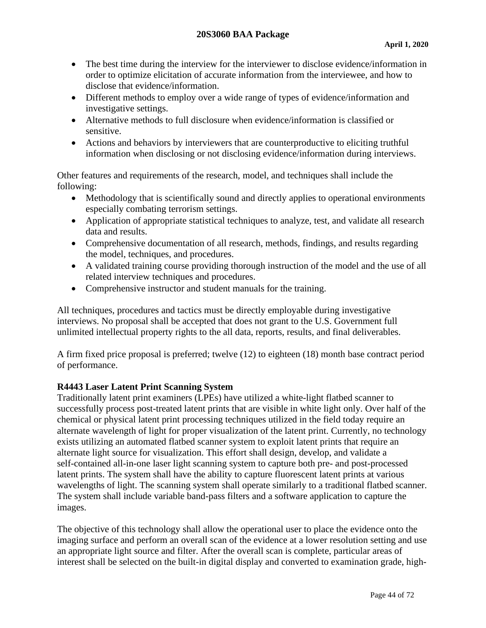- The best time during the interview for the interviewer to disclose evidence/information in order to optimize elicitation of accurate information from the interviewee, and how to disclose that evidence/information.
- Different methods to employ over a wide range of types of evidence/information and investigative settings.
- Alternative methods to full disclosure when evidence/information is classified or sensitive.
- Actions and behaviors by interviewers that are counterproductive to eliciting truthful information when disclosing or not disclosing evidence/information during interviews.

Other features and requirements of the research, model, and techniques shall include the following:

- Methodology that is scientifically sound and directly applies to operational environments especially combating terrorism settings.
- Application of appropriate statistical techniques to analyze, test, and validate all research data and results.
- Comprehensive documentation of all research, methods, findings, and results regarding the model, techniques, and procedures.
- A validated training course providing thorough instruction of the model and the use of all related interview techniques and procedures.
- Comprehensive instructor and student manuals for the training.

All techniques, procedures and tactics must be directly employable during investigative interviews. No proposal shall be accepted that does not grant to the U.S. Government full unlimited intellectual property rights to the all data, reports, results, and final deliverables.

A firm fixed price proposal is preferred; twelve (12) to eighteen (18) month base contract period of performance.

# **R4443 Laser Latent Print Scanning System**

Traditionally latent print examiners (LPEs) have utilized a white-light flatbed scanner to successfully process post-treated latent prints that are visible in white light only. Over half of the chemical or physical latent print processing techniques utilized in the field today require an alternate wavelength of light for proper visualization of the latent print. Currently, no technology exists utilizing an automated flatbed scanner system to exploit latent prints that require an alternate light source for visualization. This effort shall design, develop, and validate a self-contained all-in-one laser light scanning system to capture both pre- and post-processed latent prints. The system shall have the ability to capture fluorescent latent prints at various wavelengths of light. The scanning system shall operate similarly to a traditional flatbed scanner. The system shall include variable band-pass filters and a software application to capture the images.

The objective of this technology shall allow the operational user to place the evidence onto the imaging surface and perform an overall scan of the evidence at a lower resolution setting and use an appropriate light source and filter. After the overall scan is complete, particular areas of interest shall be selected on the built-in digital display and converted to examination grade, high-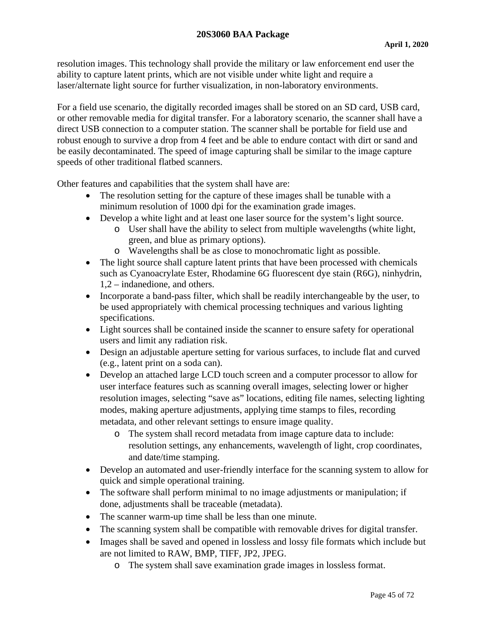#### **20S3060 BAA Package**

resolution images. This technology shall provide the military or law enforcement end user the ability to capture latent prints, which are not visible under white light and require a laser/alternate light source for further visualization, in non-laboratory environments.

For a field use scenario, the digitally recorded images shall be stored on an SD card, USB card, or other removable media for digital transfer. For a laboratory scenario, the scanner shall have a direct USB connection to a computer station. The scanner shall be portable for field use and robust enough to survive a drop from 4 feet and be able to endure contact with dirt or sand and be easily decontaminated. The speed of image capturing shall be similar to the image capture speeds of other traditional flatbed scanners.

Other features and capabilities that the system shall have are:

- The resolution setting for the capture of these images shall be tunable with a minimum resolution of 1000 dpi for the examination grade images.
- Develop a white light and at least one laser source for the system's light source.
	- o User shall have the ability to select from multiple wavelengths (white light, green, and blue as primary options).
	- o Wavelengths shall be as close to monochromatic light as possible.
- The light source shall capture latent prints that have been processed with chemicals such as Cyanoacrylate Ester, Rhodamine 6G fluorescent dye stain (R6G), ninhydrin, 1,2 – indanedione, and others.
- Incorporate a band-pass filter, which shall be readily interchangeable by the user, to be used appropriately with chemical processing techniques and various lighting specifications.
- Light sources shall be contained inside the scanner to ensure safety for operational users and limit any radiation risk.
- Design an adjustable aperture setting for various surfaces, to include flat and curved (e.g., latent print on a soda can).
- Develop an attached large LCD touch screen and a computer processor to allow for user interface features such as scanning overall images, selecting lower or higher resolution images, selecting "save as" locations, editing file names, selecting lighting modes, making aperture adjustments, applying time stamps to files, recording metadata, and other relevant settings to ensure image quality.
	- o The system shall record metadata from image capture data to include: resolution settings, any enhancements, wavelength of light, crop coordinates, and date/time stamping.
- Develop an automated and user-friendly interface for the scanning system to allow for quick and simple operational training.
- The software shall perform minimal to no image adjustments or manipulation; if done, adjustments shall be traceable (metadata).
- The scanner warm-up time shall be less than one minute.
- The scanning system shall be compatible with removable drives for digital transfer.
- Images shall be saved and opened in lossless and lossy file formats which include but are not limited to RAW, BMP, TIFF, JP2, JPEG.
	- o The system shall save examination grade images in lossless format.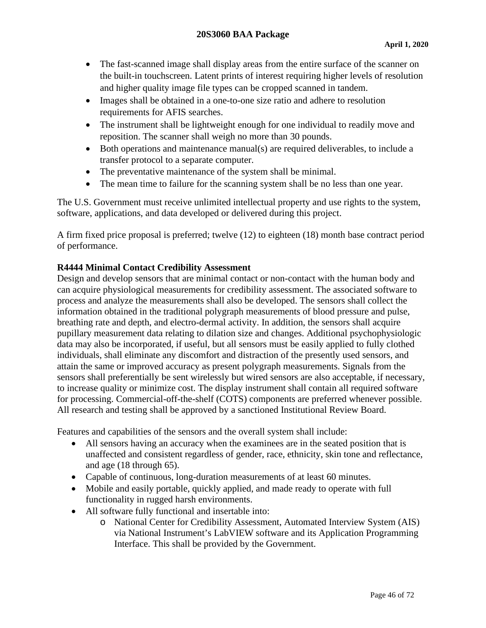- The fast-scanned image shall display areas from the entire surface of the scanner on the built-in touchscreen. Latent prints of interest requiring higher levels of resolution and higher quality image file types can be cropped scanned in tandem.
- Images shall be obtained in a one-to-one size ratio and adhere to resolution requirements for AFIS searches.
- The instrument shall be lightweight enough for one individual to readily move and reposition. The scanner shall weigh no more than 30 pounds.
- Both operations and maintenance manual(s) are required deliverables, to include a transfer protocol to a separate computer.
- The preventative maintenance of the system shall be minimal.
- The mean time to failure for the scanning system shall be no less than one year.

The U.S. Government must receive unlimited intellectual property and use rights to the system, software, applications, and data developed or delivered during this project.

A firm fixed price proposal is preferred; twelve (12) to eighteen (18) month base contract period of performance.

# **R4444 Minimal Contact Credibility Assessment**

Design and develop sensors that are minimal contact or non-contact with the human body and can acquire physiological measurements for credibility assessment. The associated software to process and analyze the measurements shall also be developed. The sensors shall collect the information obtained in the traditional polygraph measurements of blood pressure and pulse, breathing rate and depth, and electro-dermal activity. In addition, the sensors shall acquire pupillary measurement data relating to dilation size and changes. Additional psychophysiologic data may also be incorporated, if useful, but all sensors must be easily applied to fully clothed individuals, shall eliminate any discomfort and distraction of the presently used sensors, and attain the same or improved accuracy as present polygraph measurements. Signals from the sensors shall preferentially be sent wirelessly but wired sensors are also acceptable, if necessary, to increase quality or minimize cost. The display instrument shall contain all required software for processing. Commercial-off-the-shelf (COTS) components are preferred whenever possible. All research and testing shall be approved by a sanctioned Institutional Review Board.

Features and capabilities of the sensors and the overall system shall include:

- All sensors having an accuracy when the examinees are in the seated position that is unaffected and consistent regardless of gender, race, ethnicity, skin tone and reflectance, and age (18 through 65).
- Capable of continuous, long-duration measurements of at least 60 minutes.
- Mobile and easily portable, quickly applied, and made ready to operate with full functionality in rugged harsh environments.
- All software fully functional and insertable into:
	- o National Center for Credibility Assessment, Automated Interview System (AIS) via National Instrument's LabVIEW software and its Application Programming Interface. This shall be provided by the Government.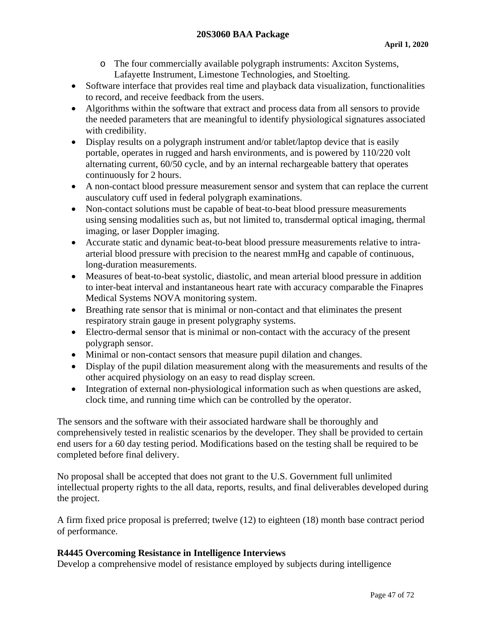- o The four commercially available polygraph instruments: Axciton Systems, Lafayette Instrument, Limestone Technologies, and Stoelting.
- Software interface that provides real time and playback data visualization, functionalities to record, and receive feedback from the users.
- Algorithms within the software that extract and process data from all sensors to provide the needed parameters that are meaningful to identify physiological signatures associated with credibility.
- Display results on a polygraph instrument and/or tablet/laptop device that is easily portable, operates in rugged and harsh environments, and is powered by 110/220 volt alternating current, 60/50 cycle, and by an internal rechargeable battery that operates continuously for 2 hours.
- A non-contact blood pressure measurement sensor and system that can replace the current ausculatory cuff used in federal polygraph examinations.
- Non-contact solutions must be capable of beat-to-beat blood pressure measurements using sensing modalities such as, but not limited to, transdermal optical imaging, thermal imaging, or laser Doppler imaging.
- Accurate static and dynamic beat-to-beat blood pressure measurements relative to intraarterial blood pressure with precision to the nearest mmHg and capable of continuous, long-duration measurements.
- Measures of beat-to-beat systolic, diastolic, and mean arterial blood pressure in addition to inter-beat interval and instantaneous heart rate with accuracy comparable the Finapres Medical Systems NOVA monitoring system.
- Breathing rate sensor that is minimal or non-contact and that eliminates the present respiratory strain gauge in present polygraphy systems.
- Electro-dermal sensor that is minimal or non-contact with the accuracy of the present polygraph sensor.
- Minimal or non-contact sensors that measure pupil dilation and changes.
- Display of the pupil dilation measurement along with the measurements and results of the other acquired physiology on an easy to read display screen.
- Integration of external non-physiological information such as when questions are asked, clock time, and running time which can be controlled by the operator.

The sensors and the software with their associated hardware shall be thoroughly and comprehensively tested in realistic scenarios by the developer. They shall be provided to certain end users for a 60 day testing period. Modifications based on the testing shall be required to be completed before final delivery.

No proposal shall be accepted that does not grant to the U.S. Government full unlimited intellectual property rights to the all data, reports, results, and final deliverables developed during the project.

A firm fixed price proposal is preferred; twelve (12) to eighteen (18) month base contract period of performance.

# **R4445 Overcoming Resistance in Intelligence Interviews**

Develop a comprehensive model of resistance employed by subjects during intelligence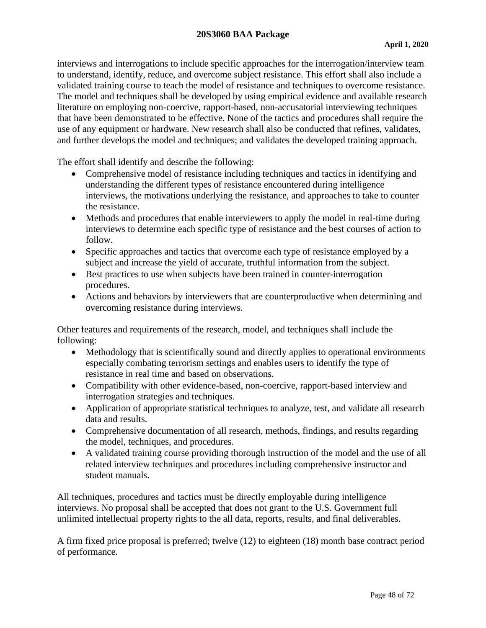#### **20S3060 BAA Package**

interviews and interrogations to include specific approaches for the interrogation/interview team to understand, identify, reduce, and overcome subject resistance. This effort shall also include a validated training course to teach the model of resistance and techniques to overcome resistance. The model and techniques shall be developed by using empirical evidence and available research literature on employing non-coercive, rapport-based, non-accusatorial interviewing techniques that have been demonstrated to be effective. None of the tactics and procedures shall require the use of any equipment or hardware. New research shall also be conducted that refines, validates, and further develops the model and techniques; and validates the developed training approach.

The effort shall identify and describe the following:

- Comprehensive model of resistance including techniques and tactics in identifying and understanding the different types of resistance encountered during intelligence interviews, the motivations underlying the resistance, and approaches to take to counter the resistance.
- Methods and procedures that enable interviewers to apply the model in real-time during interviews to determine each specific type of resistance and the best courses of action to follow.
- Specific approaches and tactics that overcome each type of resistance employed by a subject and increase the yield of accurate, truthful information from the subject.
- Best practices to use when subjects have been trained in counter-interrogation procedures.
- Actions and behaviors by interviewers that are counterproductive when determining and overcoming resistance during interviews.

Other features and requirements of the research, model, and techniques shall include the following:

- Methodology that is scientifically sound and directly applies to operational environments especially combating terrorism settings and enables users to identify the type of resistance in real time and based on observations.
- Compatibility with other evidence-based, non-coercive, rapport-based interview and interrogation strategies and techniques.
- Application of appropriate statistical techniques to analyze, test, and validate all research data and results.
- Comprehensive documentation of all research, methods, findings, and results regarding the model, techniques, and procedures.
- A validated training course providing thorough instruction of the model and the use of all related interview techniques and procedures including comprehensive instructor and student manuals.

All techniques, procedures and tactics must be directly employable during intelligence interviews. No proposal shall be accepted that does not grant to the U.S. Government full unlimited intellectual property rights to the all data, reports, results, and final deliverables.

A firm fixed price proposal is preferred; twelve (12) to eighteen (18) month base contract period of performance.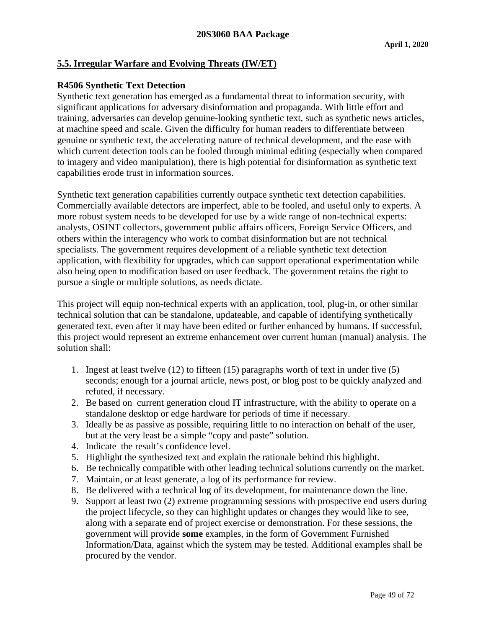## **5.5. Irregular Warfare and Evolving Threats (IW/ET)**

#### **R4506 Synthetic Text Detection**

Synthetic text generation has emerged as a fundamental threat to information security, with significant applications for adversary disinformation and propaganda. With little effort and training, adversaries can develop genuine-looking synthetic text, such as synthetic news articles, at machine speed and scale. Given the difficulty for human readers to differentiate between genuine or synthetic text, the accelerating nature of technical development, and the ease with which current detection tools can be fooled through minimal editing (especially when compared to imagery and video manipulation), there is high potential for disinformation as synthetic text capabilities erode trust in information sources.

Synthetic text generation capabilities currently outpace synthetic text detection capabilities. Commercially available detectors are imperfect, able to be fooled, and useful only to experts. A more robust system needs to be developed for use by a wide range of non-technical experts: analysts, OSINT collectors, government public affairs officers, Foreign Service Officers, and others within the interagency who work to combat disinformation but are not technical specialists. The government requires development of a reliable synthetic text detection application, with flexibility for upgrades, which can support operational experimentation while also being open to modification based on user feedback. The government retains the right to pursue a single or multiple solutions, as needs dictate.

This project will equip non-technical experts with an application, tool, plug-in, or other similar technical solution that can be standalone, updateable, and capable of identifying synthetically generated text, even after it may have been edited or further enhanced by humans. If successful, this project would represent an extreme enhancement over current human (manual) analysis. The solution shall:

- 1. Ingest at least twelve (12) to fifteen (15) paragraphs worth of text in under five (5) seconds; enough for a journal article, news post, or blog post to be quickly analyzed and refuted, if necessary.
- 2. Be based on current generation cloud IT infrastructure, with the ability to operate on a standalone desktop or edge hardware for periods of time if necessary.
- 3. Ideally be as passive as possible, requiring little to no interaction on behalf of the user, but at the very least be a simple "copy and paste" solution.
- 4. Indicate the result's confidence level.
- 5. Highlight the synthesized text and explain the rationale behind this highlight.
- 6. Be technically compatible with other leading technical solutions currently on the market.
- 7. Maintain, or at least generate, a log of its performance for review.
- 8. Be delivered with a technical log of its development, for maintenance down the line.
- 9. Support at least two (2) extreme programming sessions with prospective end users during the project lifecycle, so they can highlight updates or changes they would like to see, along with a separate end of project exercise or demonstration. For these sessions, the government will provide **some** examples, in the form of Government Furnished Information/Data, against which the system may be tested. Additional examples shall be procured by the vendor.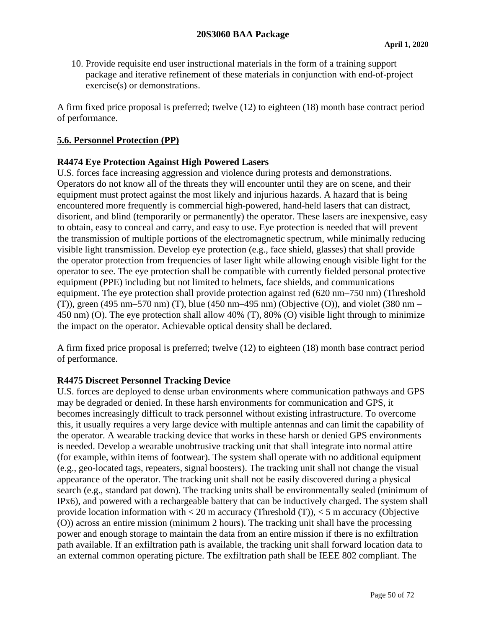10. Provide requisite end user instructional materials in the form of a training support package and iterative refinement of these materials in conjunction with end-of-project exercise(s) or demonstrations.

A firm fixed price proposal is preferred; twelve (12) to eighteen (18) month base contract period of performance.

#### **5.6. Personnel Protection (PP)**

#### **R4474 Eye Protection Against High Powered Lasers**

U.S. forces face increasing aggression and violence during protests and demonstrations. Operators do not know all of the threats they will encounter until they are on scene, and their equipment must protect against the most likely and injurious hazards. A hazard that is being encountered more frequently is commercial high-powered, hand-held lasers that can distract, disorient, and blind (temporarily or permanently) the operator. These lasers are inexpensive, easy to obtain, easy to conceal and carry, and easy to use. Eye protection is needed that will prevent the transmission of multiple portions of the electromagnetic spectrum, while minimally reducing visible light transmission. Develop eye protection (e.g., face shield, glasses) that shall provide the operator protection from frequencies of laser light while allowing enough visible light for the operator to see. The eye protection shall be compatible with currently fielded personal protective equipment (PPE) including but not limited to helmets, face shields, and communications equipment. The eye protection shall provide protection against red (620 nm–750 nm) (Threshold (T)), green (495 nm–570 nm) (T), blue (450 nm–495 nm) (Objective (O)), and violet (380 nm – 450 nm) (O). The eye protection shall allow 40% (T), 80% (O) visible light through to minimize the impact on the operator. Achievable optical density shall be declared.

A firm fixed price proposal is preferred; twelve (12) to eighteen (18) month base contract period of performance.

#### **R4475 Discreet Personnel Tracking Device**

U.S. forces are deployed to dense urban environments where communication pathways and GPS may be degraded or denied. In these harsh environments for communication and GPS, it becomes increasingly difficult to track personnel without existing infrastructure. To overcome this, it usually requires a very large device with multiple antennas and can limit the capability of the operator. A wearable tracking device that works in these harsh or denied GPS environments is needed. Develop a wearable unobtrusive tracking unit that shall integrate into normal attire (for example, within items of footwear). The system shall operate with no additional equipment (e.g., geo-located tags, repeaters, signal boosters). The tracking unit shall not change the visual appearance of the operator. The tracking unit shall not be easily discovered during a physical search (e.g., standard pat down). The tracking units shall be environmentally sealed (minimum of IPx6), and powered with a rechargeable battery that can be inductively charged. The system shall provide location information with  $<$  20 m accuracy (Threshold (T)),  $<$  5 m accuracy (Objective (O)) across an entire mission (minimum 2 hours). The tracking unit shall have the processing power and enough storage to maintain the data from an entire mission if there is no exfiltration path available. If an exfiltration path is available, the tracking unit shall forward location data to an external common operating picture. The exfiltration path shall be IEEE 802 compliant. The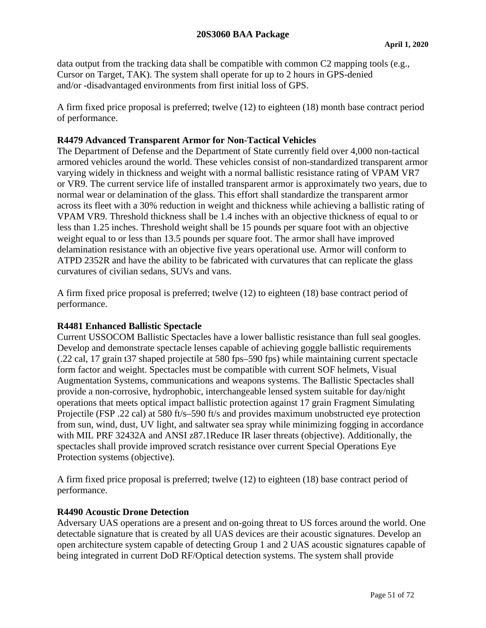data output from the tracking data shall be compatible with common C2 mapping tools (e.g., Cursor on Target, TAK). The system shall operate for up to 2 hours in GPS-denied and/or -disadvantaged environments from first initial loss of GPS.

A firm fixed price proposal is preferred; twelve (12) to eighteen (18) month base contract period of performance.

## **R4479 Advanced Transparent Armor for Non-Tactical Vehicles**

The Department of Defense and the Department of State currently field over 4,000 non-tactical armored vehicles around the world. These vehicles consist of non-standardized transparent armor varying widely in thickness and weight with a normal ballistic resistance rating of VPAM VR7 or VR9. The current service life of installed transparent armor is approximately two years, due to normal wear or delamination of the glass. This effort shall standardize the transparent armor across its fleet with a 30% reduction in weight and thickness while achieving a ballistic rating of VPAM VR9. Threshold thickness shall be 1.4 inches with an objective thickness of equal to or less than 1.25 inches. Threshold weight shall be 15 pounds per square foot with an objective weight equal to or less than 13.5 pounds per square foot. The armor shall have improved delamination resistance with an objective five years operational use. Armor will conform to ATPD 2352R and have the ability to be fabricated with curvatures that can replicate the glass curvatures of civilian sedans, SUVs and vans.

A firm fixed price proposal is preferred; twelve (12) to eighteen (18) base contract period of performance.

#### **R4481 Enhanced Ballistic Spectacle**

Current USSOCOM Ballistic Spectacles have a lower ballistic resistance than full seal googles. Develop and demonstrate spectacle lenses capable of achieving goggle ballistic requirements (.22 cal, 17 grain t37 shaped projectile at 580 fps–590 fps) while maintaining current spectacle form factor and weight. Spectacles must be compatible with current SOF helmets, Visual Augmentation Systems, communications and weapons systems. The Ballistic Spectacles shall provide a non-corrosive, hydrophobic, interchangeable lensed system suitable for day/night operations that meets optical impact ballistic protection against 17 grain Fragment Simulating Projectile (FSP .22 cal) at 580 ft/s–590 ft/s and provides maximum unobstructed eye protection from sun, wind, dust, UV light, and saltwater sea spray while minimizing fogging in accordance with MIL PRF 32432A and ANSI z87.1Reduce IR laser threats (objective). Additionally, the spectacles shall provide improved scratch resistance over current Special Operations Eye Protection systems (objective).

A firm fixed price proposal is preferred; twelve (12) to eighteen (18) base contract period of performance.

#### **R4490 Acoustic Drone Detection**

Adversary UAS operations are a present and on-going threat to US forces around the world. One detectable signature that is created by all UAS devices are their acoustic signatures. Develop an open architecture system capable of detecting Group 1 and 2 UAS acoustic signatures capable of being integrated in current DoD RF/Optical detection systems. The system shall provide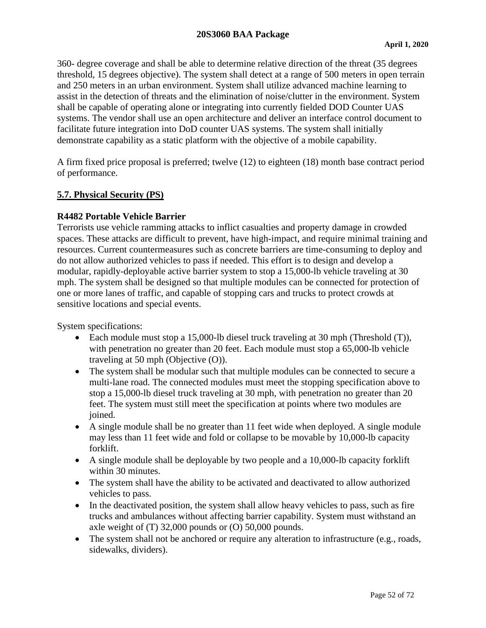#### **20S3060 BAA Package**

360- degree coverage and shall be able to determine relative direction of the threat (35 degrees threshold, 15 degrees objective). The system shall detect at a range of 500 meters in open terrain and 250 meters in an urban environment. System shall utilize advanced machine learning to assist in the detection of threats and the elimination of noise/clutter in the environment. System shall be capable of operating alone or integrating into currently fielded DOD Counter UAS systems. The vendor shall use an open architecture and deliver an interface control document to facilitate future integration into DoD counter UAS systems. The system shall initially demonstrate capability as a static platform with the objective of a mobile capability.

A firm fixed price proposal is preferred; twelve (12) to eighteen (18) month base contract period of performance.

#### **5.7. Physical Security (PS)**

#### **R4482 Portable Vehicle Barrier**

Terrorists use vehicle ramming attacks to inflict casualties and property damage in crowded spaces. These attacks are difficult to prevent, have high-impact, and require minimal training and resources. Current countermeasures such as concrete barriers are time-consuming to deploy and do not allow authorized vehicles to pass if needed. This effort is to design and develop a modular, rapidly-deployable active barrier system to stop a 15,000-lb vehicle traveling at 30 mph. The system shall be designed so that multiple modules can be connected for protection of one or more lanes of traffic, and capable of stopping cars and trucks to protect crowds at sensitive locations and special events.

System specifications:

- Each module must stop a 15,000-lb diesel truck traveling at 30 mph (Threshold (T)), with penetration no greater than 20 feet. Each module must stop a 65,000-lb vehicle traveling at 50 mph (Objective (O)).
- The system shall be modular such that multiple modules can be connected to secure a multi-lane road. The connected modules must meet the stopping specification above to stop a 15,000-lb diesel truck traveling at 30 mph, with penetration no greater than 20 feet. The system must still meet the specification at points where two modules are joined.
- A single module shall be no greater than 11 feet wide when deployed. A single module may less than 11 feet wide and fold or collapse to be movable by 10,000-lb capacity forklift.
- A single module shall be deployable by two people and a 10,000-lb capacity forklift within 30 minutes.
- The system shall have the ability to be activated and deactivated to allow authorized vehicles to pass.
- In the deactivated position, the system shall allow heavy vehicles to pass, such as fire trucks and ambulances without affecting barrier capability. System must withstand an axle weight of (T) 32,000 pounds or (O) 50,000 pounds.
- The system shall not be anchored or require any alteration to infrastructure (e.g., roads, sidewalks, dividers).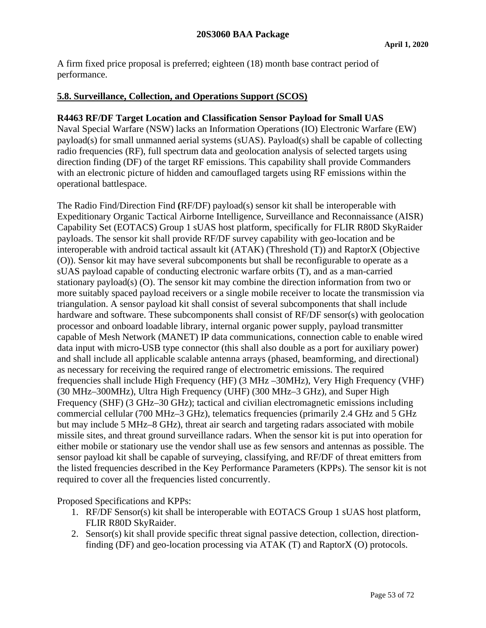A firm fixed price proposal is preferred; eighteen (18) month base contract period of performance.

#### **5.8. Surveillance, Collection, and Operations Support (SCOS)**

#### **R4463 RF/DF Target Location and Classification Sensor Payload for Small UAS**

Naval Special Warfare (NSW) lacks an Information Operations (IO) Electronic Warfare (EW) payload(s) for small unmanned aerial systems (sUAS). Payload(s) shall be capable of collecting radio frequencies (RF), full spectrum data and geolocation analysis of selected targets using direction finding (DF) of the target RF emissions. This capability shall provide Commanders with an electronic picture of hidden and camouflaged targets using RF emissions within the operational battlespace.

The Radio Find/Direction Find **(**RF/DF) payload(s) sensor kit shall be interoperable with Expeditionary Organic Tactical Airborne Intelligence, Surveillance and Reconnaissance (AISR) Capability Set (EOTACS) Group 1 sUAS host platform, specifically for FLIR R80D SkyRaider payloads. The sensor kit shall provide RF/DF survey capability with geo-location and be interoperable with android tactical assault kit (ATAK) (Threshold (T)) and RaptorX (Objective (O)). Sensor kit may have several subcomponents but shall be reconfigurable to operate as a sUAS payload capable of conducting electronic warfare orbits (T), and as a man-carried stationary payload(s) (O). The sensor kit may combine the direction information from two or more suitably spaced payload receivers or a single mobile receiver to locate the transmission via triangulation. A sensor payload kit shall consist of several subcomponents that shall include hardware and software. These subcomponents shall consist of RF/DF sensor(s) with geolocation processor and onboard loadable library, internal organic power supply, payload transmitter capable of Mesh Network (MANET) IP data communications, connection cable to enable wired data input with micro-USB type connector (this shall also double as a port for auxiliary power) and shall include all applicable scalable antenna arrays (phased, beamforming, and directional) as necessary for receiving the required range of electrometric emissions. The required frequencies shall include High Frequency (HF) (3 MHz –30MHz), Very High Frequency (VHF) (30 MHz–300MHz), Ultra High Frequency (UHF) (300 MHz–3 GHz), and Super High Frequency (SHF) (3 GHz–30 GHz); tactical and civilian electromagnetic emissions including commercial cellular (700 MHz–3 GHz), telematics frequencies (primarily 2.4 GHz and 5 GHz but may include 5 MHz–8 GHz), threat air search and targeting radars associated with mobile missile sites, and threat ground surveillance radars. When the sensor kit is put into operation for either mobile or stationary use the vendor shall use as few sensors and antennas as possible. The sensor payload kit shall be capable of surveying, classifying, and RF/DF of threat emitters from the listed frequencies described in the Key Performance Parameters (KPPs). The sensor kit is not required to cover all the frequencies listed concurrently.

Proposed Specifications and KPPs:

- 1. RF/DF Sensor(s) kit shall be interoperable with EOTACS Group 1 sUAS host platform, FLIR R80D SkyRaider.
- 2. Sensor(s) kit shall provide specific threat signal passive detection, collection, directionfinding (DF) and geo-location processing via ATAK (T) and RaptorX (O) protocols.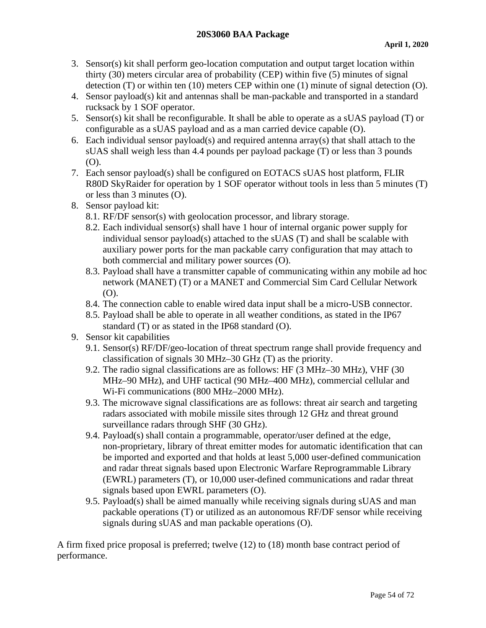- 3. Sensor(s) kit shall perform geo-location computation and output target location within thirty (30) meters circular area of probability (CEP) within five (5) minutes of signal detection (T) or within ten (10) meters CEP within one (1) minute of signal detection (O).
- 4. Sensor payload(s) kit and antennas shall be man-packable and transported in a standard rucksack by 1 SOF operator.
- 5. Sensor(s) kit shall be reconfigurable. It shall be able to operate as a sUAS payload (T) or configurable as a sUAS payload and as a man carried device capable (O).
- 6. Each individual sensor payload(s) and required antenna array(s) that shall attach to the sUAS shall weigh less than 4.4 pounds per payload package (T) or less than 3 pounds (O).
- 7. Each sensor payload(s) shall be configured on EOTACS sUAS host platform, FLIR R80D SkyRaider for operation by 1 SOF operator without tools in less than 5 minutes (T) or less than 3 minutes (O).
- 8. Sensor payload kit:
	- 8.1. RF/DF sensor(s) with geolocation processor, and library storage.
	- 8.2. Each individual sensor(s) shall have 1 hour of internal organic power supply for individual sensor payload(s) attached to the sUAS (T) and shall be scalable with auxiliary power ports for the man packable carry configuration that may attach to both commercial and military power sources (O).
	- 8.3. Payload shall have a transmitter capable of communicating within any mobile ad hoc network (MANET) (T) or a MANET and Commercial Sim Card Cellular Network (O).
	- 8.4. The connection cable to enable wired data input shall be a micro-USB connector.
	- 8.5. Payload shall be able to operate in all weather conditions, as stated in the IP67 standard (T) or as stated in the IP68 standard (O).
- 9. Sensor kit capabilities
	- 9.1. Sensor(s) RF/DF/geo-location of threat spectrum range shall provide frequency and classification of signals 30 MHz–30 GHz (T) as the priority.
	- 9.2. The radio signal classifications are as follows: HF (3 MHz–30 MHz), VHF (30 MHz–90 MHz), and UHF tactical (90 MHz–400 MHz), commercial cellular and Wi-Fi communications (800 MHz–2000 MHz).
	- 9.3. The microwave signal classifications are as follows: threat air search and targeting radars associated with mobile missile sites through 12 GHz and threat ground surveillance radars through SHF (30 GHz).
	- 9.4. Payload(s) shall contain a programmable, operator/user defined at the edge, non-proprietary, library of threat emitter modes for automatic identification that can be imported and exported and that holds at least 5,000 user-defined communication and radar threat signals based upon Electronic Warfare Reprogrammable Library (EWRL) parameters (T), or 10,000 user-defined communications and radar threat signals based upon EWRL parameters (O).
	- 9.5. Payload(s) shall be aimed manually while receiving signals during sUAS and man packable operations (T) or utilized as an autonomous RF/DF sensor while receiving signals during sUAS and man packable operations (O).

A firm fixed price proposal is preferred; twelve (12) to (18) month base contract period of performance.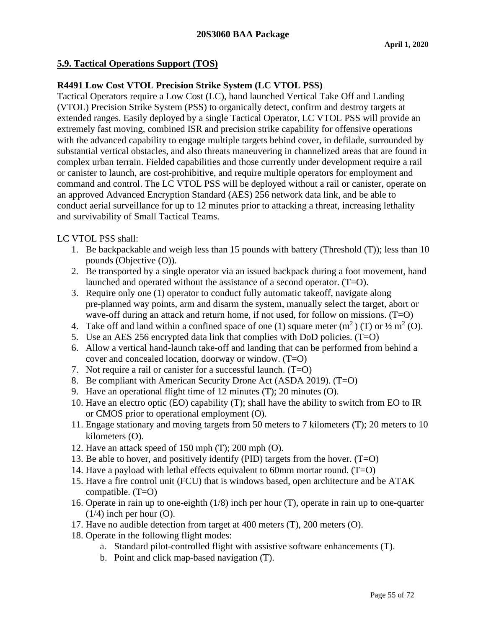## **5.9. Tactical Operations Support (TOS)**

## **R4491 Low Cost VTOL Precision Strike System (LC VTOL PSS)**

Tactical Operators require a Low Cost (LC), hand launched Vertical Take Off and Landing (VTOL) Precision Strike System (PSS) to organically detect, confirm and destroy targets at extended ranges. Easily deployed by a single Tactical Operator, LC VTOL PSS will provide an extremely fast moving, combined ISR and precision strike capability for offensive operations with the advanced capability to engage multiple targets behind cover, in defilade, surrounded by substantial vertical obstacles, and also threats maneuvering in channelized areas that are found in complex urban terrain. Fielded capabilities and those currently under development require a rail or canister to launch, are cost-prohibitive, and require multiple operators for employment and command and control. The LC VTOL PSS will be deployed without a rail or canister, operate on an approved Advanced Encryption Standard (AES) 256 network data link, and be able to conduct aerial surveillance for up to 12 minutes prior to attacking a threat, increasing lethality and survivability of Small Tactical Teams.

LC VTOL PSS shall:

- 1. Be backpackable and weigh less than 15 pounds with battery (Threshold (T)); less than 10 pounds (Objective (O)).
- 2. Be transported by a single operator via an issued backpack during a foot movement, hand launched and operated without the assistance of a second operator. (T=O).
- 3. Require only one (1) operator to conduct fully automatic takeoff, navigate along pre-planned way points, arm and disarm the system, manually select the target, abort or wave-off during an attack and return home, if not used, for follow on missions. (T=O)
- 4. Take off and land within a confined space of one (1) square meter  $(m^2)$  (T) or  $\frac{1}{2}$  m<sup>2</sup> (O).
- 5. Use an AES 256 encrypted data link that complies with DoD policies. (T=O)
- 6. Allow a vertical hand-launch take-off and landing that can be performed from behind a cover and concealed location, doorway or window. (T=O)
- 7. Not require a rail or canister for a successful launch. (T=O)
- 8. Be compliant with American Security Drone Act (ASDA 2019). (T=O)
- 9. Have an operational flight time of 12 minutes (T); 20 minutes (O).
- 10. Have an electro optic (EO) capability (T); shall have the ability to switch from EO to IR or CMOS prior to operational employment (O).
- 11. Engage stationary and moving targets from 50 meters to 7 kilometers (T); 20 meters to 10 kilometers (O).
- 12. Have an attack speed of 150 mph (T); 200 mph (O).
- 13. Be able to hover, and positively identify (PID) targets from the hover. (T=O)
- 14. Have a payload with lethal effects equivalent to 60mm mortar round. (T=O)
- 15. Have a fire control unit (FCU) that is windows based, open architecture and be ATAK compatible.  $(T=O)$
- 16. Operate in rain up to one-eighth (1/8) inch per hour (T), operate in rain up to one-quarter  $(1/4)$  inch per hour  $(O)$ .
- 17. Have no audible detection from target at 400 meters (T), 200 meters (O).
- 18. Operate in the following flight modes:
	- a. Standard pilot-controlled flight with assistive software enhancements (T).
	- b. Point and click map-based navigation (T).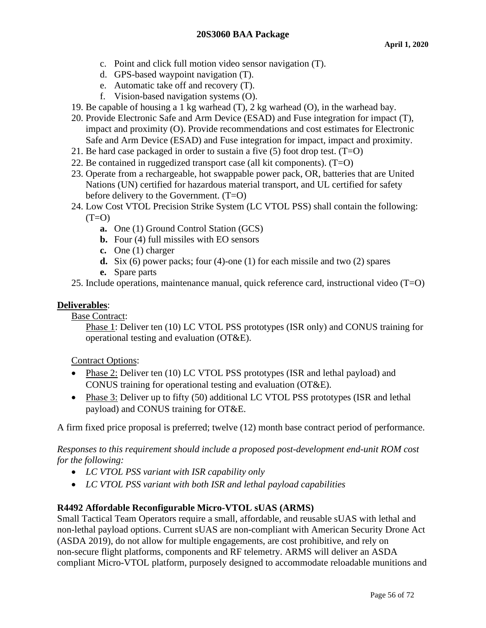- c. Point and click full motion video sensor navigation (T).
- d. GPS-based waypoint navigation (T).
- e. Automatic take off and recovery (T).
- f. Vision-based navigation systems (O).
- 19. Be capable of housing a 1 kg warhead (T), 2 kg warhead (O), in the warhead bay.
- 20. Provide Electronic Safe and Arm Device (ESAD) and Fuse integration for impact (T), impact and proximity (O). Provide recommendations and cost estimates for Electronic Safe and Arm Device (ESAD) and Fuse integration for impact, impact and proximity.
- 21. Be hard case packaged in order to sustain a five  $(5)$  foot drop test.  $(T=O)$
- 22. Be contained in ruggedized transport case (all kit components).  $(T=O)$
- 23. Operate from a rechargeable, hot swappable power pack, OR, batteries that are United Nations (UN) certified for hazardous material transport, and UL certified for safety before delivery to the Government. (T=O)
- 24. Low Cost VTOL Precision Strike System (LC VTOL PSS) shall contain the following:  $(T=O)$ 
	- **a.** One (1) Ground Control Station (GCS)
	- **b.** Four (4) full missiles with EO sensors
	- **c.** One (1) charger
	- **d.** Six (6) power packs; four (4)-one (1) for each missile and two (2) spares
	- **e.** Spare parts
- 25. Include operations, maintenance manual, quick reference card, instructional video (T=O)

# **Deliverables**:

Base Contract:

Phase 1: Deliver ten (10) LC VTOL PSS prototypes (ISR only) and CONUS training for operational testing and evaluation (OT&E).

Contract Options:

- Phase 2: Deliver ten (10) LC VTOL PSS prototypes (ISR and lethal payload) and CONUS training for operational testing and evaluation (OT&E).
- Phase 3: Deliver up to fifty (50) additional LC VTOL PSS prototypes (ISR and lethal payload) and CONUS training for OT&E.

A firm fixed price proposal is preferred; twelve (12) month base contract period of performance.

*Responses to this requirement should include a proposed post-development end-unit ROM cost for the following:*

- *LC VTOL PSS variant with ISR capability only*
- *LC VTOL PSS variant with both ISR and lethal payload capabilities*

# **R4492 Affordable Reconfigurable Micro-VTOL sUAS (ARMS)**

Small Tactical Team Operators require a small, affordable, and reusable sUAS with lethal and non-lethal payload options. Current sUAS are non-compliant with American Security Drone Act (ASDA 2019), do not allow for multiple engagements, are cost prohibitive, and rely on non-secure flight platforms, components and RF telemetry. ARMS will deliver an ASDA compliant Micro-VTOL platform, purposely designed to accommodate reloadable munitions and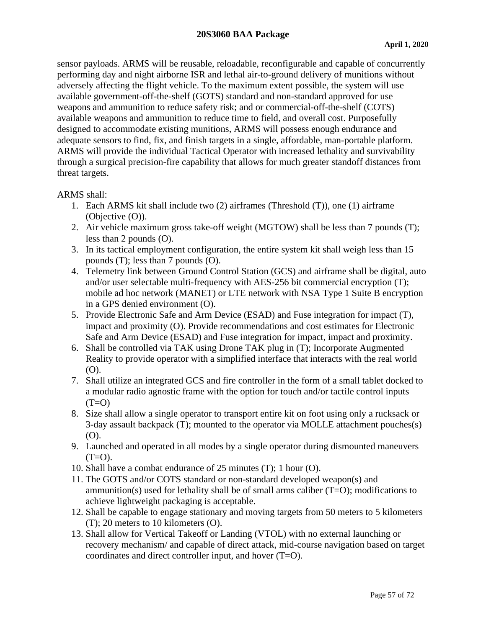sensor payloads. ARMS will be reusable, reloadable, reconfigurable and capable of concurrently performing day and night airborne ISR and lethal air-to-ground delivery of munitions without adversely affecting the flight vehicle. To the maximum extent possible, the system will use available government-off-the-shelf (GOTS) standard and non-standard approved for use weapons and ammunition to reduce safety risk; and or commercial-off-the-shelf (COTS) available weapons and ammunition to reduce time to field, and overall cost. Purposefully designed to accommodate existing munitions, ARMS will possess enough endurance and adequate sensors to find, fix, and finish targets in a single, affordable, man-portable platform. ARMS will provide the individual Tactical Operator with increased lethality and survivability through a surgical precision-fire capability that allows for much greater standoff distances from threat targets.

#### ARMS shall:

- 1. Each ARMS kit shall include two (2) airframes (Threshold (T)), one (1) airframe (Objective (O)).
- 2. Air vehicle maximum gross take-off weight (MGTOW) shall be less than 7 pounds (T); less than 2 pounds (O).
- 3. In its tactical employment configuration, the entire system kit shall weigh less than 15 pounds (T); less than 7 pounds (O).
- 4. Telemetry link between Ground Control Station (GCS) and airframe shall be digital, auto and/or user selectable multi-frequency with AES-256 bit commercial encryption (T); mobile ad hoc network (MANET) or LTE network with NSA Type 1 Suite B encryption in a GPS denied environment (O).
- 5. Provide Electronic Safe and Arm Device (ESAD) and Fuse integration for impact (T), impact and proximity (O). Provide recommendations and cost estimates for Electronic Safe and Arm Device (ESAD) and Fuse integration for impact, impact and proximity.
- 6. Shall be controlled via TAK using Drone TAK plug in (T); Incorporate Augmented Reality to provide operator with a simplified interface that interacts with the real world (O).
- 7. Shall utilize an integrated GCS and fire controller in the form of a small tablet docked to a modular radio agnostic frame with the option for touch and/or tactile control inputs  $(T=O)$
- 8. Size shall allow a single operator to transport entire kit on foot using only a rucksack or 3-day assault backpack (T); mounted to the operator via MOLLE attachment pouches(s) (O).
- 9. Launched and operated in all modes by a single operator during dismounted maneuvers  $(T=O)$ .
- 10. Shall have a combat endurance of 25 minutes (T); 1 hour (O).
- 11. The GOTS and/or COTS standard or non-standard developed weapon(s) and ammunition(s) used for lethality shall be of small arms caliber  $(T=O)$ ; modifications to achieve lightweight packaging is acceptable.
- 12. Shall be capable to engage stationary and moving targets from 50 meters to 5 kilometers (T); 20 meters to 10 kilometers (O).
- 13. Shall allow for Vertical Takeoff or Landing (VTOL) with no external launching or recovery mechanism/ and capable of direct attack, mid-course navigation based on target coordinates and direct controller input, and hover (T=O).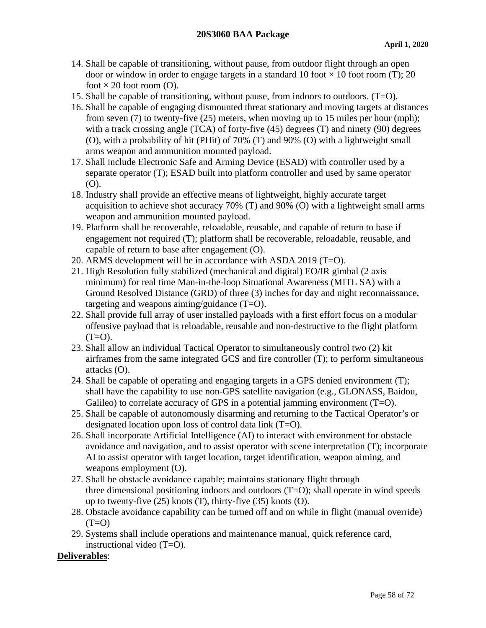- 14. Shall be capable of transitioning, without pause, from outdoor flight through an open door or window in order to engage targets in a standard 10 foot  $\times$  10 foot room (T); 20 foot  $\times$  20 foot room (O).
- 15. Shall be capable of transitioning, without pause, from indoors to outdoors. (T=O).
- 16. Shall be capable of engaging dismounted threat stationary and moving targets at distances from seven (7) to twenty-five (25) meters, when moving up to 15 miles per hour (mph); with a track crossing angle (TCA) of forty-five (45) degrees (T) and ninety (90) degrees (O), with a probability of hit (PHit) of 70% (T) and 90% (O) with a lightweight small arms weapon and ammunition mounted payload.
- 17. Shall include Electronic Safe and Arming Device (ESAD) with controller used by a separate operator (T); ESAD built into platform controller and used by same operator (O).
- 18. Industry shall provide an effective means of lightweight, highly accurate target acquisition to achieve shot accuracy 70% (T) and 90% (O) with a lightweight small arms weapon and ammunition mounted payload.
- 19. Platform shall be recoverable, reloadable, reusable, and capable of return to base if engagement not required (T); platform shall be recoverable, reloadable, reusable, and capable of return to base after engagement (O).
- 20. ARMS development will be in accordance with ASDA 2019 (T=O).
- 21. High Resolution fully stabilized (mechanical and digital) EO/IR gimbal (2 axis minimum) for real time Man-in-the-loop Situational Awareness (MITL SA) with a Ground Resolved Distance (GRD) of three (3) inches for day and night reconnaissance, targeting and weapons aiming/guidance (T=O).
- 22. Shall provide full array of user installed payloads with a first effort focus on a modular offensive payload that is reloadable, reusable and non-destructive to the flight platform  $(T=O)$ .
- 23. Shall allow an individual Tactical Operator to simultaneously control two (2) kit airframes from the same integrated GCS and fire controller (T); to perform simultaneous attacks (O).
- 24. Shall be capable of operating and engaging targets in a GPS denied environment (T); shall have the capability to use non-GPS satellite navigation (e.g., GLONASS, Baidou, Galileo) to correlate accuracy of GPS in a potential jamming environment  $(T=O)$ .
- 25. Shall be capable of autonomously disarming and returning to the Tactical Operator's or designated location upon loss of control data link (T=O).
- 26. Shall incorporate Artificial Intelligence (AI) to interact with environment for obstacle avoidance and navigation, and to assist operator with scene interpretation (T); incorporate AI to assist operator with target location, target identification, weapon aiming, and weapons employment (O).
- 27. Shall be obstacle avoidance capable; maintains stationary flight through three dimensional positioning indoors and outdoors  $(T=O)$ ; shall operate in wind speeds up to twenty-five (25) knots (T), thirty-five (35) knots (O).
- 28. Obstacle avoidance capability can be turned off and on while in flight (manual override)  $(T=O)$
- 29. Systems shall include operations and maintenance manual, quick reference card, instructional video (T=O).

## **Deliverables**: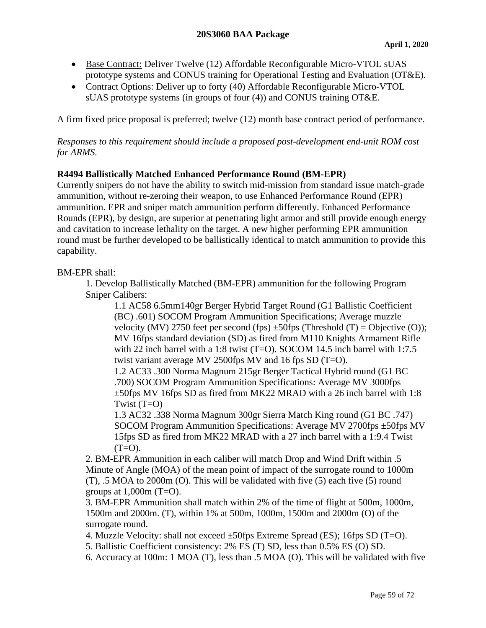- Base Contract: Deliver Twelve (12) Affordable Reconfigurable Micro-VTOL sUAS prototype systems and CONUS training for Operational Testing and Evaluation (OT&E).
- Contract Options: Deliver up to forty (40) Affordable Reconfigurable Micro-VTOL sUAS prototype systems (in groups of four (4)) and CONUS training OT&E.

A firm fixed price proposal is preferred; twelve (12) month base contract period of performance.

*Responses to this requirement should include a proposed post-development end-unit ROM cost for ARMS.*

## **R4494 Ballistically Matched Enhanced Performance Round (BM-EPR)**

Currently snipers do not have the ability to switch mid-mission from standard issue match-grade ammunition, without re-zeroing their weapon, to use Enhanced Performance Round (EPR) ammunition. EPR and sniper match ammunition perform differently. Enhanced Performance Rounds (EPR), by design, are superior at penetrating light armor and still provide enough energy and cavitation to increase lethality on the target. A new higher performing EPR ammunition round must be further developed to be ballistically identical to match ammunition to provide this capability.

#### BM-EPR shall:

1. Develop Ballistically Matched (BM-EPR) ammunition for the following Program Sniper Calibers:

1.1 AC58 6.5mm140gr Berger Hybrid Target Round (G1 Ballistic Coefficient (BC) .601) SOCOM Program Ammunition Specifications; Average muzzle velocity (MV) 2750 feet per second (fps)  $\pm$ 50fps (Threshold (T) = Objective (O)); MV 16fps standard deviation (SD) as fired from M110 Knights Armament Rifle with 22 inch barrel with a 1:8 twist (T=O). SOCOM 14.5 inch barrel with 1:7.5 twist variant average MV 2500fps MV and 16 fps SD (T=O).

1.2 AC33 .300 Norma Magnum 215gr Berger Tactical Hybrid round (G1 BC .700) SOCOM Program Ammunition Specifications: Average MV 3000fps ±50fps MV 16fps SD as fired from MK22 MRAD with a 26 inch barrel with 1:8 Twist  $(T=O)$ 

1.3 AC32 .338 Norma Magnum 300gr Sierra Match King round (G1 BC .747) SOCOM Program Ammunition Specifications: Average MV 2700fps ±50fps MV 15fps SD as fired from MK22 MRAD with a 27 inch barrel with a 1:9.4 Twist  $(T=O)$ .

2. BM-EPR Ammunition in each caliber will match Drop and Wind Drift within .5 Minute of Angle (MOA) of the mean point of impact of the surrogate round to 1000m (T), .5 MOA to 2000m (O). This will be validated with five (5) each five (5) round groups at  $1,000$ m (T=O).

3. BM-EPR Ammunition shall match within 2% of the time of flight at 500m, 1000m, 1500m and 2000m. (T), within 1% at 500m, 1000m, 1500m and 2000m (O) of the surrogate round.

4. Muzzle Velocity: shall not exceed ±50fps Extreme Spread (ES); 16fps SD (T=O).

5. Ballistic Coefficient consistency: 2% ES (T) SD, less than 0.5% ES (O) SD.

6. Accuracy at 100m: 1 MOA (T), less than .5 MOA (O). This will be validated with five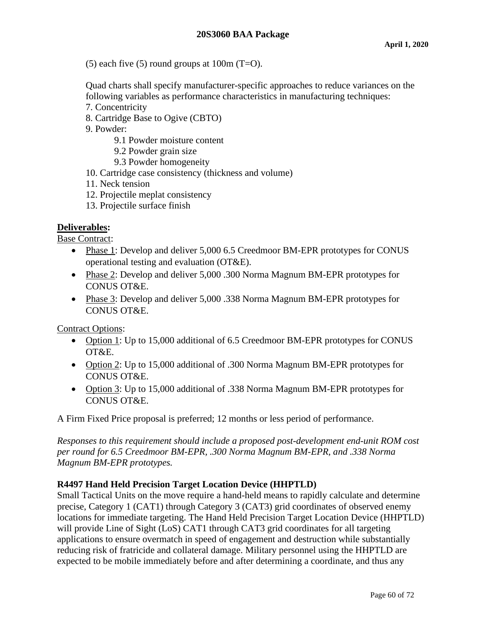$(5)$  each five  $(5)$  round groups at 100m  $(T=O)$ .

Quad charts shall specify manufacturer-specific approaches to reduce variances on the following variables as performance characteristics in manufacturing techniques:

- 7. Concentricity
- 8. Cartridge Base to Ogive (CBTO)
- 9. Powder:
	- 9.1 Powder moisture content
	- 9.2 Powder grain size
	- 9.3 Powder homogeneity
- 10. Cartridge case consistency (thickness and volume)
- 11. Neck tension
- 12. Projectile meplat consistency
- 13. Projectile surface finish

#### **Deliverables:**

Base Contract:

- Phase 1: Develop and deliver 5,000 6.5 Creedmoor BM-EPR prototypes for CONUS operational testing and evaluation (OT&E).
- Phase 2: Develop and deliver 5,000 .300 Norma Magnum BM-EPR prototypes for CONUS OT&E.
- Phase 3: Develop and deliver 5,000 .338 Norma Magnum BM-EPR prototypes for CONUS OT&E.

Contract Options:

- Option 1: Up to 15,000 additional of 6.5 Creedmoor BM-EPR prototypes for CONUS OT&E.
- Option 2: Up to 15,000 additional of .300 Norma Magnum BM-EPR prototypes for CONUS OT&E.
- Option 3: Up to 15,000 additional of .338 Norma Magnum BM-EPR prototypes for CONUS OT&E.

A Firm Fixed Price proposal is preferred; 12 months or less period of performance.

*Responses to this requirement should include a proposed post-development end-unit ROM cost per round for 6.5 Creedmoor BM-EPR, .300 Norma Magnum BM-EPR, and .338 Norma Magnum BM-EPR prototypes.* 

## **R4497 Hand Held Precision Target Location Device (HHPTLD)**

Small Tactical Units on the move require a hand-held means to rapidly calculate and determine precise, Category 1 (CAT1) through Category 3 (CAT3) grid coordinates of observed enemy locations for immediate targeting. The Hand Held Precision Target Location Device (HHPTLD) will provide Line of Sight (LoS) CAT1 through CAT3 grid coordinates for all targeting applications to ensure overmatch in speed of engagement and destruction while substantially reducing risk of fratricide and collateral damage. Military personnel using the HHPTLD are expected to be mobile immediately before and after determining a coordinate, and thus any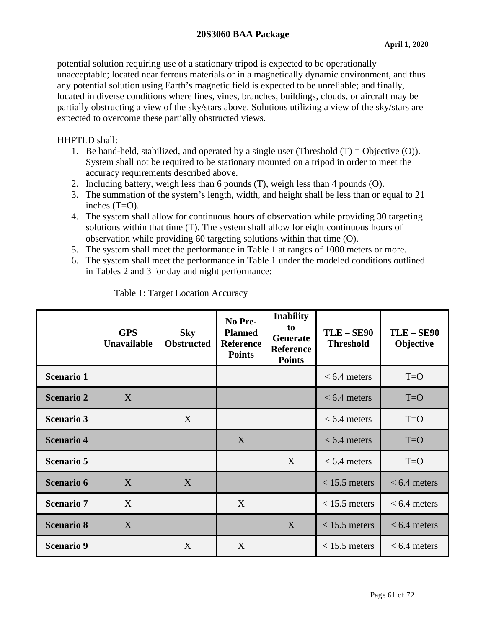potential solution requiring use of a stationary tripod is expected to be operationally unacceptable; located near ferrous materials or in a magnetically dynamic environment, and thus any potential solution using Earth's magnetic field is expected to be unreliable; and finally, located in diverse conditions where lines, vines, branches, buildings, clouds, or aircraft may be partially obstructing a view of the sky/stars above. Solutions utilizing a view of the sky/stars are expected to overcome these partially obstructed views.

## HHPTLD shall:

- 1. Be hand-held, stabilized, and operated by a single user (Threshold  $(T) = Objective (O)$ ). System shall not be required to be stationary mounted on a tripod in order to meet the accuracy requirements described above.
- 2. Including battery, weigh less than 6 pounds (T), weigh less than 4 pounds (O).
- 3. The summation of the system's length, width, and height shall be less than or equal to 21 inches (T=O).
- 4. The system shall allow for continuous hours of observation while providing 30 targeting solutions within that time (T). The system shall allow for eight continuous hours of observation while providing 60 targeting solutions within that time (O).
- 5. The system shall meet the performance in Table 1 at ranges of 1000 meters or more.
- 6. The system shall meet the performance in Table 1 under the modeled conditions outlined in Tables 2 and 3 for day and night performance:

|                   | <b>GPS</b><br><b>Unavailable</b> | <b>Sky</b><br><b>Obstructed</b> | No Pre-<br><b>Planned</b><br><b>Reference</b><br><b>Points</b> | <b>Inability</b><br>to<br>Generate<br><b>Reference</b><br><b>Points</b> | <b>TLE-SE90</b><br><b>Threshold</b> | <b>TLE-SE90</b><br>Objective |
|-------------------|----------------------------------|---------------------------------|----------------------------------------------------------------|-------------------------------------------------------------------------|-------------------------------------|------------------------------|
| <b>Scenario 1</b> |                                  |                                 |                                                                |                                                                         | $< 6.4$ meters                      | $T = O$                      |
| <b>Scenario 2</b> | X                                |                                 |                                                                |                                                                         | $< 6.4$ meters                      | $T = O$                      |
| <b>Scenario 3</b> |                                  | X                               |                                                                |                                                                         | $< 6.4$ meters                      | $T = O$                      |
| <b>Scenario 4</b> |                                  |                                 | X                                                              |                                                                         | $< 6.4$ meters                      | $T = O$                      |
| <b>Scenario 5</b> |                                  |                                 |                                                                | X                                                                       | $< 6.4$ meters                      | $T=O$                        |
| <b>Scenario 6</b> | X                                | X                               |                                                                |                                                                         | $< 15.5$ meters                     | $< 6.4$ meters               |
| <b>Scenario 7</b> | X                                |                                 | X                                                              |                                                                         | $<$ 15.5 meters                     | $< 6.4$ meters               |
| <b>Scenario 8</b> | X                                |                                 |                                                                | X                                                                       | $< 15.5$ meters                     | $< 6.4$ meters               |
| <b>Scenario 9</b> |                                  | X                               | X                                                              |                                                                         | $<$ 15.5 meters                     | $< 6.4$ meters               |

Table 1: Target Location Accuracy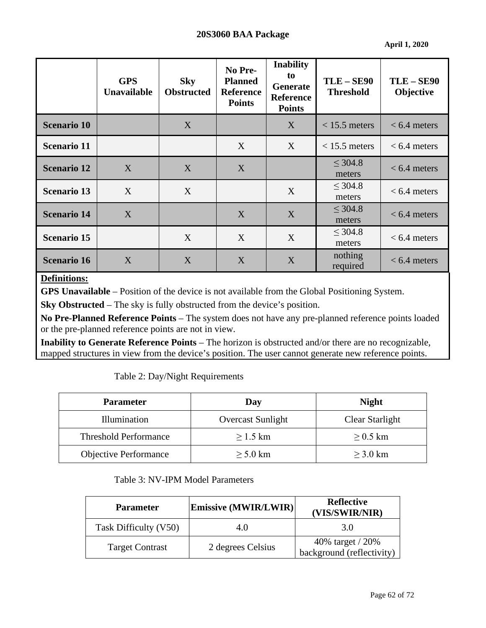**April 1, 2020**

|                    | <b>GPS</b><br>Unavailable | <b>Sky</b><br><b>Obstructed</b> | No Pre-<br><b>Planned</b><br><b>Reference</b><br><b>Points</b> | <b>Inability</b><br>to<br>Generate<br><b>Reference</b><br><b>Points</b> | <b>TLE-SE90</b><br><b>Threshold</b> | <b>TLE-SE90</b><br>Objective |
|--------------------|---------------------------|---------------------------------|----------------------------------------------------------------|-------------------------------------------------------------------------|-------------------------------------|------------------------------|
| <b>Scenario 10</b> |                           | X                               |                                                                | X                                                                       | $< 15.5$ meters                     | $< 6.4$ meters               |
| <b>Scenario 11</b> |                           |                                 | X                                                              | X                                                                       | $< 15.5$ meters                     | $< 6.4$ meters               |
| <b>Scenario 12</b> | X                         | X                               | X                                                              |                                                                         | $\leq$ 304.8<br>meters              | $< 6.4$ meters               |
| <b>Scenario 13</b> | X                         | X                               |                                                                | X                                                                       | $\leq$ 304.8<br>meters              | $< 6.4$ meters               |
| <b>Scenario 14</b> | X                         |                                 | X                                                              | X                                                                       | $\leq 304.8$<br>meters              | $< 6.4$ meters               |
| <b>Scenario 15</b> |                           | X                               | X                                                              | X                                                                       | $\leq 304.8$<br>meters              | $< 6.4$ meters               |
| <b>Scenario 16</b> | X                         | X                               | X                                                              | X                                                                       | nothing<br>required                 | $< 6.4$ meters               |

# **Definitions:**

**GPS Unavailable** – Position of the device is not available from the Global Positioning System.

**Sky Obstructed** – The sky is fully obstructed from the device's position.

**No Pre-Planned Reference Points** – The system does not have any pre-planned reference points loaded or the pre-planned reference points are not in view.

**Inability to Generate Reference Points** – The horizon is obstructed and/or there are no recognizable, mapped structures in view from the device's position. The user cannot generate new reference points.

Table 2: Day/Night Requirements

| <b>Parameter</b>             | Day                      | <b>Night</b>    |  |
|------------------------------|--------------------------|-----------------|--|
| Illumination                 | <b>Overcast Sunlight</b> | Clear Starlight |  |
| <b>Threshold Performance</b> | $>1.5$ km                | $\geq$ 0.5 km   |  |
| <b>Objective Performance</b> | $>$ 5.0 km               | $>$ 3.0 km      |  |

## Table 3: NV-IPM Model Parameters

| <b>Parameter</b>       | Emissive (MWIR/LWIR) | <b>Reflective</b><br>(VIS/SWIR/NIR)           |  |
|------------------------|----------------------|-----------------------------------------------|--|
| Task Difficulty (V50)  | 4.0                  | 3.0                                           |  |
| <b>Target Contrast</b> | 2 degrees Celsius    | 40% target / 20%<br>background (reflectivity) |  |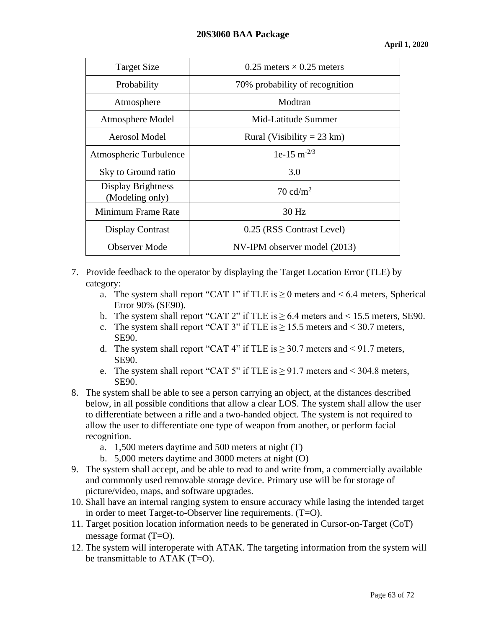| <b>Target Size</b>                    | 0.25 meters $\times$ 0.25 meters |  |  |
|---------------------------------------|----------------------------------|--|--|
| Probability                           | 70% probability of recognition   |  |  |
| Atmosphere                            | Modtran                          |  |  |
| Atmosphere Model                      | Mid-Latitude Summer              |  |  |
| Aerosol Model                         | Rural (Visibility = 23 km)       |  |  |
| Atmospheric Turbulence                | 1e-15 m <sup>-2/3</sup>          |  |  |
| Sky to Ground ratio                   | 3.0                              |  |  |
| Display Brightness<br>(Modeling only) | 70 cd/ $m^2$                     |  |  |
| Minimum Frame Rate                    | 30 Hz                            |  |  |
| <b>Display Contrast</b>               | 0.25 (RSS Contrast Level)        |  |  |
| <b>Observer Mode</b>                  | NV-IPM observer model (2013)     |  |  |

## 7. Provide feedback to the operator by displaying the Target Location Error (TLE) by category:

- a. The system shall report "CAT 1" if TLE is  $\geq 0$  meters and < 6.4 meters, Spherical Error 90% (SE90).
- b. The system shall report "CAT 2" if TLE is  $\geq$  6.4 meters and < 15.5 meters, SE90.
- c. The system shall report "CAT 3" if TLE is  $\geq$  15.5 meters and < 30.7 meters, SE90.
- d. The system shall report "CAT 4" if TLE is  $\geq 30.7$  meters and < 91.7 meters, SE90.
- e. The system shall report "CAT 5" if TLE is  $\geq$  91.7 meters and < 304.8 meters, SE90.
- 8. The system shall be able to see a person carrying an object, at the distances described below, in all possible conditions that allow a clear LOS. The system shall allow the user to differentiate between a rifle and a two-handed object. The system is not required to allow the user to differentiate one type of weapon from another, or perform facial recognition.
	- a. 1,500 meters daytime and 500 meters at night (T)
	- b. 5,000 meters daytime and 3000 meters at night (O)
- 9. The system shall accept, and be able to read to and write from, a commercially available and commonly used removable storage device. Primary use will be for storage of picture/video, maps, and software upgrades.
- 10. Shall have an internal ranging system to ensure accuracy while lasing the intended target in order to meet Target-to-Observer line requirements. (T=O).
- 11. Target position location information needs to be generated in Cursor-on-Target (CoT) message format (T=O).
- 12. The system will interoperate with ATAK. The targeting information from the system will be transmittable to ATAK (T=O).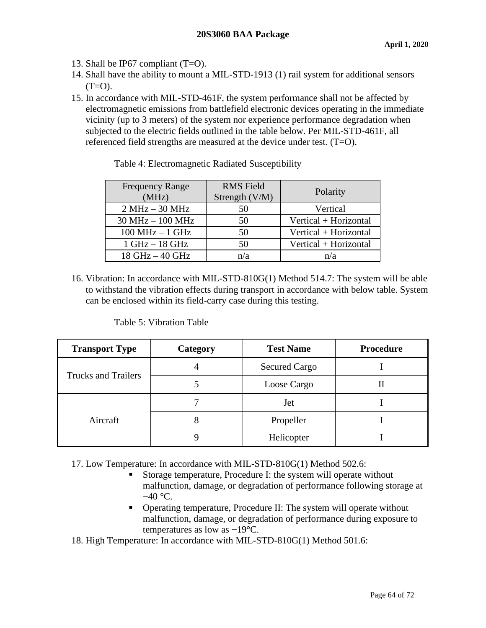- 13. Shall be IP67 compliant (T=O).
- 14. Shall have the ability to mount a MIL-STD-1913 (1) rail system for additional sensors  $(T=O)$ .
- 15. In accordance with MIL-STD-461F, the system performance shall not be affected by electromagnetic emissions from battlefield electronic devices operating in the immediate vicinity (up to 3 meters) of the system nor experience performance degradation when subjected to the electric fields outlined in the table below. Per MIL-STD-461F, all referenced field strengths are measured at the device under test. (T=O).

| <b>Frequency Range</b><br>(MHz) | <b>RMS</b> Field<br>Strength (V/M) | Polarity              |
|---------------------------------|------------------------------------|-----------------------|
| $2 MHz - 30 MHz$                | 50                                 | Vertical              |
| $30 MHz - 100 MHz$              | 50                                 | Vertical + Horizontal |
| $100 MHz - 1 GHz$               | 50                                 | Vertical + Horizontal |
| $1 GHz - 18 GHz$                | 50                                 | Vertical + Horizontal |
| 18 GHz - 40 GHz                 | n/a                                | n/a                   |

Table 4: Electromagnetic Radiated Susceptibility

16. Vibration: In accordance with MIL-STD-810G(1) Method 514.7: The system will be able to withstand the vibration effects during transport in accordance with below table. System can be enclosed within its field-carry case during this testing.

Table 5: Vibration Table

| <b>Transport Type</b>      | Category | <b>Test Name</b>     | <b>Procedure</b> |
|----------------------------|----------|----------------------|------------------|
|                            |          | <b>Secured Cargo</b> |                  |
| <b>Trucks and Trailers</b> |          | Loose Cargo          | п                |
| Aircraft                   |          | Jet                  |                  |
|                            |          | Propeller            |                  |
|                            |          | Helicopter           |                  |

17. Low Temperature: In accordance with MIL-STD-810G(1) Method 502.6:

- Storage temperature, Procedure I: the system will operate without malfunction, damage, or degradation of performance following storage at  $-40$  °C.
- Operating temperature, Procedure II: The system will operate without malfunction, damage, or degradation of performance during exposure to temperatures as low as −19°C.
- 18. High Temperature: In accordance with MIL-STD-810G(1) Method 501.6: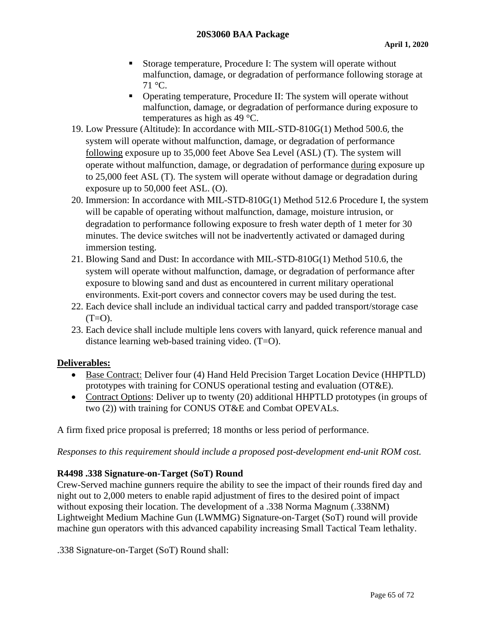- Storage temperature, Procedure I: The system will operate without malfunction, damage, or degradation of performance following storage at  $71 \text{ °C}$ .
- Operating temperature, Procedure II: The system will operate without malfunction, damage, or degradation of performance during exposure to temperatures as high as 49 °C.
- 19. Low Pressure (Altitude): In accordance with MIL-STD-810G(1) Method 500.6, the system will operate without malfunction, damage, or degradation of performance following exposure up to 35,000 feet Above Sea Level (ASL) (T). The system will operate without malfunction, damage, or degradation of performance during exposure up to 25,000 feet ASL (T). The system will operate without damage or degradation during exposure up to 50,000 feet ASL. (O).
- 20. Immersion: In accordance with MIL-STD-810G(1) Method 512.6 Procedure I, the system will be capable of operating without malfunction, damage, moisture intrusion, or degradation to performance following exposure to fresh water depth of 1 meter for 30 minutes. The device switches will not be inadvertently activated or damaged during immersion testing.
- 21. Blowing Sand and Dust: In accordance with MIL-STD-810G(1) Method 510.6, the system will operate without malfunction, damage, or degradation of performance after exposure to blowing sand and dust as encountered in current military operational environments. Exit-port covers and connector covers may be used during the test.
- 22. Each device shall include an individual tactical carry and padded transport/storage case  $(T=O)$ .
- 23. Each device shall include multiple lens covers with lanyard, quick reference manual and distance learning web-based training video. (T=O).

# **Deliverables:**

- Base Contract: Deliver four (4) Hand Held Precision Target Location Device (HHPTLD) prototypes with training for CONUS operational testing and evaluation (OT&E).
- Contract Options: Deliver up to twenty (20) additional HHPTLD prototypes (in groups of two (2)) with training for CONUS OT&E and Combat OPEVALs.

A firm fixed price proposal is preferred; 18 months or less period of performance.

*Responses to this requirement should include a proposed post-development end-unit ROM cost.*

## **R4498 .338 Signature-on-Target (SoT) Round**

Crew-Served machine gunners require the ability to see the impact of their rounds fired day and night out to 2,000 meters to enable rapid adjustment of fires to the desired point of impact without exposing their location. The development of a .338 Norma Magnum (.338NM) Lightweight Medium Machine Gun (LWMMG) Signature-on-Target (SoT) round will provide machine gun operators with this advanced capability increasing Small Tactical Team lethality.

.338 Signature-on-Target (SoT) Round shall: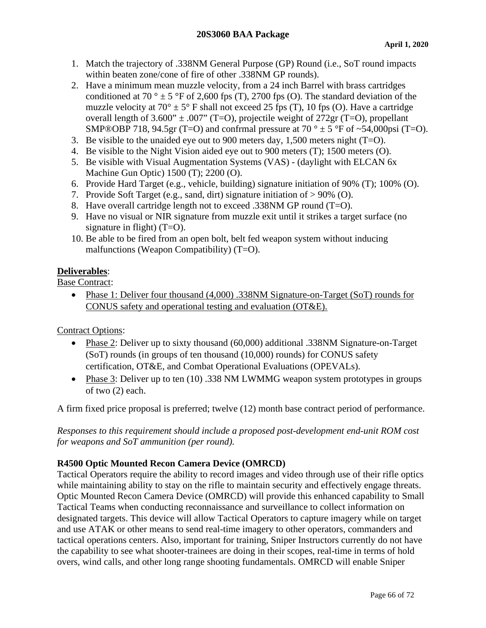- 1. Match the trajectory of .338NM General Purpose (GP) Round (i.e., SoT round impacts within beaten zone/cone of fire of other .338NM GP rounds).
- 2. Have a minimum mean muzzle velocity, from a 24 inch Barrel with brass cartridges conditioned at 70 °  $\pm$  5 °F of 2,600 fps (T), 2700 fps (O). The standard deviation of the muzzle velocity at  $70^{\circ} \pm 5^{\circ}$  F shall not exceed 25 fps (T), 10 fps (O). Have a cartridge overall length of  $3.600'' \pm .007''$  (T=O), projectile weight of  $272 \text{gr}$  (T=O), propellant SMP®OBP 718, 94.5gr (T=O) and confrmal pressure at 70  $^{\circ}$  ± 5  $^{\circ}$ F of ~54,000psi (T=O).
- 3. Be visible to the unaided eye out to 900 meters day, 1,500 meters night  $(T=O)$ .
- 4. Be visible to the Night Vision aided eye out to 900 meters (T); 1500 meters (O).
- 5. Be visible with Visual Augmentation Systems (VAS) (daylight with ELCAN 6x Machine Gun Optic) 1500 (T); 2200 (O).
- 6. Provide Hard Target (e.g., vehicle, building) signature initiation of 90% (T); 100% (O).
- 7. Provide Soft Target (e.g., sand, dirt) signature initiation of > 90% (O).
- 8. Have overall cartridge length not to exceed .338NM GP round (T=O).
- 9. Have no visual or NIR signature from muzzle exit until it strikes a target surface (no signature in flight)  $(T=O)$ .
- 10. Be able to be fired from an open bolt, belt fed weapon system without inducing malfunctions (Weapon Compatibility) (T=O).

# **Deliverables**:

Base Contract:

• Phase 1: Deliver four thousand (4,000) .338NM Signature-on-Target (SoT) rounds for CONUS safety and operational testing and evaluation (OT&E).

Contract Options:

- Phase 2: Deliver up to sixty thousand (60,000) additional .338NM Signature-on-Target (SoT) rounds (in groups of ten thousand (10,000) rounds) for CONUS safety certification, OT&E, and Combat Operational Evaluations (OPEVALs).
- Phase 3: Deliver up to ten (10) .338 NM LWMMG weapon system prototypes in groups of two (2) each.

A firm fixed price proposal is preferred; twelve (12) month base contract period of performance.

*Responses to this requirement should include a proposed post-development end-unit ROM cost for weapons and SoT ammunition (per round).*

# **R4500 Optic Mounted Recon Camera Device (OMRCD)**

Tactical Operators require the ability to record images and video through use of their rifle optics while maintaining ability to stay on the rifle to maintain security and effectively engage threats. Optic Mounted Recon Camera Device (OMRCD) will provide this enhanced capability to Small Tactical Teams when conducting reconnaissance and surveillance to collect information on designated targets. This device will allow Tactical Operators to capture imagery while on target and use ATAK or other means to send real-time imagery to other operators, commanders and tactical operations centers. Also, important for training, Sniper Instructors currently do not have the capability to see what shooter-trainees are doing in their scopes, real-time in terms of hold overs, wind calls, and other long range shooting fundamentals. OMRCD will enable Sniper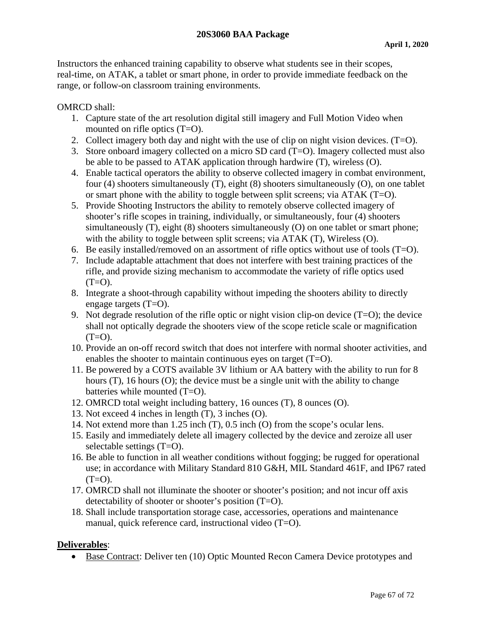Instructors the enhanced training capability to observe what students see in their scopes, real-time, on ATAK, a tablet or smart phone, in order to provide immediate feedback on the range, or follow-on classroom training environments.

#### OMRCD shall:

- 1. Capture state of the art resolution digital still imagery and Full Motion Video when mounted on rifle optics (T=O).
- 2. Collect imagery both day and night with the use of clip on night vision devices. (T=O).
- 3. Store onboard imagery collected on a micro SD card (T=O). Imagery collected must also be able to be passed to ATAK application through hardwire (T), wireless (O).
- 4. Enable tactical operators the ability to observe collected imagery in combat environment, four (4) shooters simultaneously (T), eight (8) shooters simultaneously (O), on one tablet or smart phone with the ability to toggle between split screens; via ATAK (T=O).
- 5. Provide Shooting Instructors the ability to remotely observe collected imagery of shooter's rifle scopes in training, individually, or simultaneously, four (4) shooters simultaneously (T), eight (8) shooters simultaneously (O) on one tablet or smart phone; with the ability to toggle between split screens; via ATAK (T), Wireless (O).
- 6. Be easily installed/removed on an assortment of rifle optics without use of tools  $(T=O)$ .
- 7. Include adaptable attachment that does not interfere with best training practices of the rifle, and provide sizing mechanism to accommodate the variety of rifle optics used  $(T=O)$ .
- 8. Integrate a shoot-through capability without impeding the shooters ability to directly engage targets (T=O).
- 9. Not degrade resolution of the rifle optic or night vision clip-on device  $(T=O)$ ; the device shall not optically degrade the shooters view of the scope reticle scale or magnification  $(T=O)$ .
- 10. Provide an on-off record switch that does not interfere with normal shooter activities, and enables the shooter to maintain continuous eyes on target (T=O).
- 11. Be powered by a COTS available 3V lithium or AA battery with the ability to run for 8 hours (T), 16 hours (O); the device must be a single unit with the ability to change batteries while mounted (T=O).
- 12. OMRCD total weight including battery, 16 ounces (T), 8 ounces (O).
- 13. Not exceed 4 inches in length (T), 3 inches (O).
- 14. Not extend more than 1.25 inch (T), 0.5 inch (O) from the scope's ocular lens.
- 15. Easily and immediately delete all imagery collected by the device and zeroize all user selectable settings (T=O).
- 16. Be able to function in all weather conditions without fogging; be rugged for operational use; in accordance with Military Standard 810 G&H, MIL Standard 461F, and IP67 rated  $(T=O)$ .
- 17. OMRCD shall not illuminate the shooter or shooter's position; and not incur off axis detectability of shooter or shooter's position (T=O).
- 18. Shall include transportation storage case, accessories, operations and maintenance manual, quick reference card, instructional video (T=O).

## **Deliverables**:

• Base Contract: Deliver ten (10) Optic Mounted Recon Camera Device prototypes and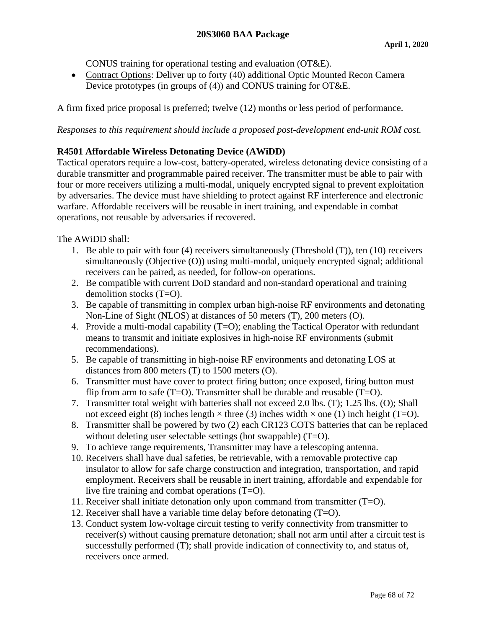CONUS training for operational testing and evaluation (OT&E).

• Contract Options: Deliver up to forty (40) additional Optic Mounted Recon Camera Device prototypes (in groups of (4)) and CONUS training for OT&E.

A firm fixed price proposal is preferred; twelve (12) months or less period of performance.

*Responses to this requirement should include a proposed post-development end-unit ROM cost.*

# **R4501 Affordable Wireless Detonating Device (AWiDD)**

Tactical operators require a low-cost, battery-operated, wireless detonating device consisting of a durable transmitter and programmable paired receiver. The transmitter must be able to pair with four or more receivers utilizing a multi-modal, uniquely encrypted signal to prevent exploitation by adversaries. The device must have shielding to protect against RF interference and electronic warfare. Affordable receivers will be reusable in inert training, and expendable in combat operations, not reusable by adversaries if recovered.

The AWiDD shall:

- 1. Be able to pair with four (4) receivers simultaneously (Threshold (T)), ten (10) receivers simultaneously (Objective (O)) using multi-modal, uniquely encrypted signal; additional receivers can be paired, as needed, for follow-on operations.
- 2. Be compatible with current DoD standard and non-standard operational and training demolition stocks (T=O).
- 3. Be capable of transmitting in complex urban high-noise RF environments and detonating Non-Line of Sight (NLOS) at distances of 50 meters (T), 200 meters (O).
- 4. Provide a multi-modal capability (T=O); enabling the Tactical Operator with redundant means to transmit and initiate explosives in high-noise RF environments (submit recommendations).
- 5. Be capable of transmitting in high-noise RF environments and detonating LOS at distances from 800 meters (T) to 1500 meters (O).
- 6. Transmitter must have cover to protect firing button; once exposed, firing button must flip from arm to safe (T=O). Transmitter shall be durable and reusable (T=O).
- 7. Transmitter total weight with batteries shall not exceed 2.0 lbs. (T); 1.25 lbs. (O); Shall not exceed eight (8) inches length  $\times$  three (3) inches width  $\times$  one (1) inch height (T=O).
- 8. Transmitter shall be powered by two (2) each CR123 COTS batteries that can be replaced without deleting user selectable settings (hot swappable) (T=O).
- 9. To achieve range requirements, Transmitter may have a telescoping antenna.
- 10. Receivers shall have dual safeties, be retrievable, with a removable protective cap insulator to allow for safe charge construction and integration, transportation, and rapid employment. Receivers shall be reusable in inert training, affordable and expendable for live fire training and combat operations (T=O).
- 11. Receiver shall initiate detonation only upon command from transmitter (T=O).
- 12. Receiver shall have a variable time delay before detonating (T=O).
- 13. Conduct system low-voltage circuit testing to verify connectivity from transmitter to receiver(s) without causing premature detonation; shall not arm until after a circuit test is successfully performed (T); shall provide indication of connectivity to, and status of, receivers once armed.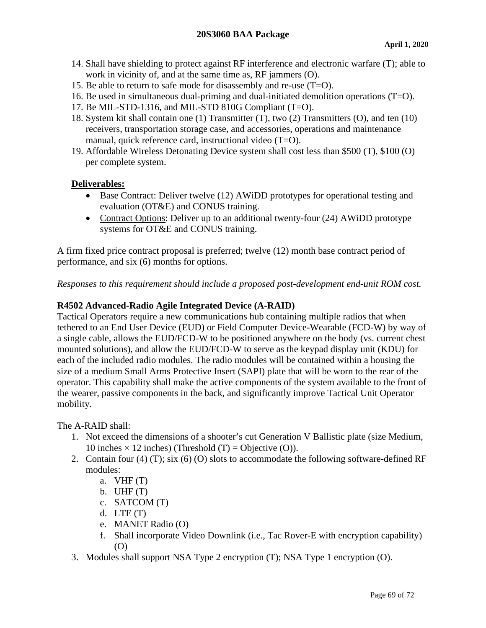- 14. Shall have shielding to protect against RF interference and electronic warfare (T); able to work in vicinity of, and at the same time as, RF jammers (O).
- 15. Be able to return to safe mode for disassembly and re-use  $(T=0)$ .
- 16. Be used in simultaneous dual-priming and dual-initiated demolition operations (T=O).
- 17. Be MIL-STD-1316, and MIL-STD 810G Compliant (T=O).
- 18. System kit shall contain one (1) Transmitter (T), two (2) Transmitters (O), and ten (10) receivers, transportation storage case, and accessories, operations and maintenance manual, quick reference card, instructional video (T=O).
- 19. Affordable Wireless Detonating Device system shall cost less than \$500 (T), \$100 (O) per complete system.

## **Deliverables:**

- Base Contract: Deliver twelve (12) AWiDD prototypes for operational testing and evaluation (OT&E) and CONUS training.
- Contract Options: Deliver up to an additional twenty-four (24) AWiDD prototype systems for OT&E and CONUS training.

A firm fixed price contract proposal is preferred; twelve (12) month base contract period of performance, and six (6) months for options.

*Responses to this requirement should include a proposed post-development end-unit ROM cost.*

# **R4502 Advanced-Radio Agile Integrated Device (A-RAID)**

Tactical Operators require a new communications hub containing multiple radios that when tethered to an End User Device (EUD) or Field Computer Device-Wearable (FCD-W) by way of a single cable, allows the EUD/FCD-W to be positioned anywhere on the body (vs. current chest mounted solutions), and allow the EUD/FCD-W to serve as the keypad display unit (KDU) for each of the included radio modules. The radio modules will be contained within a housing the size of a medium Small Arms Protective Insert (SAPI) plate that will be worn to the rear of the operator. This capability shall make the active components of the system available to the front of the wearer, passive components in the back, and significantly improve Tactical Unit Operator mobility.

The A-RAID shall:

- 1. Not exceed the dimensions of a shooter's cut Generation V Ballistic plate (size Medium, 10 inches  $\times$  12 inches) (Threshold (T) = Objective (O)).
- 2. Contain four (4) (T); six (6) (O) slots to accommodate the following software-defined RF modules:
	- a.  $VHF(T)$
	- b. UHF $(T)$
	- c. SATCOM (T)
	- d. LTE  $(T)$
	- e. MANET Radio (O)
	- f. Shall incorporate Video Downlink (i.e., Tac Rover-E with encryption capability) (O)
- 3. Modules shall support NSA Type 2 encryption (T); NSA Type 1 encryption (O).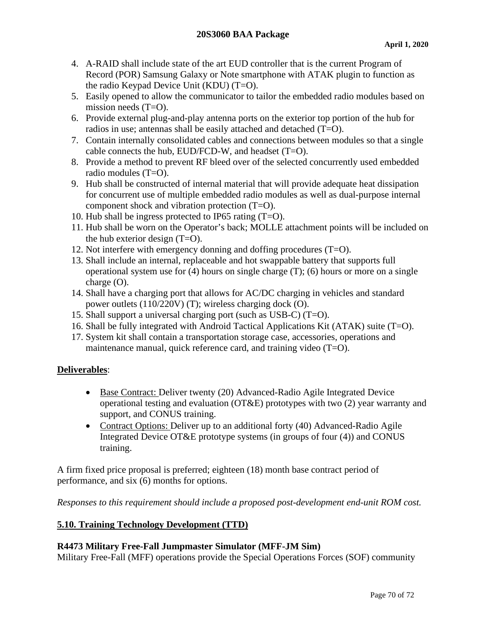- 4. A-RAID shall include state of the art EUD controller that is the current Program of Record (POR) Samsung Galaxy or Note smartphone with ATAK plugin to function as the radio Keypad Device Unit (KDU) (T=O).
- 5. Easily opened to allow the communicator to tailor the embedded radio modules based on mission needs (T=O).
- 6. Provide external plug-and-play antenna ports on the exterior top portion of the hub for radios in use; antennas shall be easily attached and detached (T=O).
- 7. Contain internally consolidated cables and connections between modules so that a single cable connects the hub, EUD/FCD-W, and headset (T=O).
- 8. Provide a method to prevent RF bleed over of the selected concurrently used embedded radio modules (T=O).
- 9. Hub shall be constructed of internal material that will provide adequate heat dissipation for concurrent use of multiple embedded radio modules as well as dual-purpose internal component shock and vibration protection (T=O).
- 10. Hub shall be ingress protected to IP65 rating (T=O).
- 11. Hub shall be worn on the Operator's back; MOLLE attachment points will be included on the hub exterior design  $(T=O)$ .
- 12. Not interfere with emergency donning and doffing procedures (T=O).
- 13. Shall include an internal, replaceable and hot swappable battery that supports full operational system use for (4) hours on single charge (T); (6) hours or more on a single charge (O).
- 14. Shall have a charging port that allows for AC/DC charging in vehicles and standard power outlets (110/220V) (T); wireless charging dock (O).
- 15. Shall support a universal charging port (such as USB-C) (T=O).
- 16. Shall be fully integrated with Android Tactical Applications Kit (ATAK) suite (T=O).
- 17. System kit shall contain a transportation storage case, accessories, operations and maintenance manual, quick reference card, and training video (T=O).

# **Deliverables**:

- Base Contract: Deliver twenty (20) Advanced-Radio Agile Integrated Device operational testing and evaluation (OT&E) prototypes with two (2) year warranty and support, and CONUS training.
- Contract Options: Deliver up to an additional forty (40) Advanced-Radio Agile Integrated Device OT&E prototype systems (in groups of four (4)) and CONUS training.

A firm fixed price proposal is preferred; eighteen (18) month base contract period of performance, and six (6) months for options.

*Responses to this requirement should include a proposed post-development end-unit ROM cost.*

# **5.10. Training Technology Development (TTD)**

## **R4473 Military Free-Fall Jumpmaster Simulator (MFF-JM Sim)**

Military Free-Fall (MFF) operations provide the Special Operations Forces (SOF) community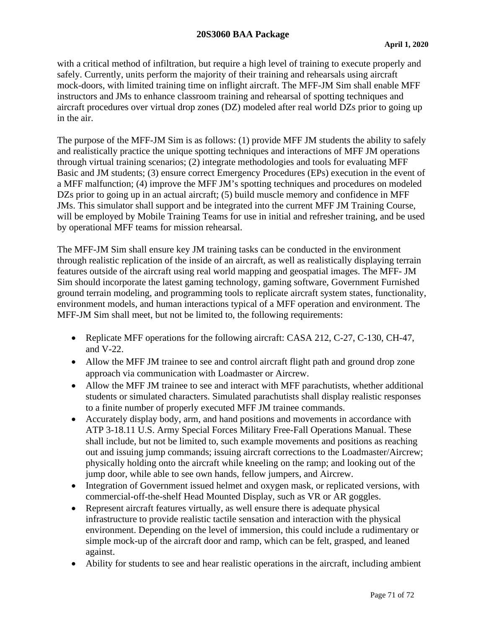#### **20S3060 BAA Package**

with a critical method of infiltration, but require a high level of training to execute properly and safely. Currently, units perform the majority of their training and rehearsals using aircraft mock-doors, with limited training time on inflight aircraft. The MFF-JM Sim shall enable MFF instructors and JMs to enhance classroom training and rehearsal of spotting techniques and aircraft procedures over virtual drop zones (DZ) modeled after real world DZs prior to going up in the air.

The purpose of the MFF-JM Sim is as follows: (1) provide MFF JM students the ability to safely and realistically practice the unique spotting techniques and interactions of MFF JM operations through virtual training scenarios; (2) integrate methodologies and tools for evaluating MFF Basic and JM students; (3) ensure correct Emergency Procedures (EPs) execution in the event of a MFF malfunction; (4) improve the MFF JM's spotting techniques and procedures on modeled DZs prior to going up in an actual aircraft; (5) build muscle memory and confidence in MFF JMs. This simulator shall support and be integrated into the current MFF JM Training Course, will be employed by Mobile Training Teams for use in initial and refresher training, and be used by operational MFF teams for mission rehearsal.

The MFF-JM Sim shall ensure key JM training tasks can be conducted in the environment through realistic replication of the inside of an aircraft, as well as realistically displaying terrain features outside of the aircraft using real world mapping and geospatial images. The MFF- JM Sim should incorporate the latest gaming technology, gaming software, Government Furnished ground terrain modeling, and programming tools to replicate aircraft system states, functionality, environment models, and human interactions typical of a MFF operation and environment. The MFF-JM Sim shall meet, but not be limited to, the following requirements:

- Replicate MFF operations for the following aircraft: CASA 212, C-27, C-130, CH-47, and V-22.
- Allow the MFF JM trainee to see and control aircraft flight path and ground drop zone approach via communication with Loadmaster or Aircrew.
- Allow the MFF JM trainee to see and interact with MFF parachutists, whether additional students or simulated characters. Simulated parachutists shall display realistic responses to a finite number of properly executed MFF JM trainee commands.
- Accurately display body, arm, and hand positions and movements in accordance with ATP 3-18.11 U.S. Army Special Forces Military Free-Fall Operations Manual. These shall include, but not be limited to, such example movements and positions as reaching out and issuing jump commands; issuing aircraft corrections to the Loadmaster/Aircrew; physically holding onto the aircraft while kneeling on the ramp; and looking out of the jump door, while able to see own hands, fellow jumpers, and Aircrew.
- Integration of Government issued helmet and oxygen mask, or replicated versions, with commercial-off-the-shelf Head Mounted Display, such as VR or AR goggles.
- Represent aircraft features virtually, as well ensure there is adequate physical infrastructure to provide realistic tactile sensation and interaction with the physical environment. Depending on the level of immersion, this could include a rudimentary or simple mock-up of the aircraft door and ramp, which can be felt, grasped, and leaned against.
- Ability for students to see and hear realistic operations in the aircraft, including ambient